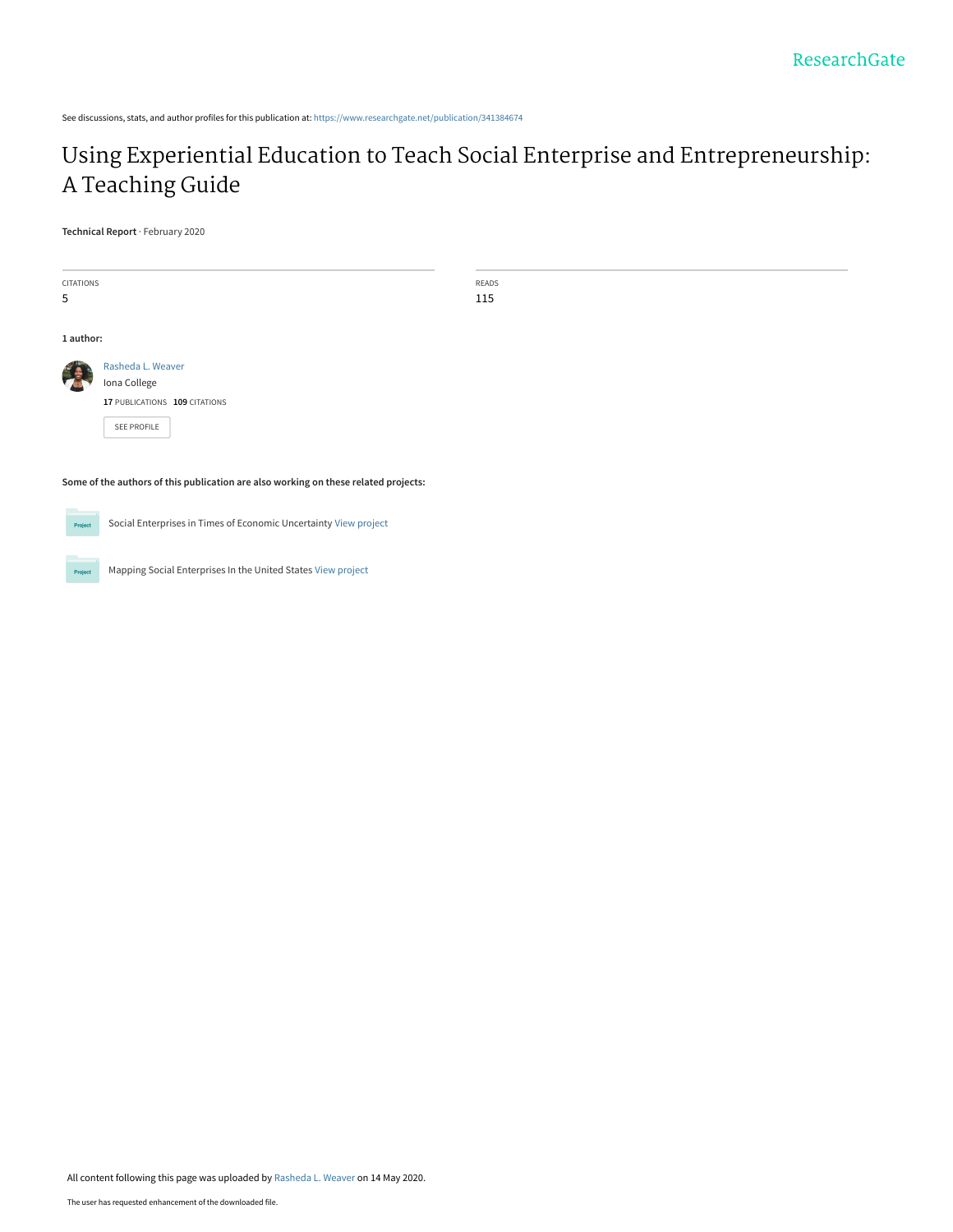See discussions, stats, and author profiles for this publication at: [https://www.researchgate.net/publication/341384674](https://www.researchgate.net/publication/341384674_Using_Experiential_Education_to_Teach_Social_Enterprise_and_Entrepreneurship_A_Teaching_Guide?enrichId=rgreq-75c8e6bf646ba33a9412016a233fee89-XXX&enrichSource=Y292ZXJQYWdlOzM0MTM4NDY3NDtBUzo4OTExNTgxMzc5NTAyMDhAMTU4OTQ4MDA2NTkyNg%3D%3D&el=1_x_2&_esc=publicationCoverPdf)

# [Using Experiential Education to Teach Social Enterprise and Entrepreneurship:](https://www.researchgate.net/publication/341384674_Using_Experiential_Education_to_Teach_Social_Enterprise_and_Entrepreneurship_A_Teaching_Guide?enrichId=rgreq-75c8e6bf646ba33a9412016a233fee89-XXX&enrichSource=Y292ZXJQYWdlOzM0MTM4NDY3NDtBUzo4OTExNTgxMzc5NTAyMDhAMTU4OTQ4MDA2NTkyNg%3D%3D&el=1_x_3&_esc=publicationCoverPdf) A Teaching Guide

**Technical Report** · February 2020

| CITATIONS |                               | READS |  |  |  |
|-----------|-------------------------------|-------|--|--|--|
| 5         |                               | 115   |  |  |  |
| 1 author: |                               |       |  |  |  |
|           | Rasheda L. Weaver             |       |  |  |  |
|           | Iona College                  |       |  |  |  |
|           | 17 PUBLICATIONS 109 CITATIONS |       |  |  |  |
|           | SEE PROFILE                   |       |  |  |  |
|           |                               |       |  |  |  |

**Some of the authors of this publication are also working on these related projects:**



Social Enterprises in Times of Economic Uncertainty [View project](https://www.researchgate.net/project/Social-Enterprises-in-Times-of-Economic-Uncertainty?enrichId=rgreq-75c8e6bf646ba33a9412016a233fee89-XXX&enrichSource=Y292ZXJQYWdlOzM0MTM4NDY3NDtBUzo4OTExNTgxMzc5NTAyMDhAMTU4OTQ4MDA2NTkyNg%3D%3D&el=1_x_9&_esc=publicationCoverPdf)

Project

Mapping Social Enterprises In the United States [View project](https://www.researchgate.net/project/Mapping-Social-Enterprises-In-the-United-States?enrichId=rgreq-75c8e6bf646ba33a9412016a233fee89-XXX&enrichSource=Y292ZXJQYWdlOzM0MTM4NDY3NDtBUzo4OTExNTgxMzc5NTAyMDhAMTU4OTQ4MDA2NTkyNg%3D%3D&el=1_x_9&_esc=publicationCoverPdf)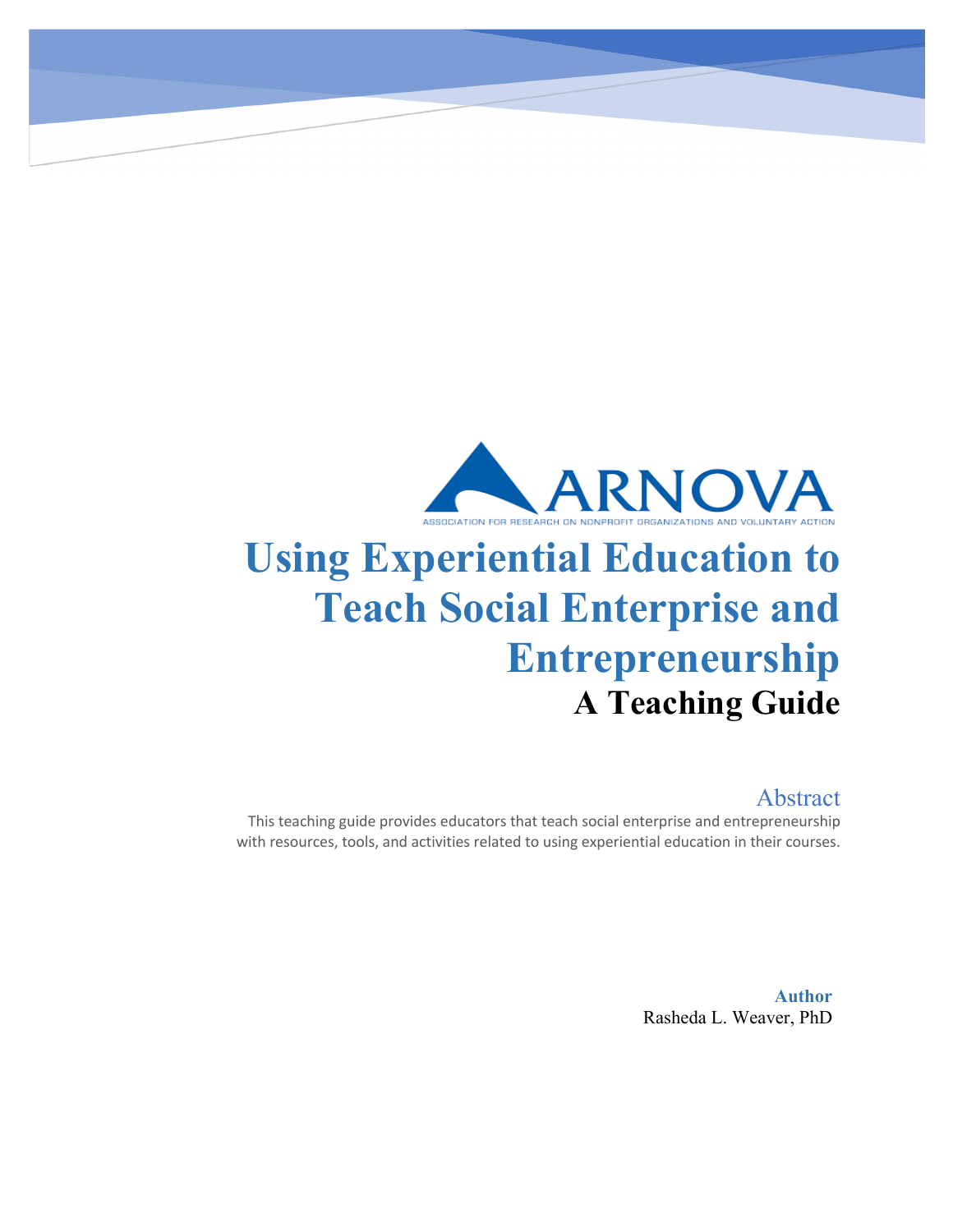

# **Using Experiential Education to Teach Social Enterprise and Entrepreneurship A Teaching Guide**

# Abstract

This teaching guide provides educators that teach social enterprise and entrepreneurship with resources, tools, and activities related to using experiential education in their courses.

> **Author** Rasheda L. Weaver, PhD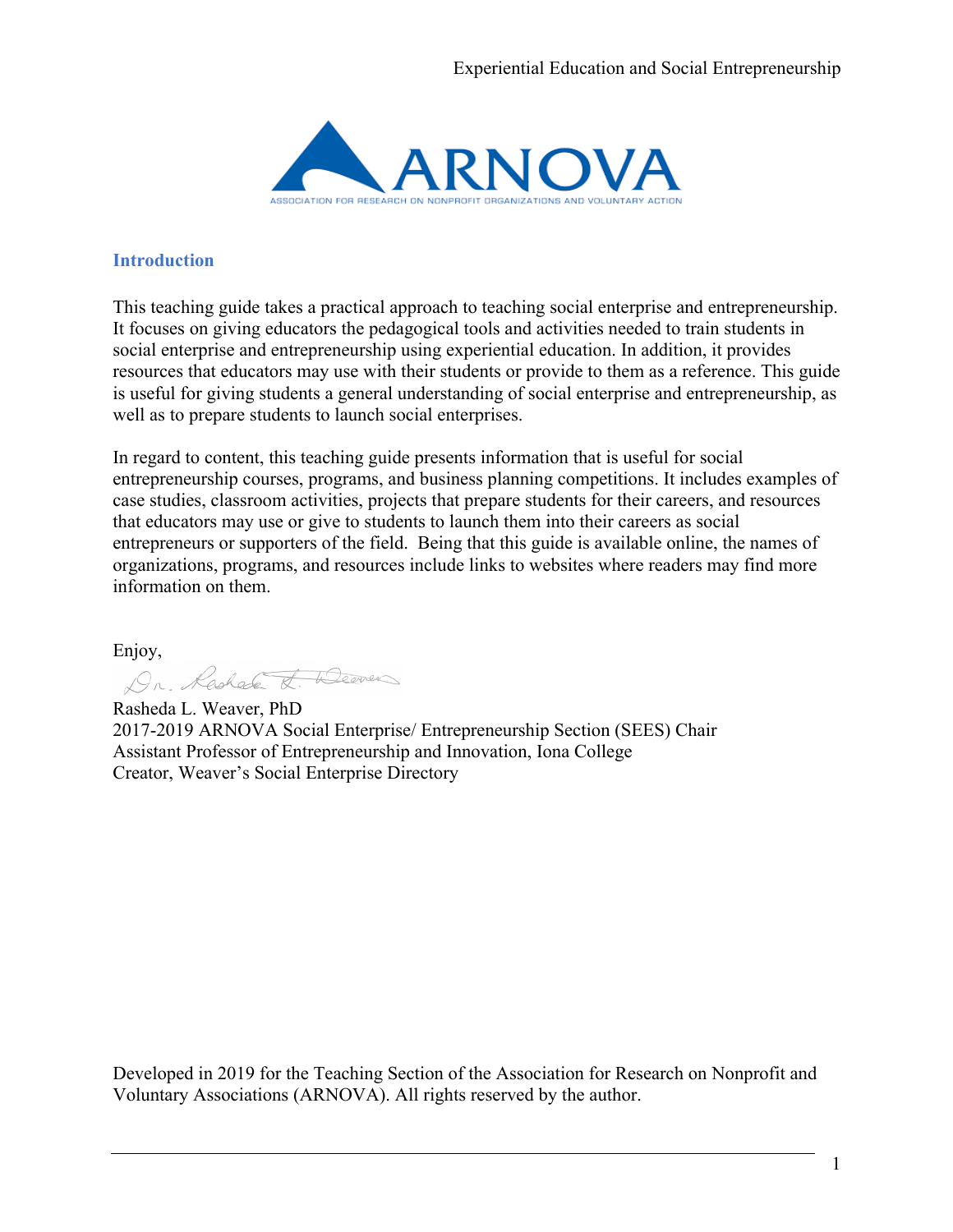

# **Introduction**

This teaching guide takes a practical approach to teaching social enterprise and entrepreneurship. It focuses on giving educators the pedagogical tools and activities needed to train students in social enterprise and entrepreneurship using experiential education. In addition, it provides resources that educators may use with their students or provide to them as a reference. This guide is useful for giving students a general understanding of social enterprise and entrepreneurship, as well as to prepare students to launch social enterprises.

In regard to content, this teaching guide presents information that is useful for social entrepreneurship courses, programs, and business planning competitions. It includes examples of case studies, classroom activities, projects that prepare students for their careers, and resources that educators may use or give to students to launch them into their careers as social entrepreneurs or supporters of the field. Being that this guide is available online, the names of organizations, programs, and resources include links to websites where readers may find more information on them.

Enjoy,<br>Lechade & Weaven

Rasheda L. Weaver, PhD 2017-2019 ARNOVA Social Enterprise/ Entrepreneurship Section (SEES) Chair Assistant Professor of Entrepreneurship and Innovation, Iona College Creator, Weaver's Social Enterprise Directory

Developed in 2019 for the Teaching Section of the Association for Research on Nonprofit and Voluntary Associations (ARNOVA). All rights reserved by the author.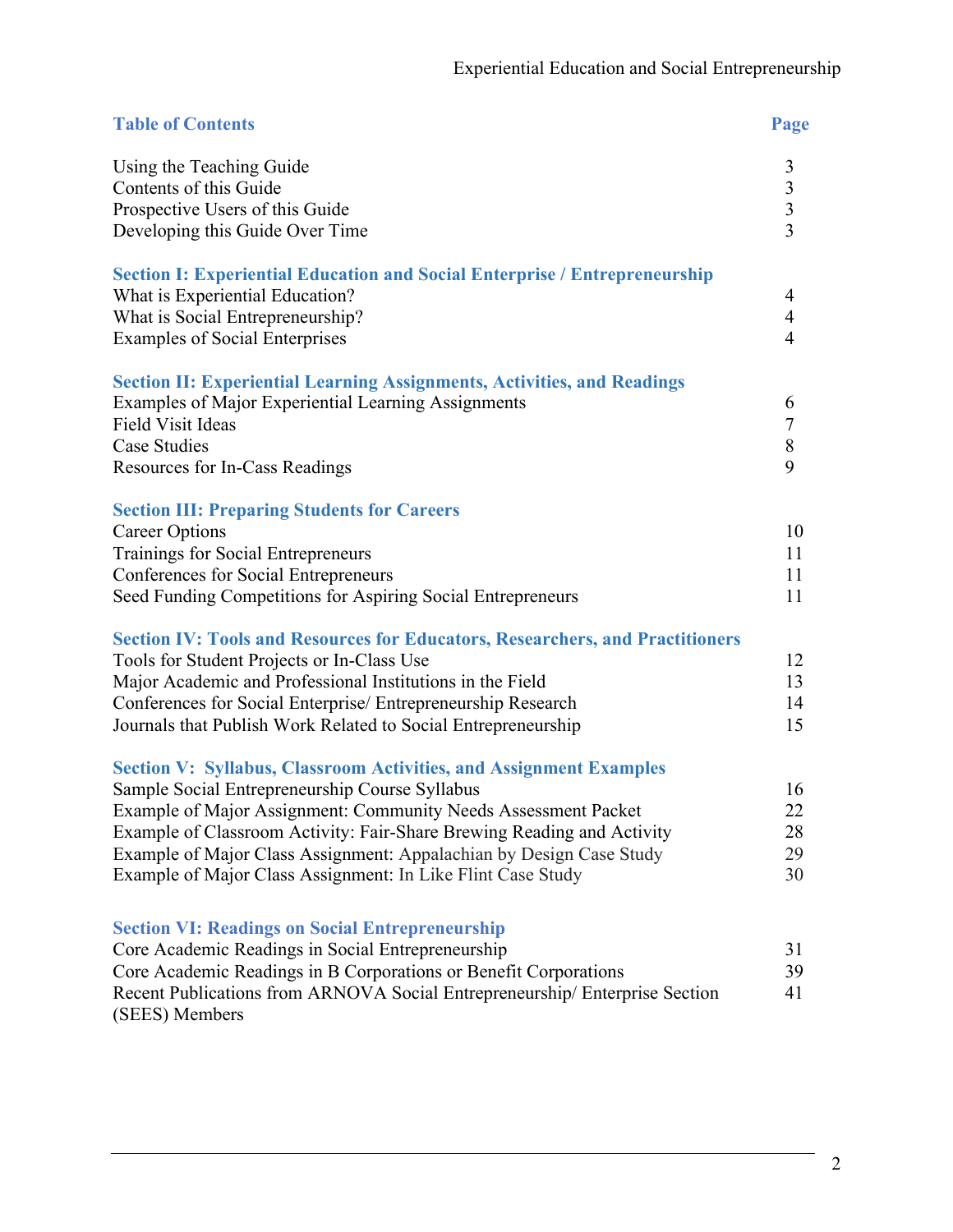| <b>Table of Contents</b>                                                                                                                 | Page                                       |
|------------------------------------------------------------------------------------------------------------------------------------------|--------------------------------------------|
| Using the Teaching Guide                                                                                                                 | 3                                          |
| Contents of this Guide                                                                                                                   |                                            |
| Prospective Users of this Guide                                                                                                          | $\begin{array}{c} 3 \\ 3 \\ 3 \end{array}$ |
| Developing this Guide Over Time                                                                                                          |                                            |
| <b>Section I: Experiential Education and Social Enterprise / Entrepreneurship</b>                                                        |                                            |
| What is Experiential Education?                                                                                                          | 4                                          |
| What is Social Entrepreneurship?                                                                                                         | $\overline{4}$                             |
| <b>Examples of Social Enterprises</b>                                                                                                    | $\overline{4}$                             |
| <b>Section II: Experiential Learning Assignments, Activities, and Readings</b>                                                           |                                            |
| Examples of Major Experiential Learning Assignments                                                                                      | 6                                          |
| Field Visit Ideas                                                                                                                        | $\tau$                                     |
| Case Studies                                                                                                                             | $8\,$                                      |
| Resources for In-Cass Readings                                                                                                           | 9                                          |
| <b>Section III: Preparing Students for Careers</b>                                                                                       |                                            |
| <b>Career Options</b>                                                                                                                    | 10                                         |
| Trainings for Social Entrepreneurs                                                                                                       | 11                                         |
| Conferences for Social Entrepreneurs                                                                                                     | 11<br>11                                   |
| Seed Funding Competitions for Aspiring Social Entrepreneurs                                                                              |                                            |
| <b>Section IV: Tools and Resources for Educators, Researchers, and Practitioners</b>                                                     |                                            |
| Tools for Student Projects or In-Class Use                                                                                               | 12                                         |
| Major Academic and Professional Institutions in the Field                                                                                | 13<br>14                                   |
| Conferences for Social Enterprise/ Entrepreneurship Research<br>Journals that Publish Work Related to Social Entrepreneurship            | 15                                         |
|                                                                                                                                          |                                            |
| <b>Section V: Syllabus, Classroom Activities, and Assignment Examples</b>                                                                |                                            |
| Sample Social Entrepreneurship Course Syllabus                                                                                           | 16                                         |
| Example of Major Assignment: Community Needs Assessment Packet<br>Example of Classroom Activity: Fair-Share Brewing Reading and Activity | 22<br>28                                   |
| Example of Major Class Assignment: Appalachian by Design Case Study                                                                      | 29                                         |
| Example of Major Class Assignment: In Like Flint Case Study                                                                              | 30                                         |
|                                                                                                                                          |                                            |
| <b>Section VI: Readings on Social Entrepreneurship</b>                                                                                   |                                            |
| Core Academic Readings in Social Entrepreneurship                                                                                        | 31                                         |
| Core Academic Readings in B Corporations or Benefit Corporations                                                                         | 39                                         |
| Recent Publications from ARNOVA Social Entrepreneurship/Enterprise Section<br>(SEES) Members                                             | 41                                         |
|                                                                                                                                          |                                            |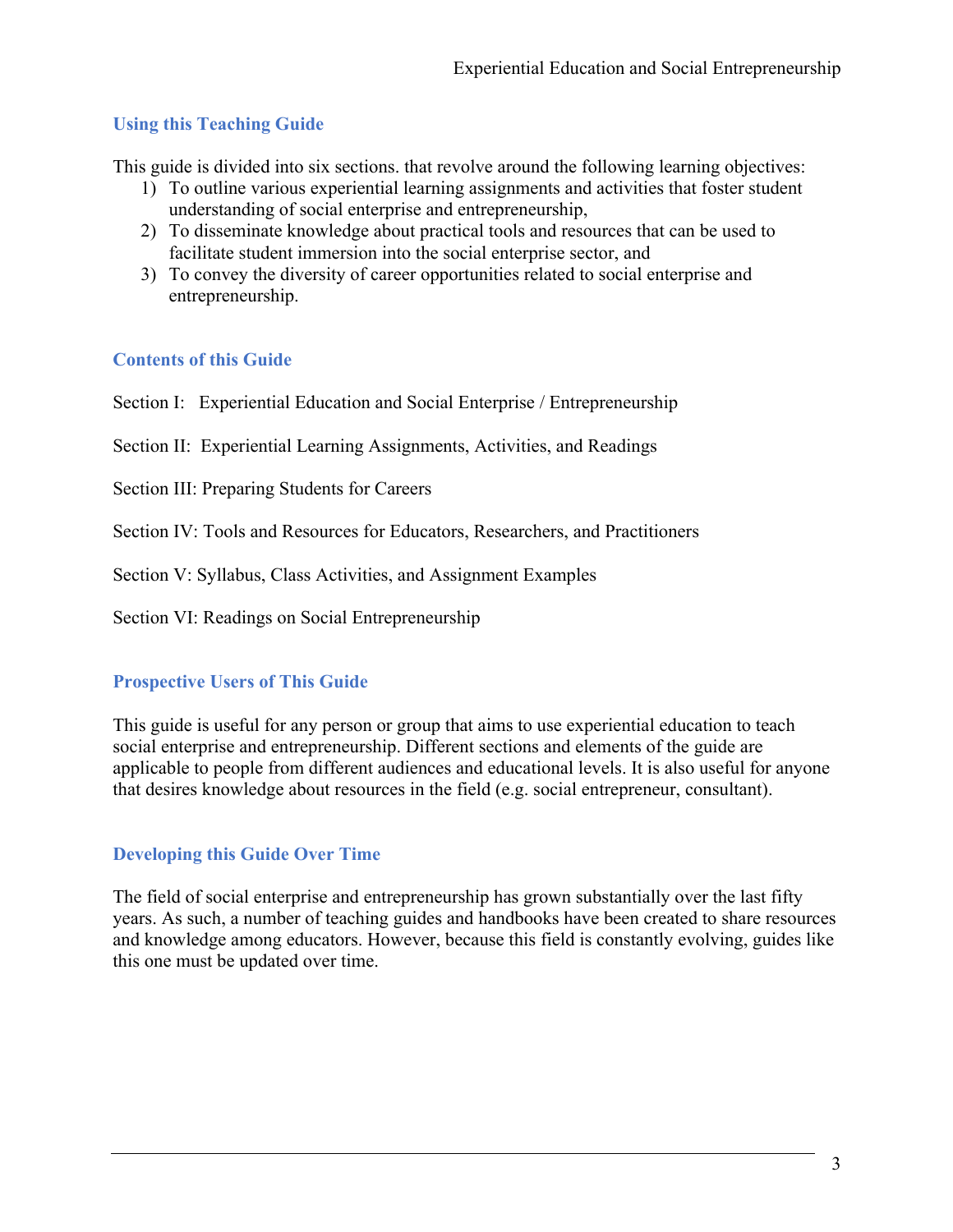# **Using this Teaching Guide**

This guide is divided into six sections. that revolve around the following learning objectives:

- 1) To outline various experiential learning assignments and activities that foster student understanding of social enterprise and entrepreneurship,
- 2) To disseminate knowledge about practical tools and resources that can be used to facilitate student immersion into the social enterprise sector, and
- 3) To convey the diversity of career opportunities related to social enterprise and entrepreneurship.

# **Contents of this Guide**

Section I: Experiential Education and Social Enterprise / Entrepreneurship

Section II: Experiential Learning Assignments, Activities, and Readings

Section III: Preparing Students for Careers

Section IV: Tools and Resources for Educators, Researchers, and Practitioners

Section V: Syllabus, Class Activities, and Assignment Examples

Section VI: Readings on Social Entrepreneurship

# **Prospective Users of This Guide**

This guide is useful for any person or group that aims to use experiential education to teach social enterprise and entrepreneurship. Different sections and elements of the guide are applicable to people from different audiences and educational levels. It is also useful for anyone that desires knowledge about resources in the field (e.g. social entrepreneur, consultant).

# **Developing this Guide Over Time**

The field of social enterprise and entrepreneurship has grown substantially over the last fifty years. As such, a number of teaching guides and handbooks have been created to share resources and knowledge among educators. However, because this field is constantly evolving, guides like this one must be updated over time.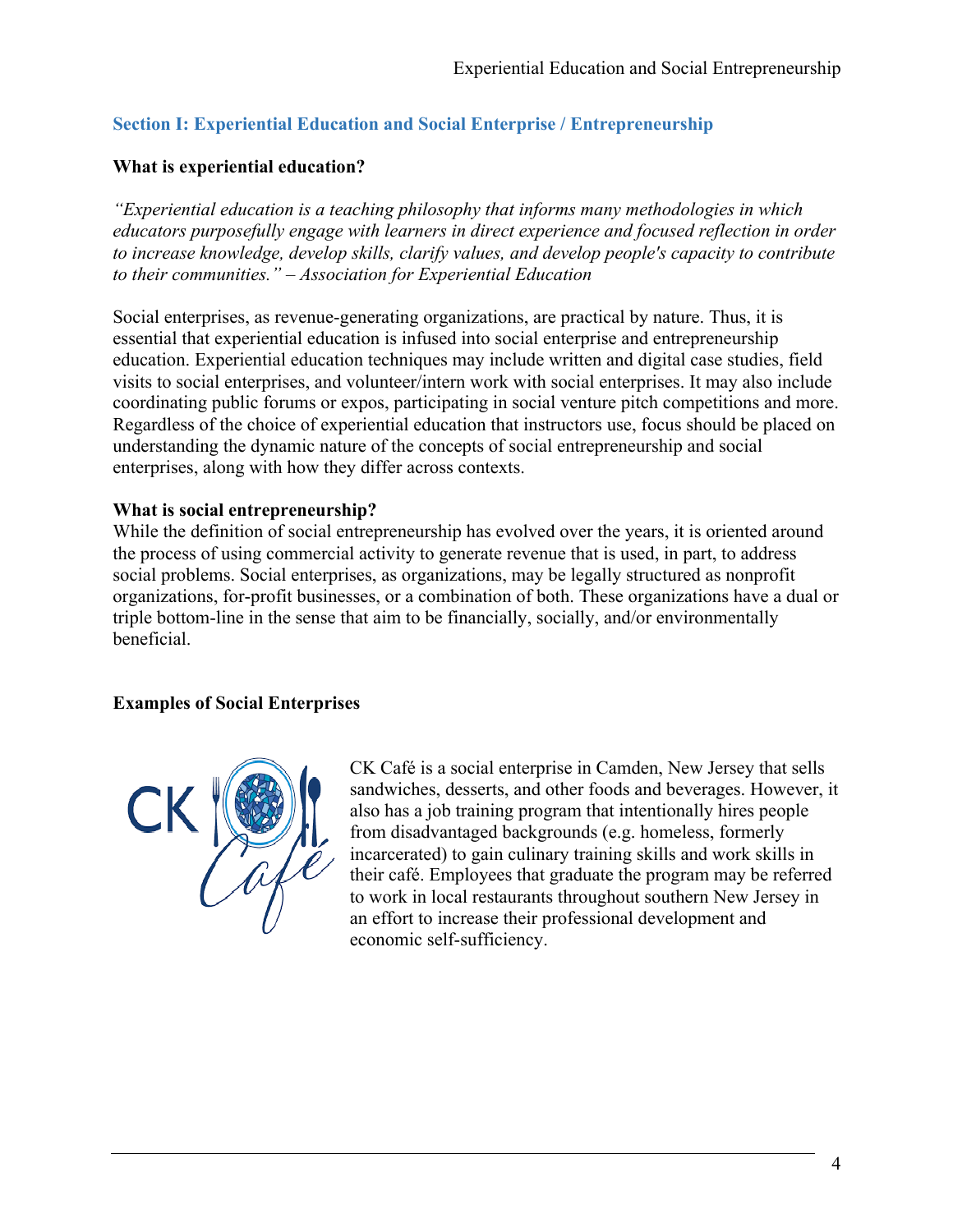# **Section I: Experiential Education and Social Enterprise / Entrepreneurship**

# **What is experiential education?**

*"Experiential education is a teaching philosophy that informs many methodologies in which educators purposefully engage with learners in direct experience and focused reflection in order to increase knowledge, develop skills, clarify values, and develop people's capacity to contribute to their communities." – Association for Experiential Education*

Social enterprises, as revenue-generating organizations, are practical by nature. Thus, it is essential that experiential education is infused into social enterprise and entrepreneurship education. Experiential education techniques may include written and digital case studies, field visits to social enterprises, and volunteer/intern work with social enterprises. It may also include coordinating public forums or expos, participating in social venture pitch competitions and more. Regardless of the choice of experiential education that instructors use, focus should be placed on understanding the dynamic nature of the concepts of social entrepreneurship and social enterprises, along with how they differ across contexts.

# **What is social entrepreneurship?**

While the definition of social entrepreneurship has evolved over the years, it is oriented around the process of using commercial activity to generate revenue that is used, in part, to address social problems. Social enterprises, as organizations, may be legally structured as nonprofit organizations, for-profit businesses, or a combination of both. These organizations have a dual or triple bottom-line in the sense that aim to be financially, socially, and/or environmentally beneficial.

### **Examples of Social Enterprises**



CK Café is a social enterprise in Camden, New Jersey that sells sandwiches, desserts, and other foods and beverages. However, it also has a job training program that intentionally hires people from disadvantaged backgrounds (e.g. homeless, formerly incarcerated) to gain culinary training skills and work skills in their café. Employees that graduate the program may be referred to work in local restaurants throughout southern New Jersey in an effort to increase their professional development and economic self-sufficiency.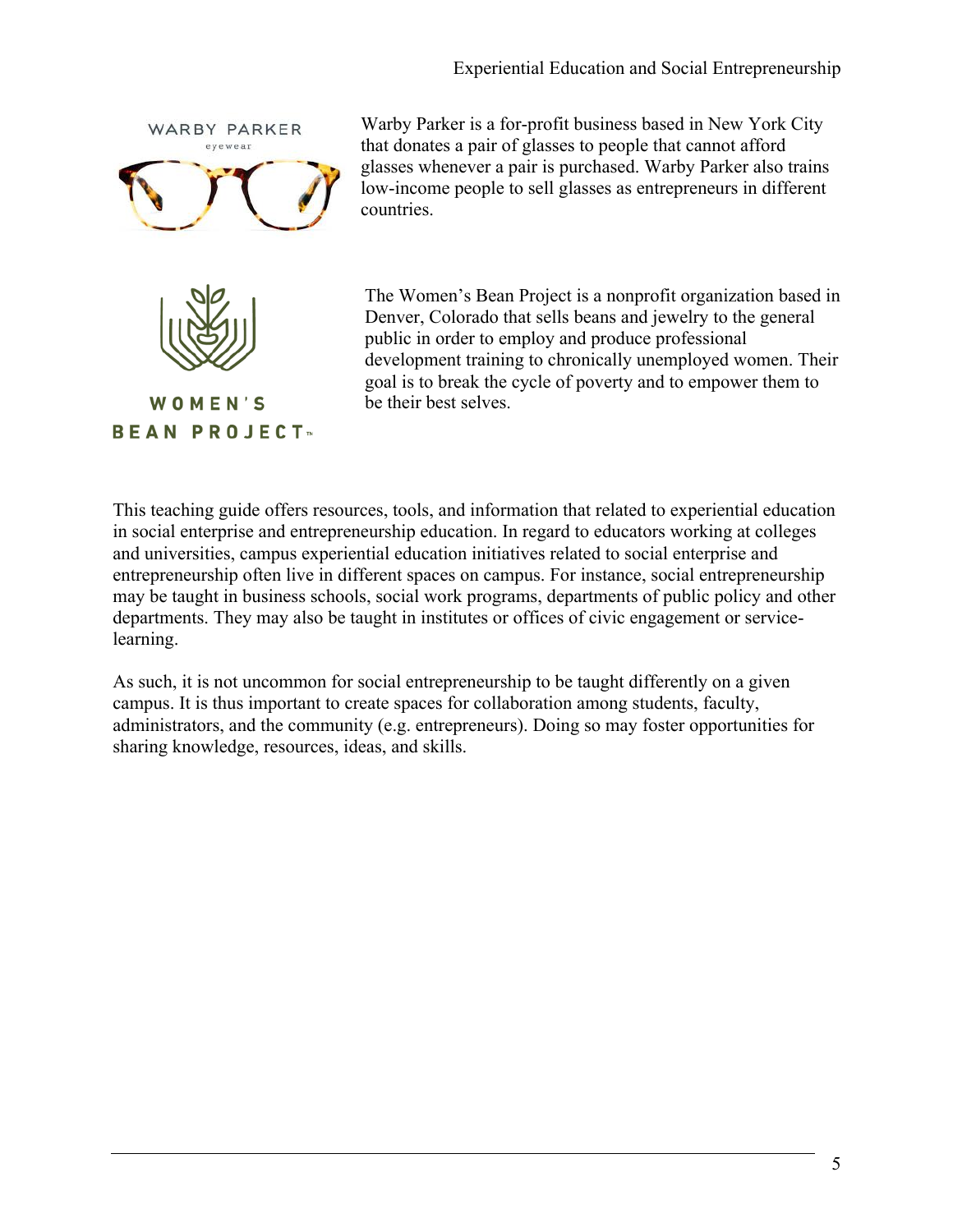

Warby Parker is a for-profit business based in New York City that donates a pair of glasses to people that cannot afford glasses whenever a pair is purchased. Warby Parker also trains low-income people to sell glasses as entrepreneurs in different countries.



WOMEN'S **BEAN PROJECT**<sub>\*</sub> The Women's Bean Project is a nonprofit organization based in Denver, Colorado that sells beans and jewelry to the general public in order to employ and produce professional development training to chronically unemployed women. Their goal is to break the cycle of poverty and to empower them to be their best selves.

This teaching guide offers resources, tools, and information that related to experiential education in social enterprise and entrepreneurship education. In regard to educators working at colleges and universities, campus experiential education initiatives related to social enterprise and entrepreneurship often live in different spaces on campus. For instance, social entrepreneurship may be taught in business schools, social work programs, departments of public policy and other departments. They may also be taught in institutes or offices of civic engagement or servicelearning.

As such, it is not uncommon for social entrepreneurship to be taught differently on a given campus. It is thus important to create spaces for collaboration among students, faculty, administrators, and the community (e.g. entrepreneurs). Doing so may foster opportunities for sharing knowledge, resources, ideas, and skills.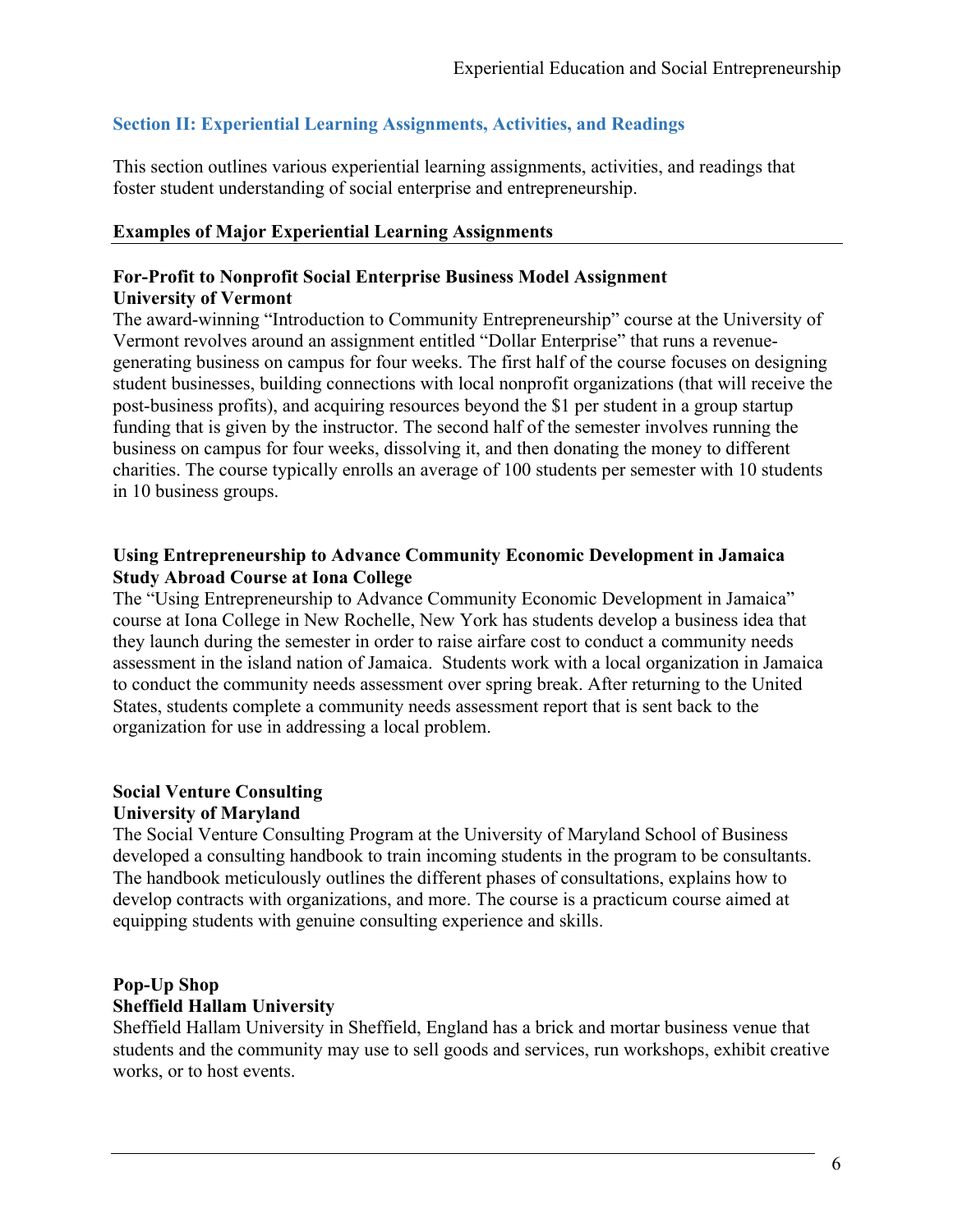# **Section II: Experiential Learning Assignments, Activities, and Readings**

This section outlines various experiential learning assignments, activities, and readings that foster student understanding of social enterprise and entrepreneurship.

#### **Examples of Major Experiential Learning Assignments**

#### **For-Profit to Nonprofit Social Enterprise Business Model Assignment University of Vermont**

The award-winning "Introduction to Community Entrepreneurship" course at the University of Vermont revolves around an assignment entitled "Dollar Enterprise" that runs a revenuegenerating business on campus for four weeks. The first half of the course focuses on designing student businesses, building connections with local nonprofit organizations (that will receive the post-business profits), and acquiring resources beyond the \$1 per student in a group startup funding that is given by the instructor. The second half of the semester involves running the business on campus for four weeks, dissolving it, and then donating the money to different charities. The course typically enrolls an average of 100 students per semester with 10 students in 10 business groups.

### **Using Entrepreneurship to Advance Community Economic Development in Jamaica Study Abroad Course at Iona College**

The "Using Entrepreneurship to Advance Community Economic Development in Jamaica" course at Iona College in New Rochelle, New York has students develop a business idea that they launch during the semester in order to raise airfare cost to conduct a community needs assessment in the island nation of Jamaica. Students work with a local organization in Jamaica to conduct the community needs assessment over spring break. After returning to the United States, students complete a community needs assessment report that is sent back to the organization for use in addressing a local problem.

#### **Social Venture Consulting University of Maryland**

The Social Venture Consulting Program at the University of Maryland School of Business developed a consulting handbook to train incoming students in the program to be consultants. The handbook meticulously outlines the different phases of consultations, explains how to develop contracts with organizations, and more. The course is a practicum course aimed at equipping students with genuine consulting experience and skills.

# **Pop-Up Shop Sheffield Hallam University**

Sheffield Hallam University in Sheffield, England has a brick and mortar business venue that students and the community may use to sell goods and services, run workshops, exhibit creative works, or to host events.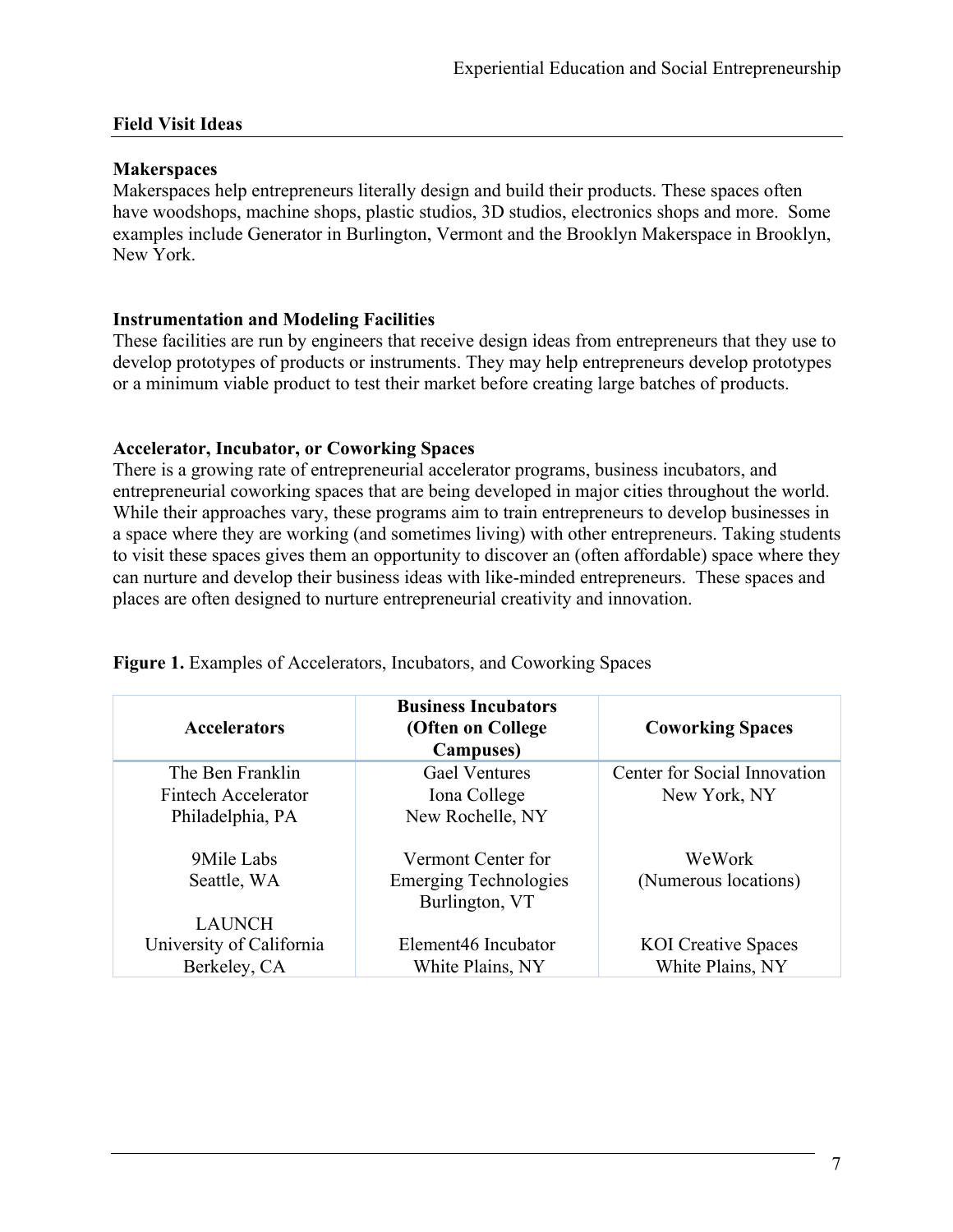#### **Field Visit Ideas**

#### **Makerspaces**

Makerspaces help entrepreneurs literally design and build their products. These spaces often have woodshops, machine shops, plastic studios, 3D studios, electronics shops and more. Some examples include Generator in Burlington, Vermont and the Brooklyn Makerspace in Brooklyn, New York.

#### **Instrumentation and Modeling Facilities**

These facilities are run by engineers that receive design ideas from entrepreneurs that they use to develop prototypes of products or instruments. They may help entrepreneurs develop prototypes or a minimum viable product to test their market before creating large batches of products.

#### **Accelerator, Incubator, or Coworking Spaces**

There is a growing rate of entrepreneurial accelerator programs, business incubators, and entrepreneurial coworking spaces that are being developed in major cities throughout the world. While their approaches vary, these programs aim to train entrepreneurs to develop businesses in a space where they are working (and sometimes living) with other entrepreneurs. Taking students to visit these spaces gives them an opportunity to discover an (often affordable) space where they can nurture and develop their business ideas with like-minded entrepreneurs. These spaces and places are often designed to nurture entrepreneurial creativity and innovation.

| <b>Accelerators</b>      | <b>Business Incubators</b><br>(Often on College<br><b>Campuses</b> ) | <b>Coworking Spaces</b>      |
|--------------------------|----------------------------------------------------------------------|------------------------------|
| The Ben Franklin         | <b>Gael Ventures</b>                                                 | Center for Social Innovation |
| Fintech Accelerator      | Iona College                                                         | New York, NY                 |
| Philadelphia, PA         | New Rochelle, NY                                                     |                              |
| 9Mile Labs               | Vermont Center for                                                   | WeWork                       |
| Seattle, WA              | <b>Emerging Technologies</b><br>Burlington, VT                       | (Numerous locations)         |
| <b>LAUNCH</b>            |                                                                      |                              |
| University of California | Element46 Incubator                                                  | <b>KOI</b> Creative Spaces   |
| Berkeley, CA             | White Plains, NY                                                     | White Plains, NY             |

**Figure 1.** Examples of Accelerators, Incubators, and Coworking Spaces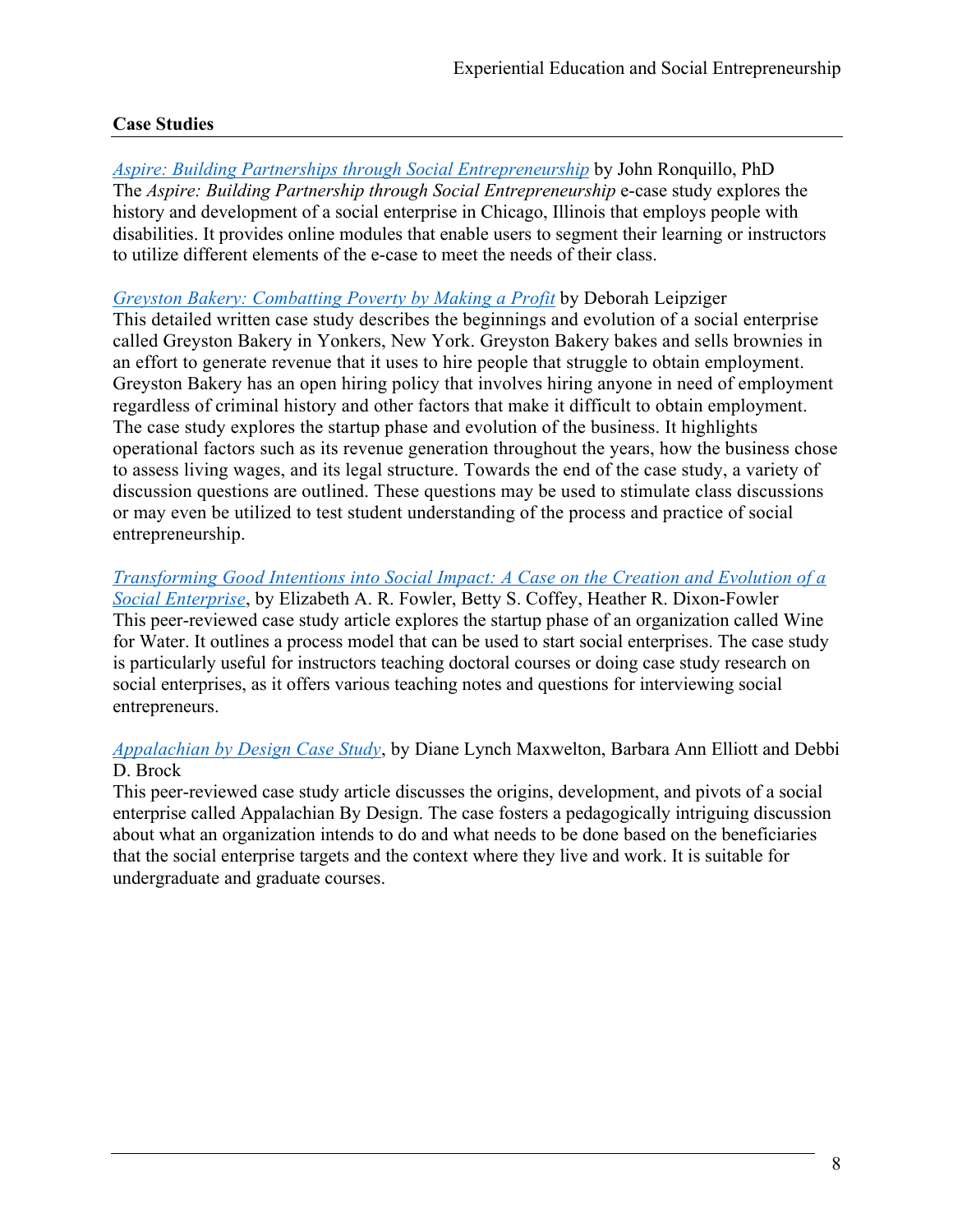# **Case Studies**

*Aspire: Building Partnerships through Social Entrepreneurship* by John Ronquillo, PhD The *Aspire: Building Partnership through Social Entrepreneurship* e-case study explores the history and development of a social enterprise in Chicago, Illinois that employs people with disabilities. It provides online modules that enable users to segment their learning or instructors to utilize different elements of the e-case to meet the needs of their class.

*Greyston Bakery: Combatting Poverty by Making a Profit* by Deborah Leipziger This detailed written case study describes the beginnings and evolution of a social enterprise called Greyston Bakery in Yonkers, New York. Greyston Bakery bakes and sells brownies in an effort to generate revenue that it uses to hire people that struggle to obtain employment. Greyston Bakery has an open hiring policy that involves hiring anyone in need of employment regardless of criminal history and other factors that make it difficult to obtain employment. The case study explores the startup phase and evolution of the business. It highlights operational factors such as its revenue generation throughout the years, how the business chose to assess living wages, and its legal structure. Towards the end of the case study, a variety of discussion questions are outlined. These questions may be used to stimulate class discussions or may even be utilized to test student understanding of the process and practice of social entrepreneurship.

*Transforming Good Intentions into Social Impact: A Case on the Creation and Evolution of a Social Enterprise*, by Elizabeth A. R. Fowler, Betty S. Coffey, Heather R. Dixon-Fowler This peer-reviewed case study article explores the startup phase of an organization called Wine for Water. It outlines a process model that can be used to start social enterprises. The case study is particularly useful for instructors teaching doctoral courses or doing case study research on social enterprises, as it offers various teaching notes and questions for interviewing social entrepreneurs.

### *Appalachian by Design Case Study*, by Diane Lynch Maxwelton, Barbara Ann Elliott and Debbi D. Brock

This peer-reviewed case study article discusses the origins, development, and pivots of a social enterprise called Appalachian By Design. The case fosters a pedagogically intriguing discussion about what an organization intends to do and what needs to be done based on the beneficiaries that the social enterprise targets and the context where they live and work. It is suitable for undergraduate and graduate courses.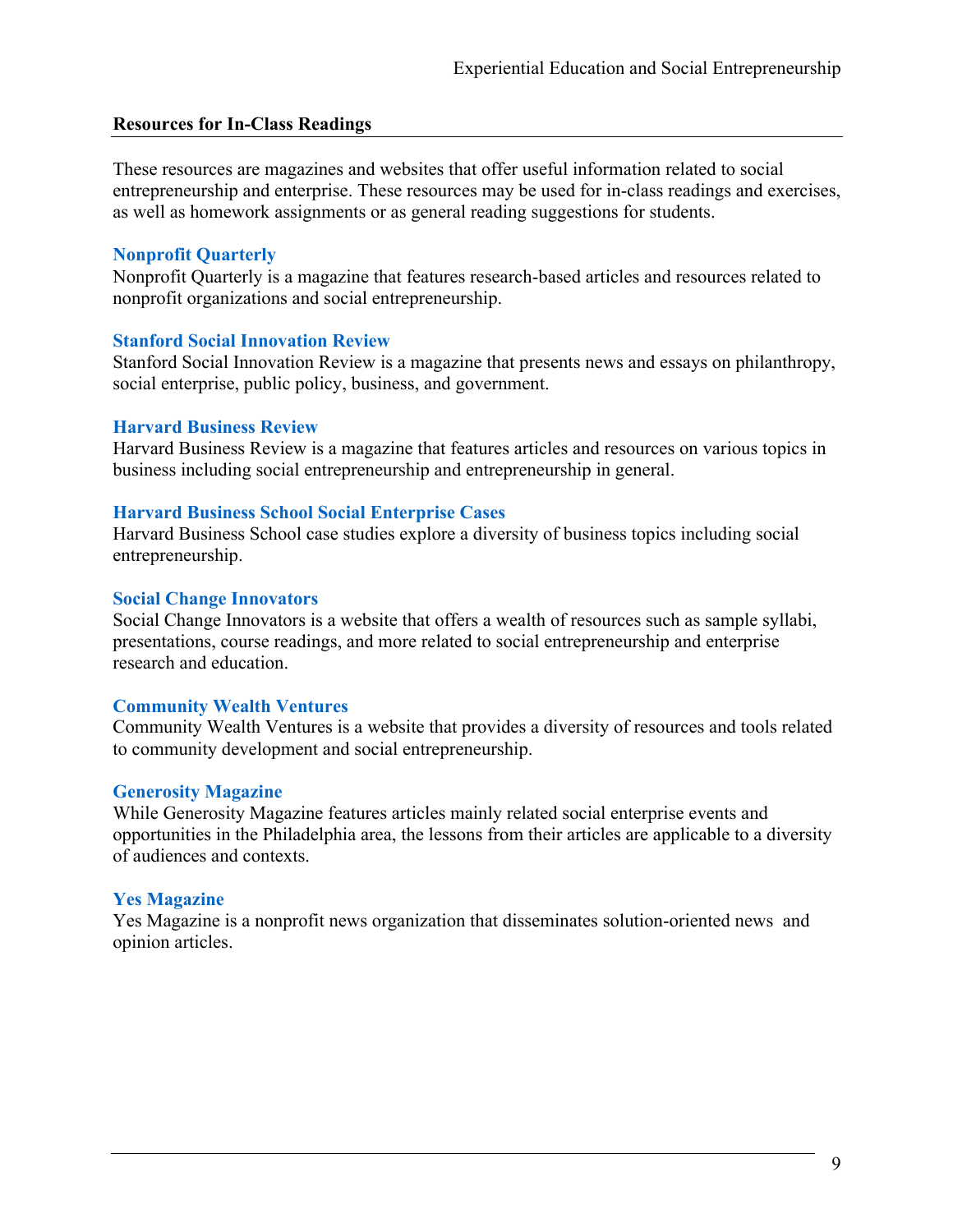#### **Resources for In-Class Readings**

These resources are magazines and websites that offer useful information related to social entrepreneurship and enterprise. These resources may be used for in-class readings and exercises, as well as homework assignments or as general reading suggestions for students.

#### **Nonprofit Quarterly**

Nonprofit Quarterly is a magazine that features research-based articles and resources related to nonprofit organizations and social entrepreneurship.

#### **Stanford Social Innovation Review**

Stanford Social Innovation Review is a magazine that presents news and essays on philanthropy, social enterprise, public policy, business, and government.

#### **Harvard Business Review**

Harvard Business Review is a magazine that features articles and resources on various topics in business including social entrepreneurship and entrepreneurship in general.

#### **Harvard Business School Social Enterprise Cases**

Harvard Business School case studies explore a diversity of business topics including social entrepreneurship.

#### **Social Change Innovators**

Social Change Innovators is a website that offers a wealth of resources such as sample syllabi, presentations, course readings, and more related to social entrepreneurship and enterprise research and education.

### **Community Wealth Ventures**

Community Wealth Ventures is a website that provides a diversity of resources and tools related to community development and social entrepreneurship.

### **Generosity Magazine**

While Generosity Magazine features articles mainly related social enterprise events and opportunities in the Philadelphia area, the lessons from their articles are applicable to a diversity of audiences and contexts.

### **Yes Magazine**

Yes Magazine is a nonprofit news organization that disseminates solution-oriented news and opinion articles.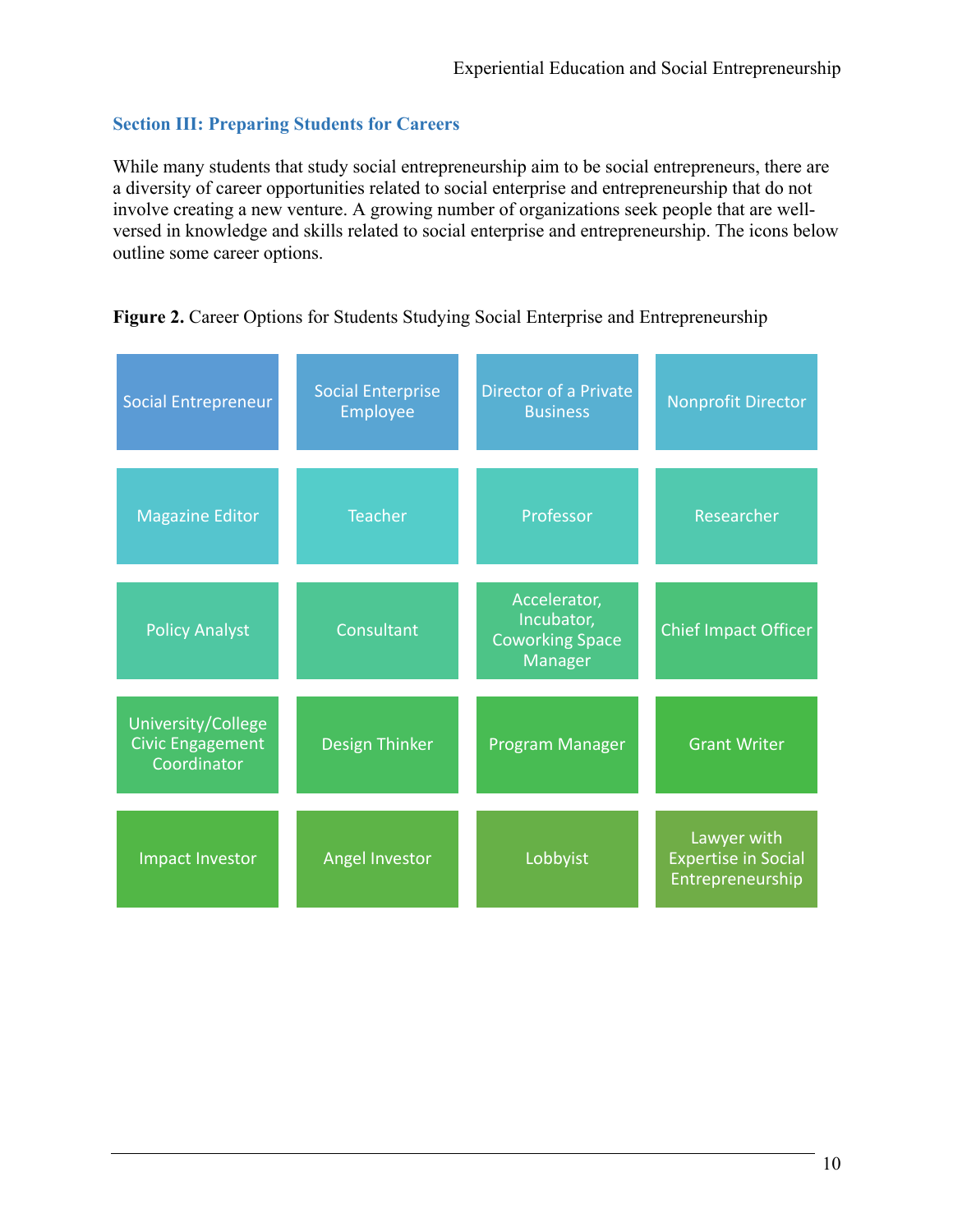# **Section III: Preparing Students for Careers**

While many students that study social entrepreneurship aim to be social entrepreneurs, there are a diversity of career opportunities related to social enterprise and entrepreneurship that do not involve creating a new venture. A growing number of organizations seek people that are wellversed in knowledge and skills related to social enterprise and entrepreneurship. The icons below outline some career options.

| <b>Social Entrepreneur</b>                                   | <b>Social Enterprise</b><br>Employee | <b>Director of a Private</b><br><b>Business</b>                 | <b>Nonprofit Director</b>                                     |  |
|--------------------------------------------------------------|--------------------------------------|-----------------------------------------------------------------|---------------------------------------------------------------|--|
| <b>Teacher</b><br><b>Magazine Editor</b>                     |                                      | Professor                                                       | Researcher                                                    |  |
| Consultant<br><b>Policy Analyst</b>                          |                                      | Accelerator,<br>Incubator,<br><b>Coworking Space</b><br>Manager | <b>Chief Impact Officer</b>                                   |  |
| University/College<br><b>Civic Engagement</b><br>Coordinator | <b>Design Thinker</b>                | Program Manager                                                 | <b>Grant Writer</b>                                           |  |
| Angel Investor<br>Impact Investor                            |                                      | Lobbyist                                                        | Lawyer with<br><b>Expertise in Social</b><br>Entrepreneurship |  |

# Figure 2. Career Options for Students Studying Social Enterprise and Entrepreneurship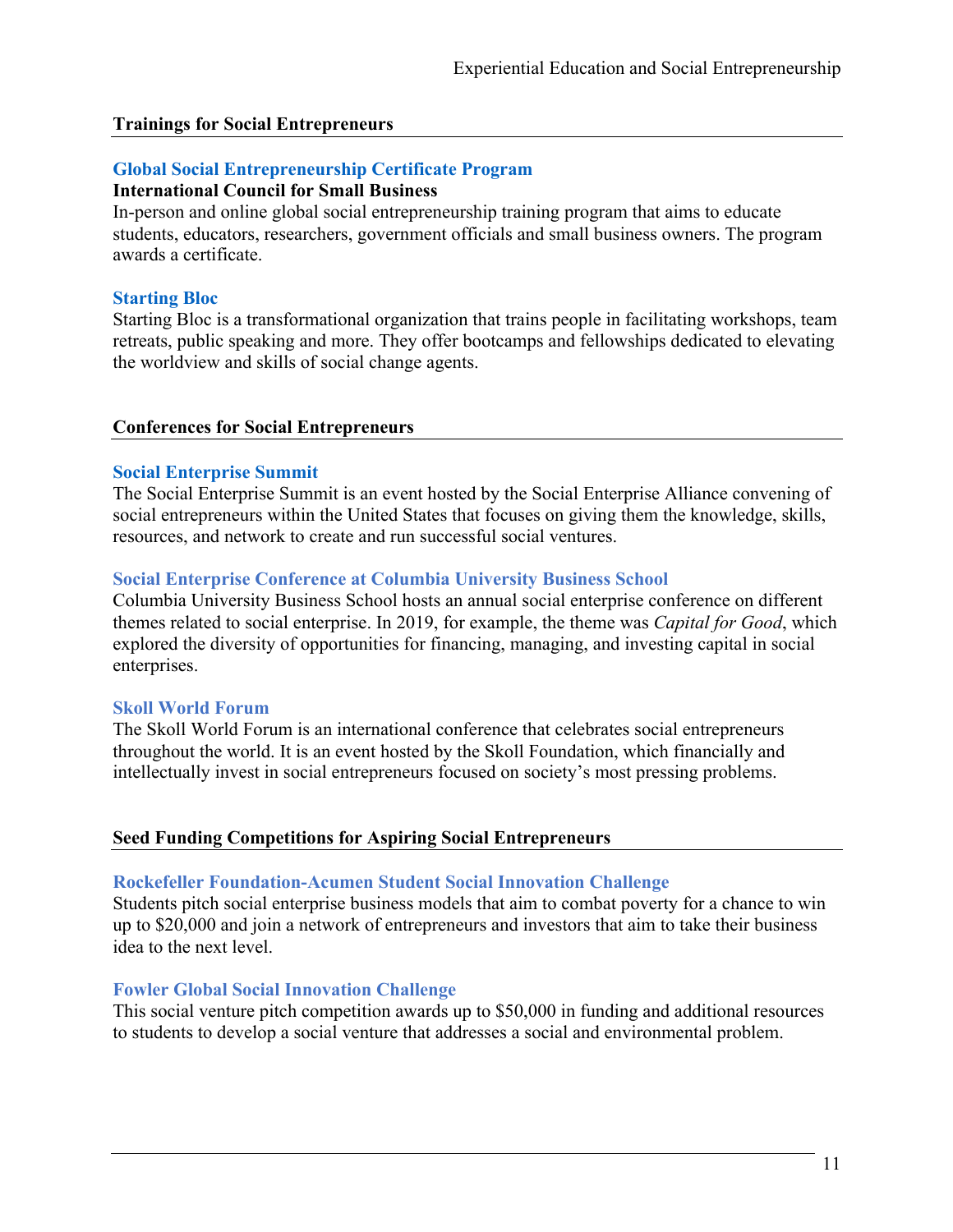#### **Trainings for Social Entrepreneurs**

#### **Global Social Entrepreneurship Certificate Program**

#### **International Council for Small Business**

In-person and online global social entrepreneurship training program that aims to educate students, educators, researchers, government officials and small business owners. The program awards a certificate.

#### **Starting Bloc**

Starting Bloc is a transformational organization that trains people in facilitating workshops, team retreats, public speaking and more. They offer bootcamps and fellowships dedicated to elevating the worldview and skills of social change agents.

#### **Conferences for Social Entrepreneurs**

#### **Social Enterprise Summit**

The Social Enterprise Summit is an event hosted by the Social Enterprise Alliance convening of social entrepreneurs within the United States that focuses on giving them the knowledge, skills, resources, and network to create and run successful social ventures.

#### **Social Enterprise Conference at Columbia University Business School**

Columbia University Business School hosts an annual social enterprise conference on different themes related to social enterprise. In 2019, for example, the theme was *Capital for Good*, which explored the diversity of opportunities for financing, managing, and investing capital in social enterprises.

#### **Skoll World Forum**

The Skoll World Forum is an international conference that celebrates social entrepreneurs throughout the world. It is an event hosted by the Skoll Foundation, which financially and intellectually invest in social entrepreneurs focused on society's most pressing problems.

#### **Seed Funding Competitions for Aspiring Social Entrepreneurs**

#### **Rockefeller Foundation-Acumen Student Social Innovation Challenge**

Students pitch social enterprise business models that aim to combat poverty for a chance to win up to \$20,000 and join a network of entrepreneurs and investors that aim to take their business idea to the next level.

#### **Fowler Global Social Innovation Challenge**

This social venture pitch competition awards up to \$50,000 in funding and additional resources to students to develop a social venture that addresses a social and environmental problem.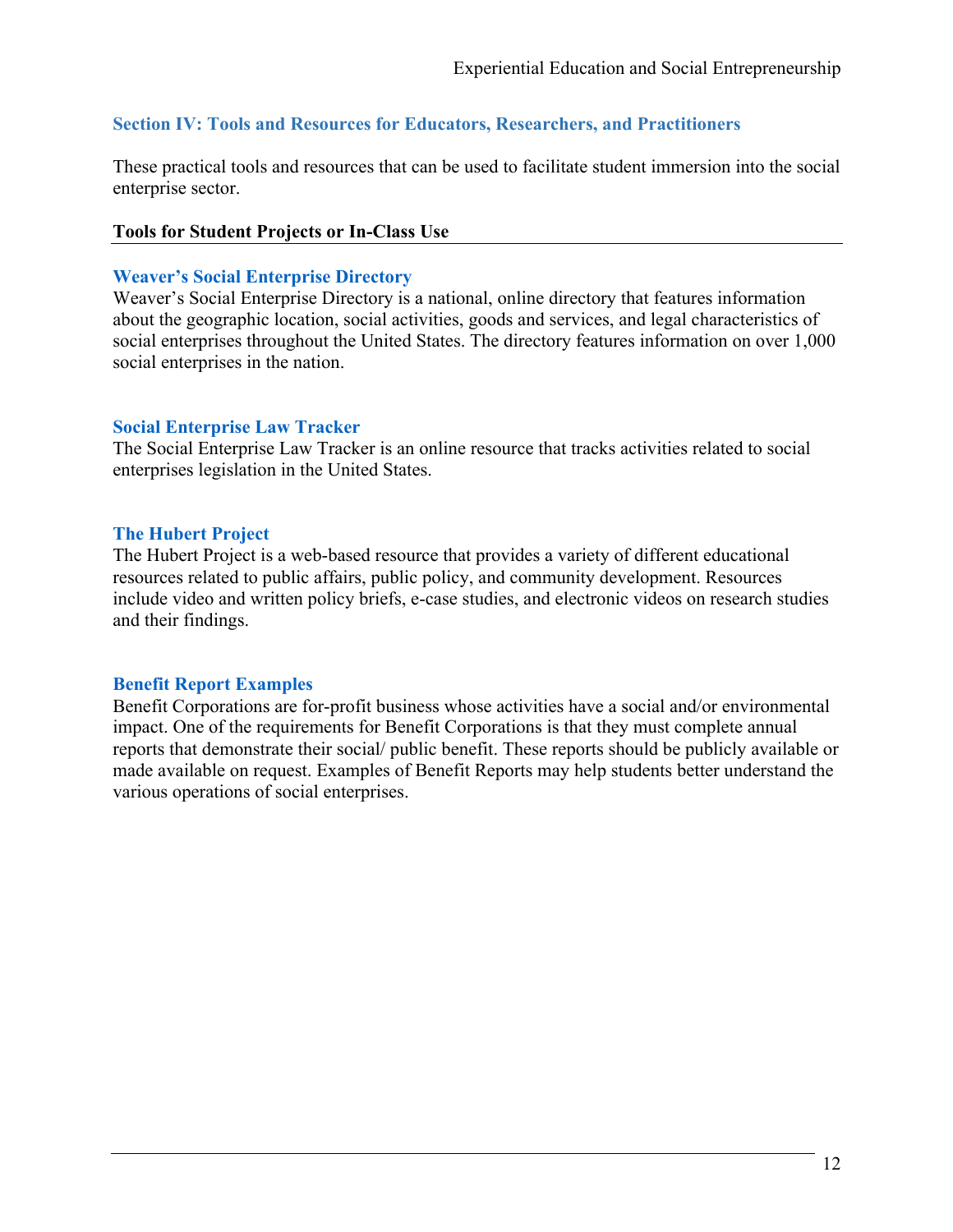# **Section IV: Tools and Resources for Educators, Researchers, and Practitioners**

These practical tools and resources that can be used to facilitate student immersion into the social enterprise sector.

#### **Tools for Student Projects or In-Class Use**

#### **Weaver's Social Enterprise Directory**

Weaver's Social Enterprise Directory is a national, online directory that features information about the geographic location, social activities, goods and services, and legal characteristics of social enterprises throughout the United States. The directory features information on over 1,000 social enterprises in the nation.

#### **Social Enterprise Law Tracker**

The Social Enterprise Law Tracker is an online resource that tracks activities related to social enterprises legislation in the United States.

#### **The Hubert Project**

The Hubert Project is a web-based resource that provides a variety of different educational resources related to public affairs, public policy, and community development. Resources include video and written policy briefs, e-case studies, and electronic videos on research studies and their findings.

### **Benefit Report Examples**

Benefit Corporations are for-profit business whose activities have a social and/or environmental impact. One of the requirements for Benefit Corporations is that they must complete annual reports that demonstrate their social/ public benefit. These reports should be publicly available or made available on request. Examples of Benefit Reports may help students better understand the various operations of social enterprises.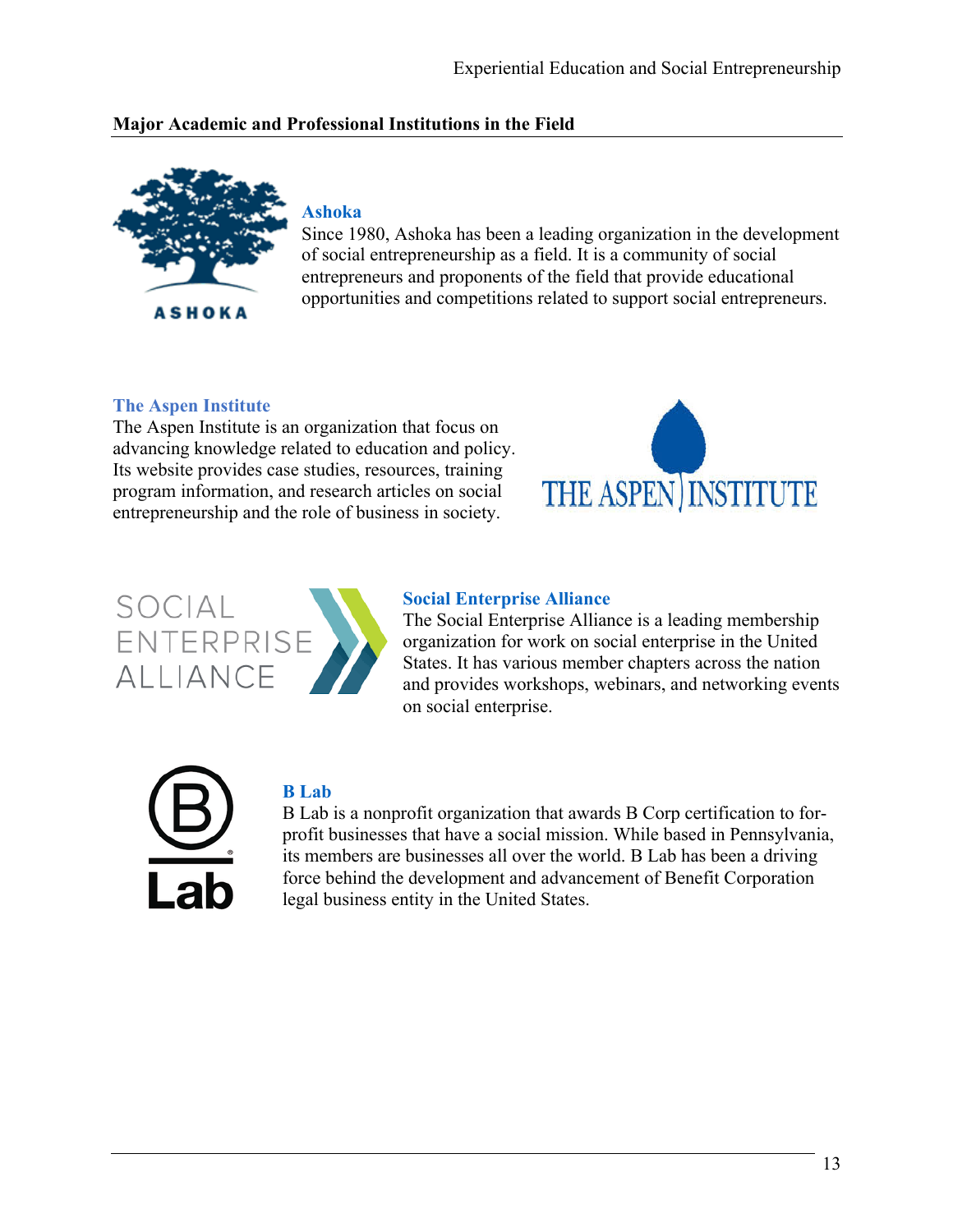# **Major Academic and Professional Institutions in the Field**



# **Ashoka**

Since 1980, Ashoka has been a leading organization in the development of social entrepreneurship as a field. It is a community of social entrepreneurs and proponents of the field that provide educational opportunities and competitions related to support social entrepreneurs.

# **The Aspen Institute**

The Aspen Institute is an organization that focus on advancing knowledge related to education and policy. Its website provides case studies, resources, training program information, and research articles on social entrepreneurship and the role of business in society.





#### **Social Enterprise Alliance**

The Social Enterprise Alliance is a leading membership organization for work on social enterprise in the United States. It has various member chapters across the nation and provides workshops, webinars, and networking events on social enterprise.



# **B Lab**

B Lab is a nonprofit organization that awards B Corp certification to forprofit businesses that have a social mission. While based in Pennsylvania, its members are businesses all over the world. B Lab has been a driving force behind the development and advancement of Benefit Corporation legal business entity in the United States.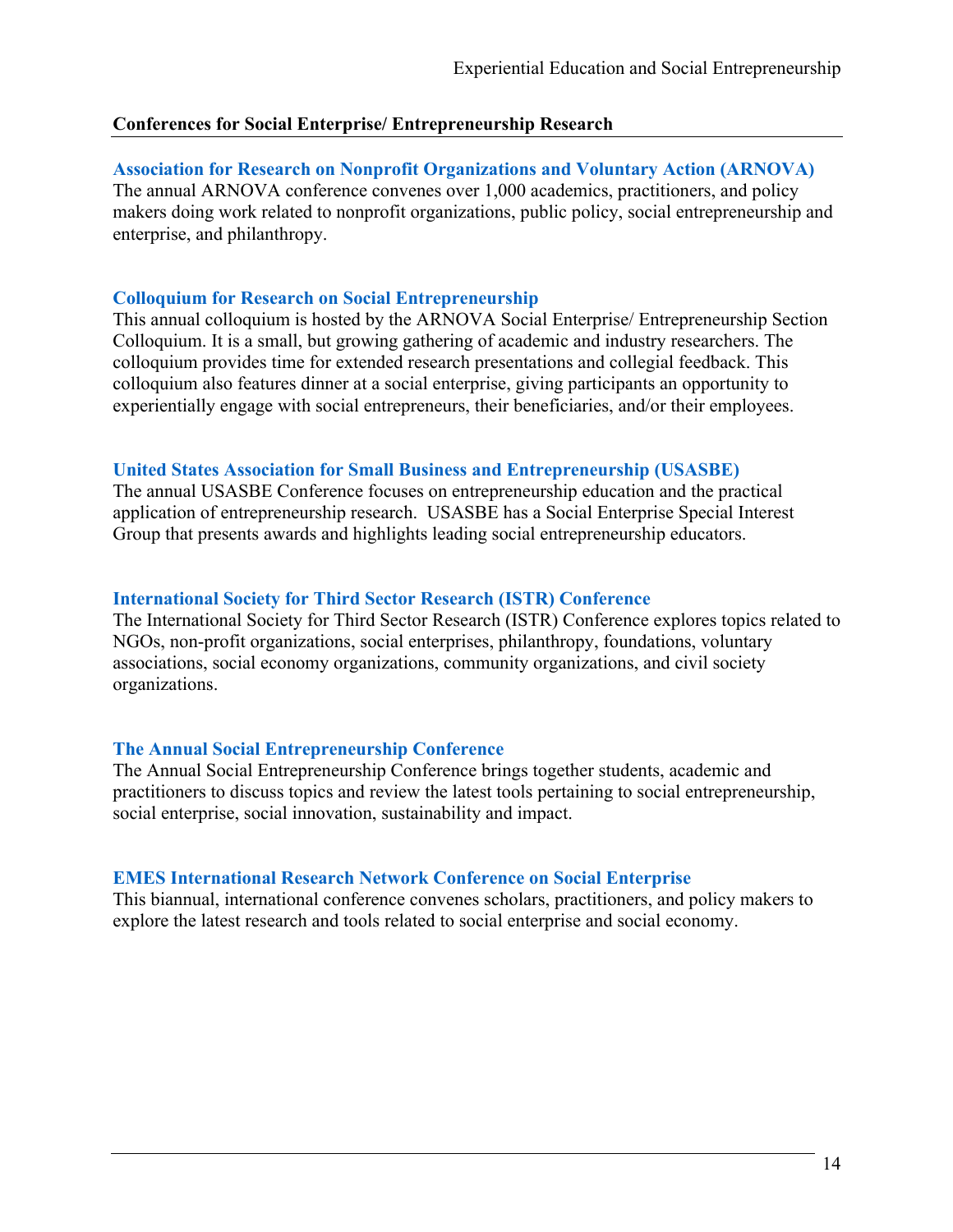#### **Conferences for Social Enterprise/ Entrepreneurship Research**

#### **Association for Research on Nonprofit Organizations and Voluntary Action (ARNOVA)**

The annual ARNOVA conference convenes over 1,000 academics, practitioners, and policy makers doing work related to nonprofit organizations, public policy, social entrepreneurship and enterprise, and philanthropy.

#### **Colloquium for Research on Social Entrepreneurship**

This annual colloquium is hosted by the ARNOVA Social Enterprise/ Entrepreneurship Section Colloquium. It is a small, but growing gathering of academic and industry researchers. The colloquium provides time for extended research presentations and collegial feedback. This colloquium also features dinner at a social enterprise, giving participants an opportunity to experientially engage with social entrepreneurs, their beneficiaries, and/or their employees.

#### **United States Association for Small Business and Entrepreneurship (USASBE)**

The annual USASBE Conference focuses on entrepreneurship education and the practical application of entrepreneurship research. USASBE has a Social Enterprise Special Interest Group that presents awards and highlights leading social entrepreneurship educators.

#### **International Society for Third Sector Research (ISTR) Conference**

The International Society for Third Sector Research (ISTR) Conference explores topics related to NGOs, non‐profit organizations, social enterprises, philanthropy, foundations, voluntary associations, social economy organizations, community organizations, and civil society organizations.

#### **The Annual Social Entrepreneurship Conference**

The Annual Social Entrepreneurship Conference brings together students, academic and practitioners to discuss topics and review the latest tools pertaining to social entrepreneurship, social enterprise, social innovation, sustainability and impact.

#### **EMES International Research Network Conference on Social Enterprise**

This biannual, international conference convenes scholars, practitioners, and policy makers to explore the latest research and tools related to social enterprise and social economy.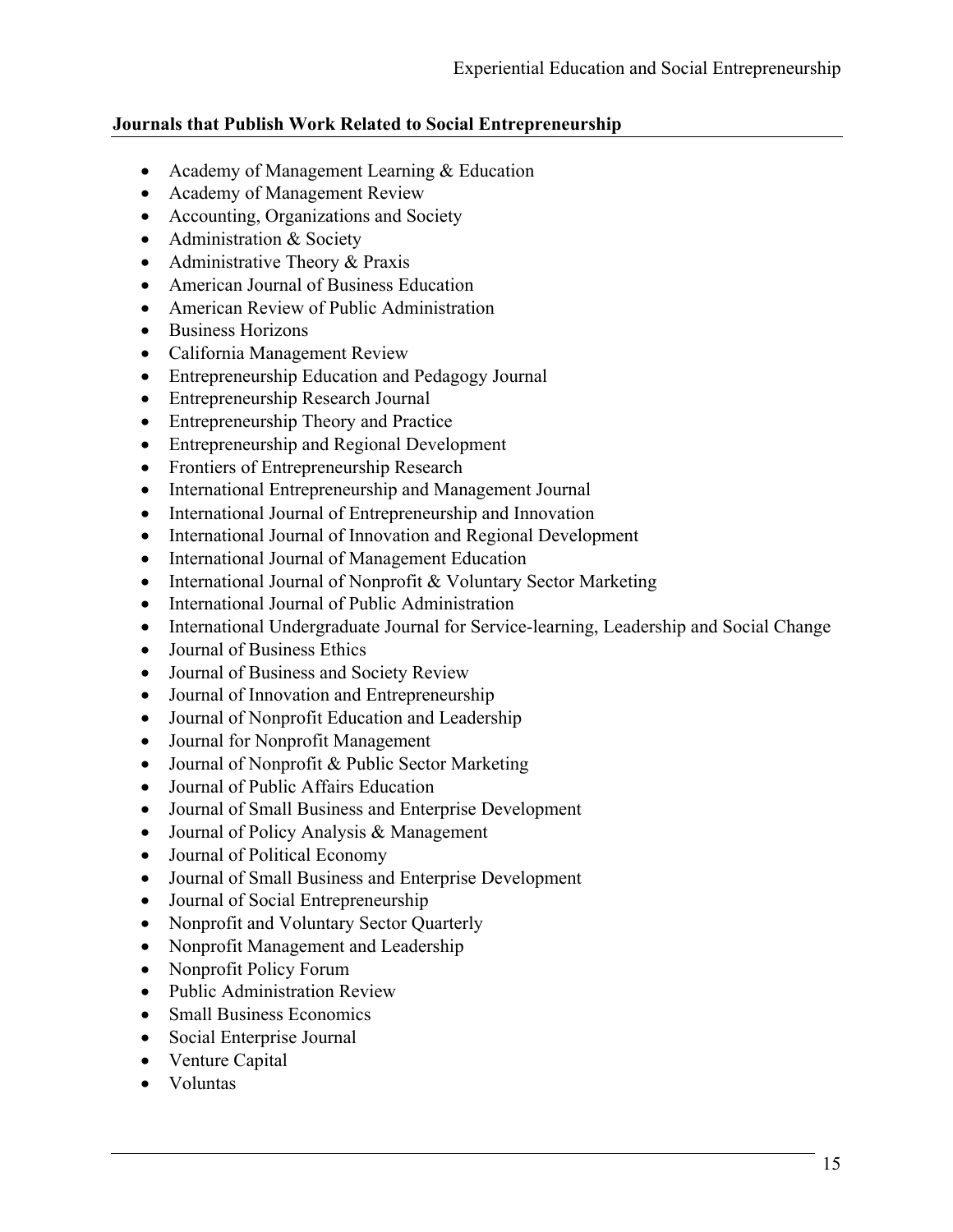# **Journals that Publish Work Related to Social Entrepreneurship**

- Academy of Management Learning & Education
- Academy of Management Review
- Accounting, Organizations and Society
- Administration & Society
- Administrative Theory & Praxis
- American Journal of Business Education
- American Review of Public Administration
- Business Horizons
- California Management Review
- Entrepreneurship Education and Pedagogy Journal
- Entrepreneurship Research Journal
- Entrepreneurship Theory and Practice
- Entrepreneurship and Regional Development
- Frontiers of Entrepreneurship Research
- International Entrepreneurship and Management Journal
- International Journal of Entrepreneurship and Innovation
- International Journal of Innovation and Regional Development
- International Journal of Management Education
- International Journal of Nonprofit & Voluntary Sector Marketing
- International Journal of Public Administration
- International Undergraduate Journal for Service-learning, Leadership and Social Change
- Journal of Business Ethics
- Journal of Business and Society Review
- Journal of Innovation and Entrepreneurship
- Journal of Nonprofit Education and Leadership
- Journal for Nonprofit Management
- Journal of Nonprofit & Public Sector Marketing
- Journal of Public Affairs Education
- Journal of Small Business and Enterprise Development
- Journal of Policy Analysis & Management
- Journal of Political Economy
- Journal of Small Business and Enterprise Development
- Journal of Social Entrepreneurship
- Nonprofit and Voluntary Sector Quarterly
- Nonprofit Management and Leadership
- Nonprofit Policy Forum
- Public Administration Review
- Small Business Economics
- Social Enterprise Journal
- Venture Capital
- Voluntas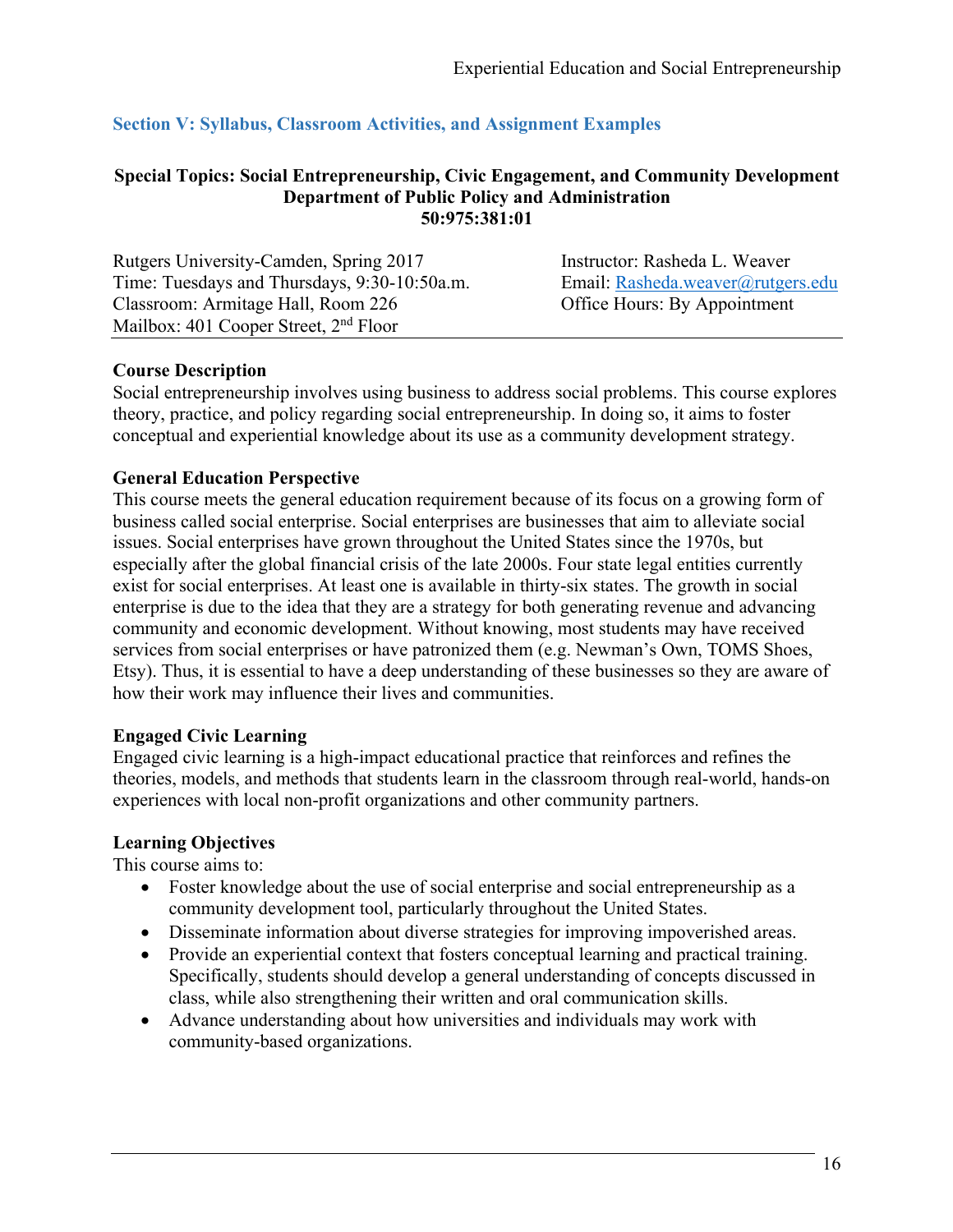# **Section V: Syllabus, Classroom Activities, and Assignment Examples**

#### **Special Topics: Social Entrepreneurship, Civic Engagement, and Community Development Department of Public Policy and Administration 50:975:381:01**

| Rutgers University-Camden, Spring 2017       | Instructor: Rasheda L. Weaver     |
|----------------------------------------------|-----------------------------------|
| Time: Tuesdays and Thursdays, 9:30-10:50a.m. | Email: Rasheda.weaver@rutgers.edu |
| Classroom: Armitage Hall, Room 226           | Office Hours: By Appointment      |
| Mailbox: 401 Cooper Street, $2nd$ Floor      |                                   |

#### **Course Description**

Social entrepreneurship involves using business to address social problems. This course explores theory, practice, and policy regarding social entrepreneurship. In doing so, it aims to foster conceptual and experiential knowledge about its use as a community development strategy.

#### **General Education Perspective**

This course meets the general education requirement because of its focus on a growing form of business called social enterprise. Social enterprises are businesses that aim to alleviate social issues. Social enterprises have grown throughout the United States since the 1970s, but especially after the global financial crisis of the late 2000s. Four state legal entities currently exist for social enterprises. At least one is available in thirty-six states. The growth in social enterprise is due to the idea that they are a strategy for both generating revenue and advancing community and economic development. Without knowing, most students may have received services from social enterprises or have patronized them (e.g. Newman's Own, TOMS Shoes, Etsy). Thus, it is essential to have a deep understanding of these businesses so they are aware of how their work may influence their lives and communities.

### **Engaged Civic Learning**

Engaged civic learning is a high-impact educational practice that reinforces and refines the theories, models, and methods that students learn in the classroom through real-world, hands-on experiences with local non-profit organizations and other community partners.

#### **Learning Objectives**

This course aims to:

- Foster knowledge about the use of social enterprise and social entrepreneurship as a community development tool, particularly throughout the United States.
- Disseminate information about diverse strategies for improving impoverished areas.
- Provide an experiential context that fosters conceptual learning and practical training. Specifically, students should develop a general understanding of concepts discussed in class, while also strengthening their written and oral communication skills.
- Advance understanding about how universities and individuals may work with community-based organizations.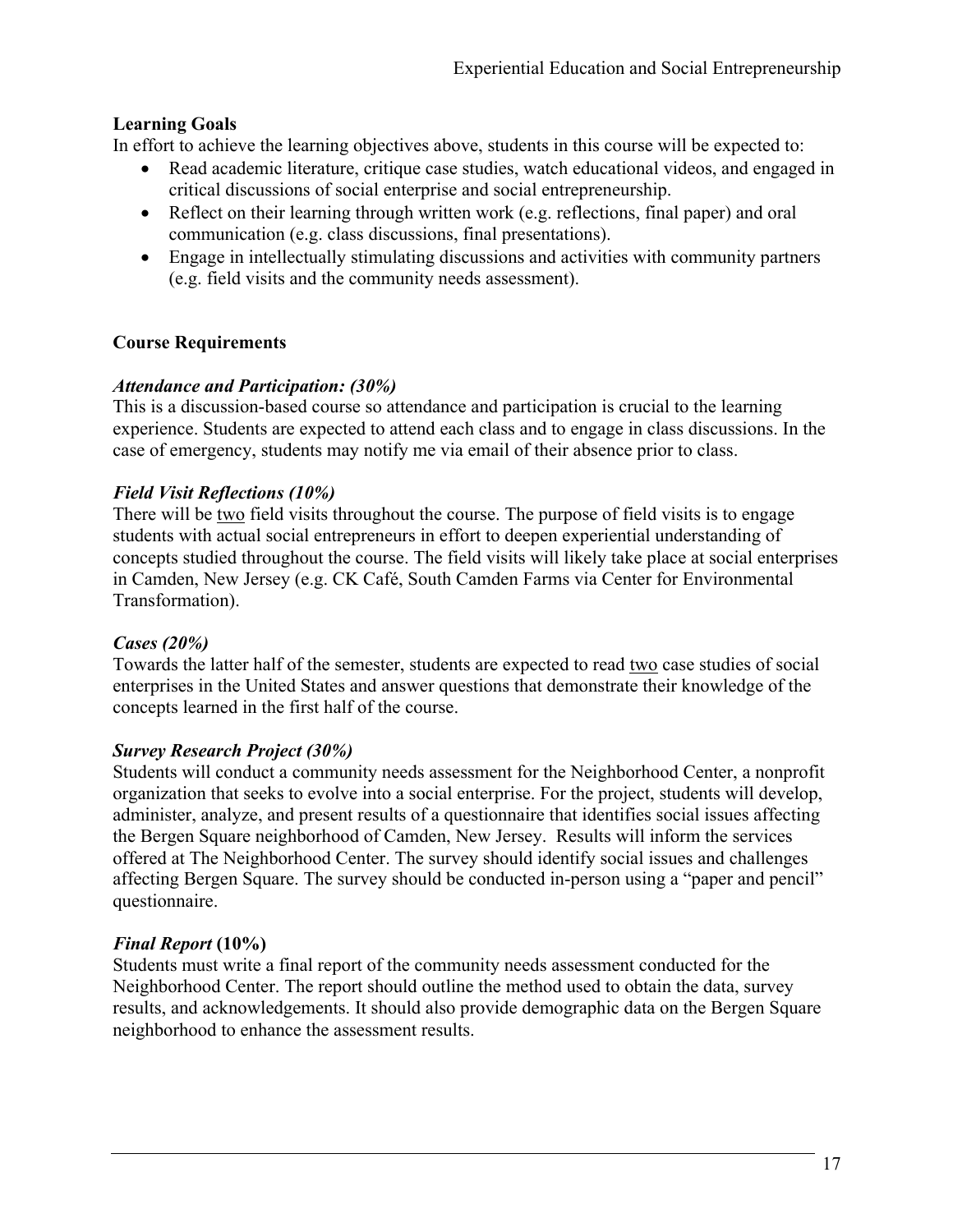# **Learning Goals**

In effort to achieve the learning objectives above, students in this course will be expected to:

- Read academic literature, critique case studies, watch educational videos, and engaged in critical discussions of social enterprise and social entrepreneurship.
- Reflect on their learning through written work (e.g. reflections, final paper) and oral communication (e.g. class discussions, final presentations).
- Engage in intellectually stimulating discussions and activities with community partners (e.g. field visits and the community needs assessment).

# **Course Requirements**

# *Attendance and Participation: (30%)*

This is a discussion-based course so attendance and participation is crucial to the learning experience. Students are expected to attend each class and to engage in class discussions. In the case of emergency, students may notify me via email of their absence prior to class.

# *Field Visit Reflections (10%)*

There will be two field visits throughout the course. The purpose of field visits is to engage students with actual social entrepreneurs in effort to deepen experiential understanding of concepts studied throughout the course. The field visits will likely take place at social enterprises in Camden, New Jersey (e.g. CK Café, South Camden Farms via Center for Environmental Transformation).

### *Cases (20%)*

Towards the latter half of the semester, students are expected to read two case studies of social enterprises in the United States and answer questions that demonstrate their knowledge of the concepts learned in the first half of the course.

### *Survey Research Project (30%)*

Students will conduct a community needs assessment for the Neighborhood Center, a nonprofit organization that seeks to evolve into a social enterprise. For the project, students will develop, administer, analyze, and present results of a questionnaire that identifies social issues affecting the Bergen Square neighborhood of Camden, New Jersey. Results will inform the services offered at The Neighborhood Center. The survey should identify social issues and challenges affecting Bergen Square. The survey should be conducted in-person using a "paper and pencil" questionnaire.

# *Final Report* **(10%)**

Students must write a final report of the community needs assessment conducted for the Neighborhood Center. The report should outline the method used to obtain the data, survey results, and acknowledgements. It should also provide demographic data on the Bergen Square neighborhood to enhance the assessment results.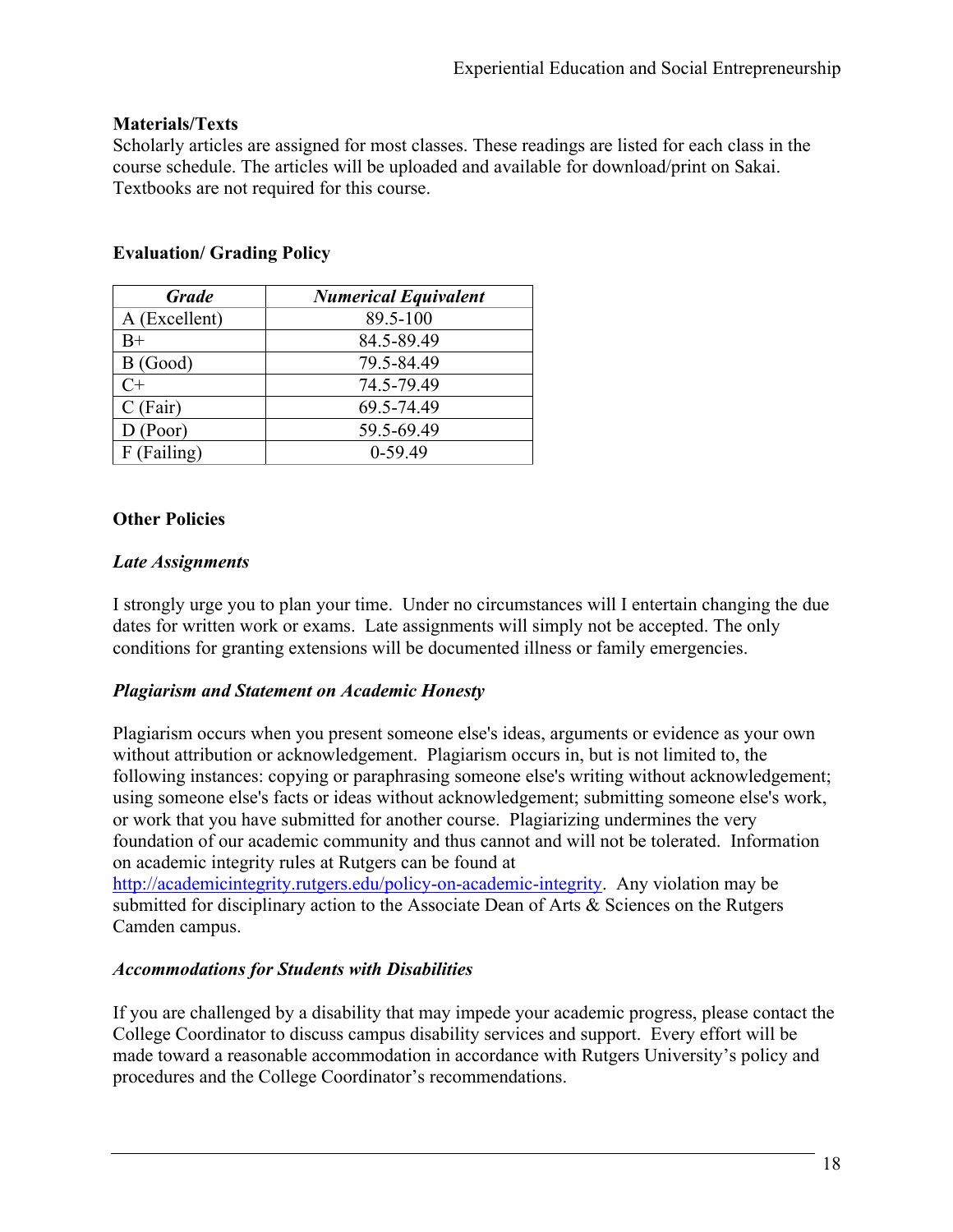#### **Materials/Texts**

Scholarly articles are assigned for most classes. These readings are listed for each class in the course schedule. The articles will be uploaded and available for download/print on Sakai. Textbooks are not required for this course.

| <b>Grade</b>  | <b>Numerical Equivalent</b> |
|---------------|-----------------------------|
| A (Excellent) | 89.5-100                    |
| $B+$          | 84.5-89.49                  |
| B(Good)       | 79.5-84.49                  |
| $C+$          | 74.5-79.49                  |
| $C$ (Fair)    | 69.5-74.49                  |
| D (Poor)      | 59.5-69.49                  |
| F (Failing)   | $0-59.49$                   |

# **Evaluation/ Grading Policy**

### **Other Policies**

#### *Late Assignments*

I strongly urge you to plan your time. Under no circumstances will I entertain changing the due dates for written work or exams. Late assignments will simply not be accepted. The only conditions for granting extensions will be documented illness or family emergencies.

### *Plagiarism and Statement on Academic Honesty*

Plagiarism occurs when you present someone else's ideas, arguments or evidence as your own without attribution or acknowledgement. Plagiarism occurs in, but is not limited to, the following instances: copying or paraphrasing someone else's writing without acknowledgement; using someone else's facts or ideas without acknowledgement; submitting someone else's work, or work that you have submitted for another course. Plagiarizing undermines the very foundation of our academic community and thus cannot and will not be tolerated. Information on academic integrity rules at Rutgers can be found at

http://academicintegrity.rutgers.edu/policy-on-academic-integrity. Any violation may be submitted for disciplinary action to the Associate Dean of Arts & Sciences on the Rutgers Camden campus.

#### *Accommodations for Students with Disabilities*

If you are challenged by a disability that may impede your academic progress, please contact the College Coordinator to discuss campus disability services and support. Every effort will be made toward a reasonable accommodation in accordance with Rutgers University's policy and procedures and the College Coordinator's recommendations.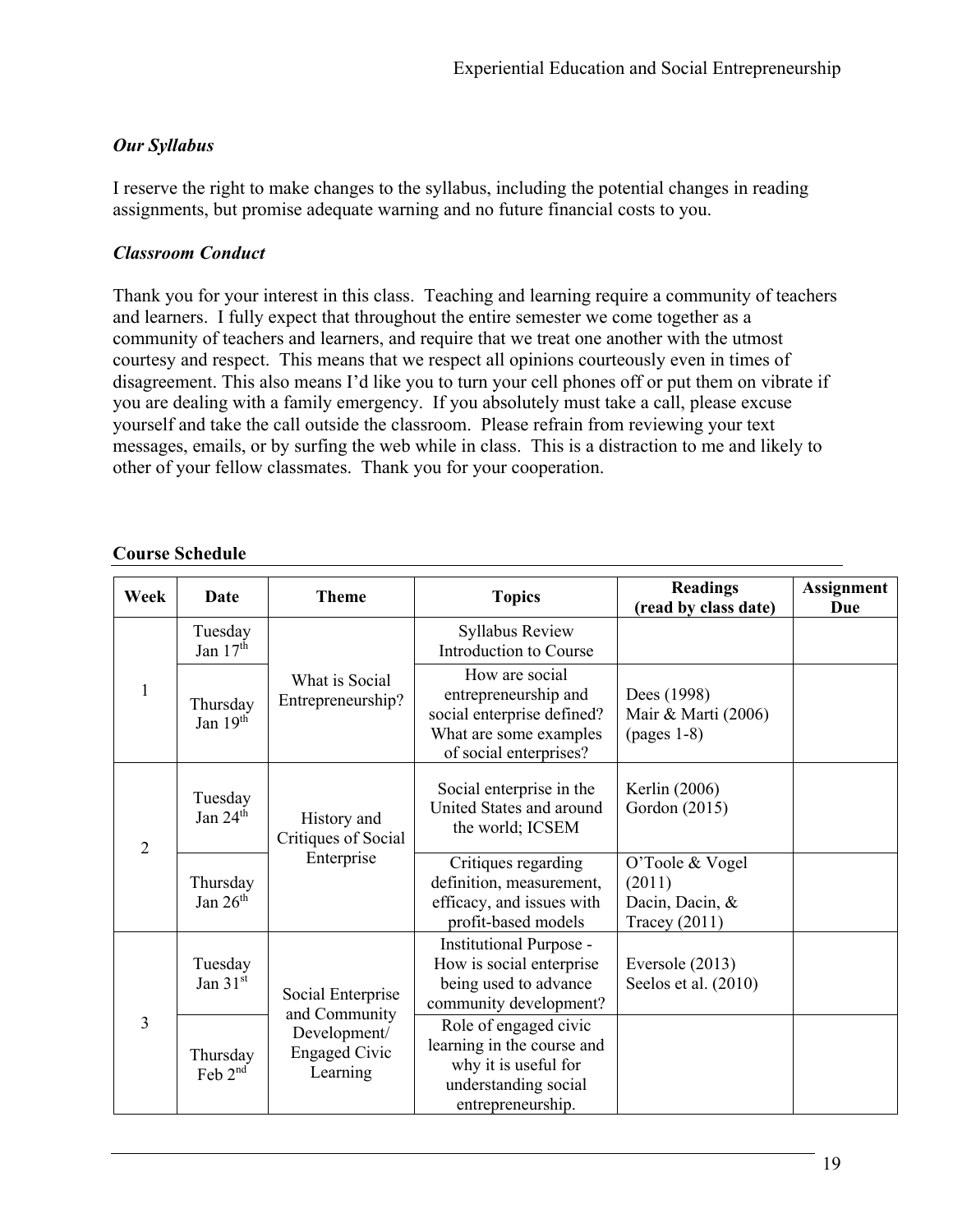# *Our Syllabus*

I reserve the right to make changes to the syllabus, including the potential changes in reading assignments, but promise adequate warning and no future financial costs to you.

# *Classroom Conduct*

Thank you for your interest in this class. Teaching and learning require a community of teachers and learners. I fully expect that throughout the entire semester we come together as a community of teachers and learners, and require that we treat one another with the utmost courtesy and respect. This means that we respect all opinions courteously even in times of disagreement. This also means I'd like you to turn your cell phones off or put them on vibrate if you are dealing with a family emergency. If you absolutely must take a call, please excuse yourself and take the call outside the classroom. Please refrain from reviewing your text messages, emails, or by surfing the web while in class. This is a distraction to me and likely to other of your fellow classmates. Thank you for your cooperation.

# **Course Schedule**

| Week           | Date                   | <b>Theme</b>                                                                           | <b>Topics</b>                                                                                                            | <b>Readings</b><br>(read by class date)                              | <b>Assignment</b><br><b>Due</b> |
|----------------|------------------------|----------------------------------------------------------------------------------------|--------------------------------------------------------------------------------------------------------------------------|----------------------------------------------------------------------|---------------------------------|
|                | Tuesday<br>Jan $17th$  |                                                                                        | Syllabus Review<br>Introduction to Course                                                                                |                                                                      |                                 |
| 1              | Thursday<br>Jan $19th$ | What is Social<br>Entrepreneurship?                                                    | How are social<br>entrepreneurship and<br>social enterprise defined?<br>What are some examples<br>of social enterprises? | Dees (1998)<br>Mair & Marti (2006)<br>$(pages 1-8)$                  |                                 |
| $\overline{2}$ | Tuesday<br>Jan $24th$  | History and<br>Critiques of Social                                                     | Social enterprise in the<br>United States and around<br>the world; ICSEM                                                 | Kerlin (2006)<br>Gordon (2015)                                       |                                 |
|                | Thursday<br>Jan $26th$ | Enterprise                                                                             | Critiques regarding<br>definition, measurement,<br>efficacy, and issues with<br>profit-based models                      | O'Toole & Vogel<br>(2011)<br>Dacin, Dacin, &<br><b>Tracey</b> (2011) |                                 |
|                | Tuesday<br>Jan $31st$  | Social Enterprise<br>and Community<br>Development/<br><b>Engaged Civic</b><br>Learning | Institutional Purpose -<br>How is social enterprise<br>being used to advance<br>community development?                   | Eversole (2013)<br>Seelos et al. (2010)                              |                                 |
| 3              | Thursday<br>Feb $2nd$  |                                                                                        | Role of engaged civic<br>learning in the course and<br>why it is useful for<br>understanding social<br>entrepreneurship. |                                                                      |                                 |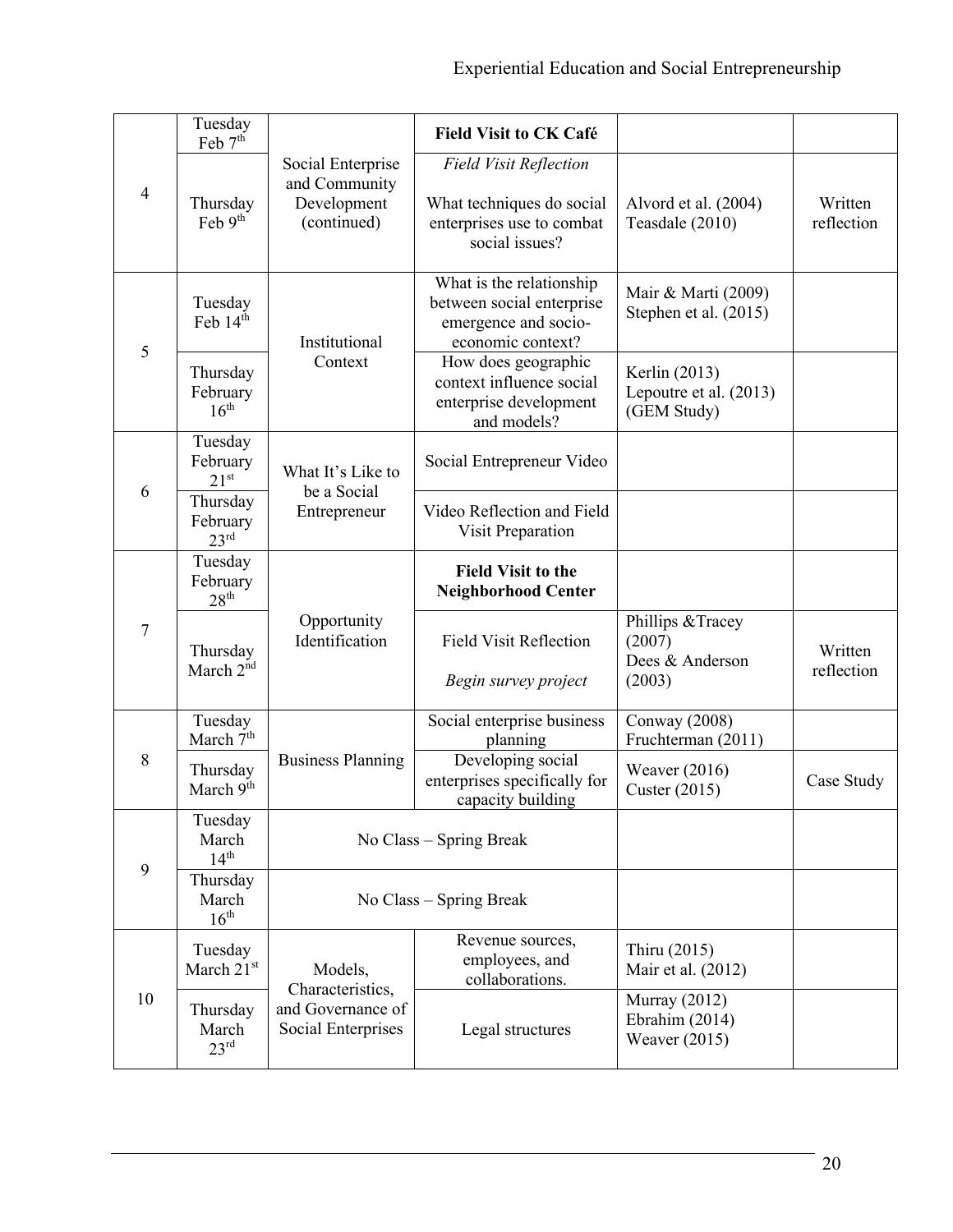|                                                               | Tuesday<br>Feb 7 <sup>th</sup>           |                                                                  | <b>Field Visit to CK Café</b>                                                                             |                                                          |                       |
|---------------------------------------------------------------|------------------------------------------|------------------------------------------------------------------|-----------------------------------------------------------------------------------------------------------|----------------------------------------------------------|-----------------------|
| $\overline{4}$                                                | Thursday<br>Feb $9th$                    | Social Enterprise<br>and Community<br>Development<br>(continued) | <b>Field Visit Reflection</b><br>What techniques do social<br>enterprises use to combat<br>social issues? | Alvord et al. (2004)<br>Teasdale (2010)                  | Written<br>reflection |
| 5                                                             | Tuesday<br>Feb 14th                      | Institutional                                                    | What is the relationship<br>between social enterprise<br>emergence and socio-<br>economic context?        | Mair & Marti (2009)<br>Stephen et al. (2015)             |                       |
|                                                               | Thursday<br>February<br>$16^{\text{th}}$ | Context                                                          | How does geographic<br>context influence social<br>enterprise development<br>and models?                  | Kerlin (2013)<br>Lepoutre et al. (2013)<br>(GEM Study)   |                       |
| Tuesday<br>February<br>$21^{st}$<br>6<br>Thursday<br>February |                                          | What It's Like to<br>be a Social                                 | Social Entrepreneur Video                                                                                 |                                                          |                       |
|                                                               | 23 <sup>rd</sup>                         | Entrepreneur                                                     | Video Reflection and Field<br>Visit Preparation                                                           |                                                          |                       |
| 7                                                             | Tuesday<br>February<br>28 <sup>th</sup>  |                                                                  | <b>Field Visit to the</b><br><b>Neighborhood Center</b>                                                   |                                                          |                       |
|                                                               | Thursday<br>March 2 <sup>nd</sup>        | Opportunity<br>Identification                                    | <b>Field Visit Reflection</b><br>Begin survey project                                                     | Phillips & Tracey<br>(2007)<br>Dees & Anderson<br>(2003) | Written<br>reflection |
|                                                               | Tuesday<br>March 7 <sup>th</sup>         |                                                                  | Social enterprise business<br>planning                                                                    | Conway (2008)<br>Fruchterman (2011)                      |                       |
| 8                                                             | Thursday<br>March 9th                    | <b>Business Planning</b>                                         | Developing social<br>enterprises specifically for<br>capacity building                                    | Weaver $(2016)$<br>Custer (2015)                         | Case Study            |
| 9                                                             | Tuesday<br>March<br>$14^{\text{th}}$     | No Class – Spring Break                                          |                                                                                                           |                                                          |                       |
|                                                               | Thursday<br>March<br>16 <sup>th</sup>    | No Class – Spring Break                                          |                                                                                                           |                                                          |                       |
| 10                                                            | Tuesday<br>March 21st                    | Models,<br>Characteristics,                                      | Revenue sources,<br>employees, and<br>collaborations.                                                     | Thiru (2015)<br>Mair et al. (2012)                       |                       |
|                                                               | Thursday<br>March<br>23 <sup>rd</sup>    | and Governance of<br>Social Enterprises                          | Legal structures                                                                                          | Murray $(2012)$<br>Ebrahim (2014)<br>Weaver $(2015)$     |                       |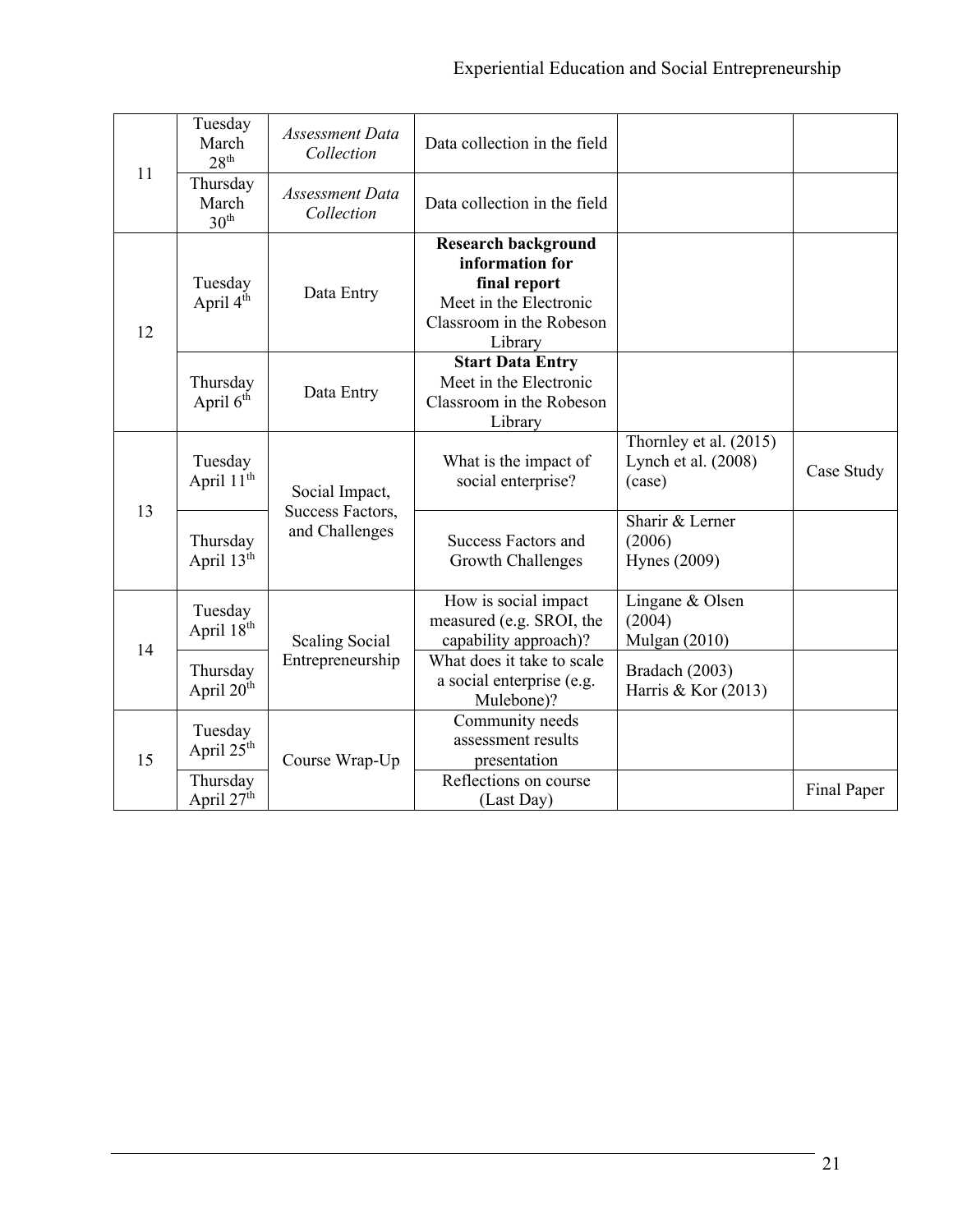|    | Tuesday<br>March<br>$28^{\text{th}}$  | <b>Assessment Data</b><br>Collection | Data collection in the field                                                                                                   |                                                           |             |
|----|---------------------------------------|--------------------------------------|--------------------------------------------------------------------------------------------------------------------------------|-----------------------------------------------------------|-------------|
| 11 | Thursday<br>March<br>30 <sup>th</sup> | Assessment Data<br>Collection        | Data collection in the field                                                                                                   |                                                           |             |
| 12 | Tuesday<br>April 4th                  | Data Entry                           | <b>Research background</b><br>information for<br>final report<br>Meet in the Electronic<br>Classroom in the Robeson<br>Library |                                                           |             |
|    | Thursday<br>April 6 <sup>th</sup>     | Data Entry                           | <b>Start Data Entry</b><br>Meet in the Electronic<br>Classroom in the Robeson<br>Library                                       |                                                           |             |
| 13 | Tuesday<br>April 11 <sup>th</sup>     | Social Impact,                       | What is the impact of<br>social enterprise?                                                                                    | Thornley et al. $(2015)$<br>Lynch et al. (2008)<br>(case) | Case Study  |
|    | Thursday<br>April 13th                | Success Factors,<br>and Challenges   | <b>Success Factors and</b><br>Growth Challenges                                                                                | Sharir & Lerner<br>(2006)<br><b>Hynes</b> (2009)          |             |
| 14 | Tuesday<br>April 18th                 | <b>Scaling Social</b>                | How is social impact<br>measured (e.g. SROI, the<br>capability approach)?                                                      | Lingane & Olsen<br>(2004)<br><b>Mulgan (2010)</b>         |             |
|    | Thursday<br>April 20th                | Entrepreneurship                     | What does it take to scale<br>a social enterprise (e.g.<br>Mulebone)?                                                          | Bradach (2003)<br>Harris & Kor (2013)                     |             |
| 15 | Tuesday<br>April 25 <sup>th</sup>     | Course Wrap-Up                       | Community needs<br>assessment results<br>presentation                                                                          |                                                           |             |
|    | Thursday<br>April 27 <sup>th</sup>    |                                      | Reflections on course<br>(Last Day)                                                                                            |                                                           | Final Paper |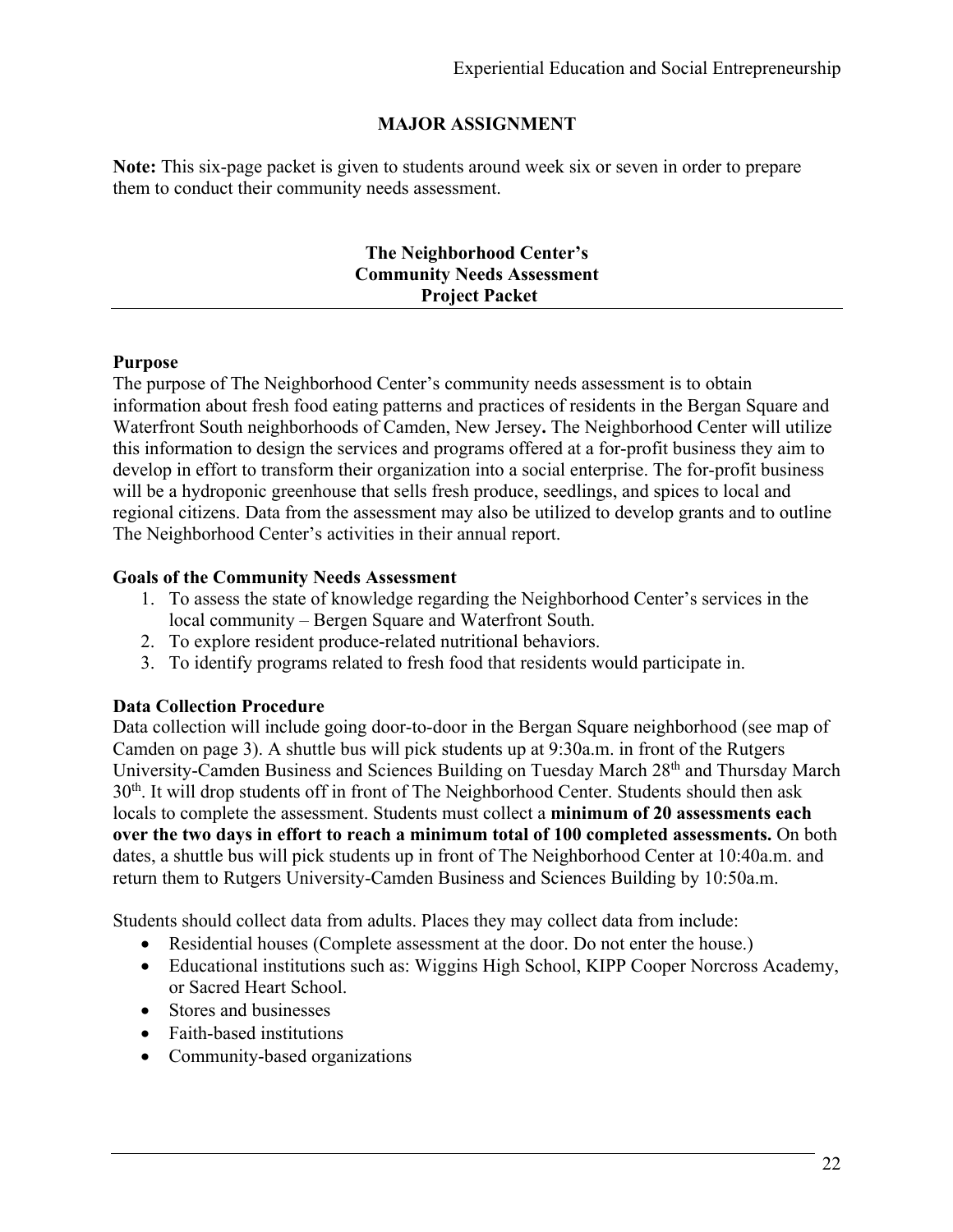# **MAJOR ASSIGNMENT**

**Note:** This six-page packet is given to students around week six or seven in order to prepare them to conduct their community needs assessment.

#### **The Neighborhood Center's Community Needs Assessment Project Packet**

#### **Purpose**

The purpose of The Neighborhood Center's community needs assessment is to obtain information about fresh food eating patterns and practices of residents in the Bergan Square and Waterfront South neighborhoods of Camden, New Jersey**.** The Neighborhood Center will utilize this information to design the services and programs offered at a for-profit business they aim to develop in effort to transform their organization into a social enterprise. The for-profit business will be a hydroponic greenhouse that sells fresh produce, seedlings, and spices to local and regional citizens. Data from the assessment may also be utilized to develop grants and to outline The Neighborhood Center's activities in their annual report.

#### **Goals of the Community Needs Assessment**

- 1. To assess the state of knowledge regarding the Neighborhood Center's services in the local community – Bergen Square and Waterfront South.
- 2. To explore resident produce-related nutritional behaviors.
- 3. To identify programs related to fresh food that residents would participate in.

### **Data Collection Procedure**

Data collection will include going door-to-door in the Bergan Square neighborhood (see map of Camden on page 3). A shuttle bus will pick students up at 9:30a.m. in front of the Rutgers University-Camden Business and Sciences Building on Tuesday March 28<sup>th</sup> and Thursday March 30<sup>th</sup>. It will drop students off in front of The Neighborhood Center. Students should then ask locals to complete the assessment. Students must collect a **minimum of 20 assessments each over the two days in effort to reach a minimum total of 100 completed assessments.** On both dates, a shuttle bus will pick students up in front of The Neighborhood Center at 10:40a.m. and return them to Rutgers University-Camden Business and Sciences Building by 10:50a.m.

Students should collect data from adults. Places they may collect data from include:

- Residential houses (Complete assessment at the door. Do not enter the house.)
- Educational institutions such as: Wiggins High School, KIPP Cooper Norcross Academy, or Sacred Heart School.
- Stores and businesses
- Faith-based institutions
- Community-based organizations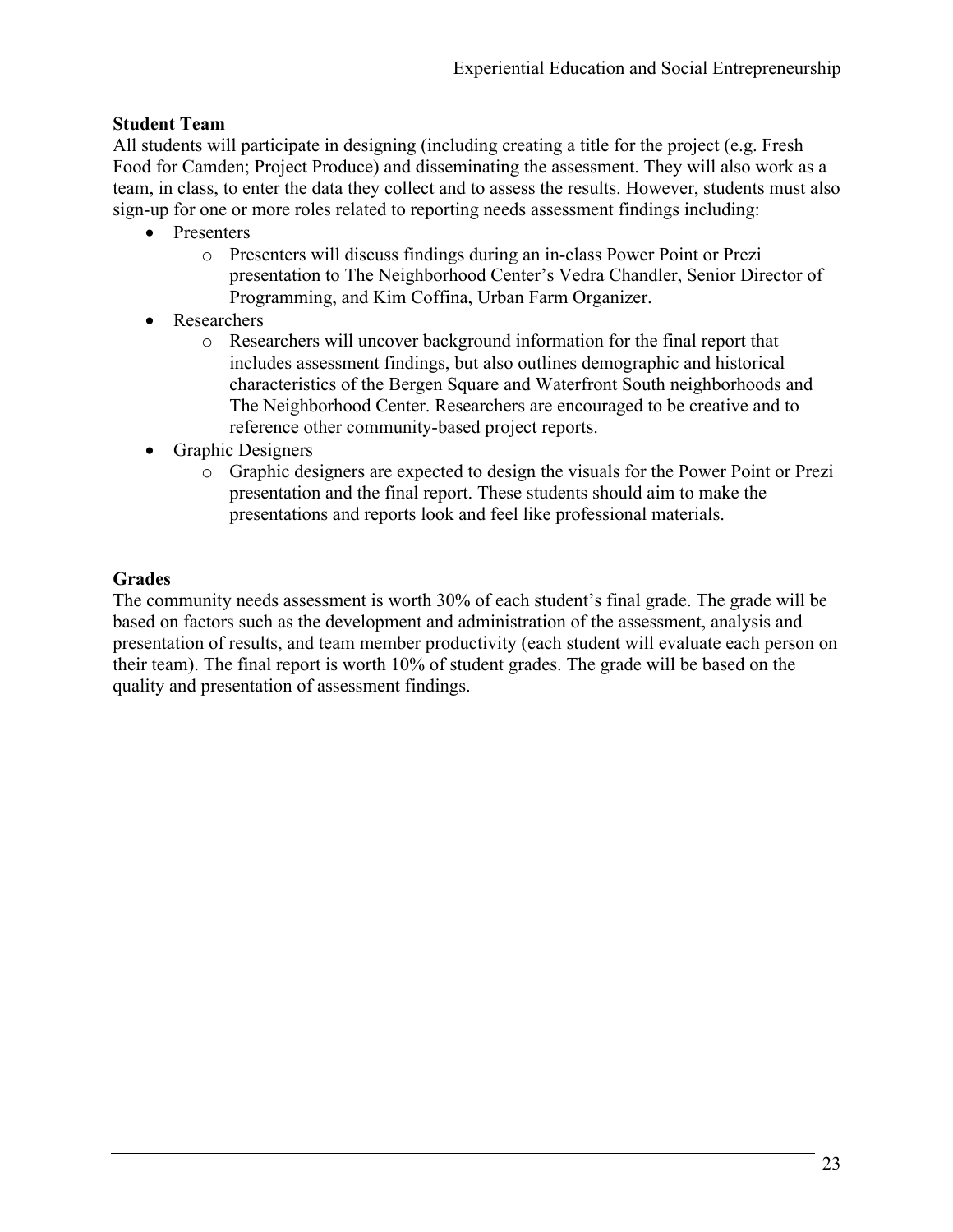# **Student Team**

All students will participate in designing (including creating a title for the project (e.g. Fresh Food for Camden; Project Produce) and disseminating the assessment. They will also work as a team, in class, to enter the data they collect and to assess the results. However, students must also sign-up for one or more roles related to reporting needs assessment findings including:

- Presenters
	- o Presenters will discuss findings during an in-class Power Point or Prezi presentation to The Neighborhood Center's Vedra Chandler, Senior Director of Programming, and Kim Coffina, Urban Farm Organizer.
- Researchers
	- o Researchers will uncover background information for the final report that includes assessment findings, but also outlines demographic and historical characteristics of the Bergen Square and Waterfront South neighborhoods and The Neighborhood Center. Researchers are encouraged to be creative and to reference other community-based project reports.
- Graphic Designers
	- o Graphic designers are expected to design the visuals for the Power Point or Prezi presentation and the final report. These students should aim to make the presentations and reports look and feel like professional materials.

# **Grades**

The community needs assessment is worth 30% of each student's final grade. The grade will be based on factors such as the development and administration of the assessment, analysis and presentation of results, and team member productivity (each student will evaluate each person on their team). The final report is worth 10% of student grades. The grade will be based on the quality and presentation of assessment findings.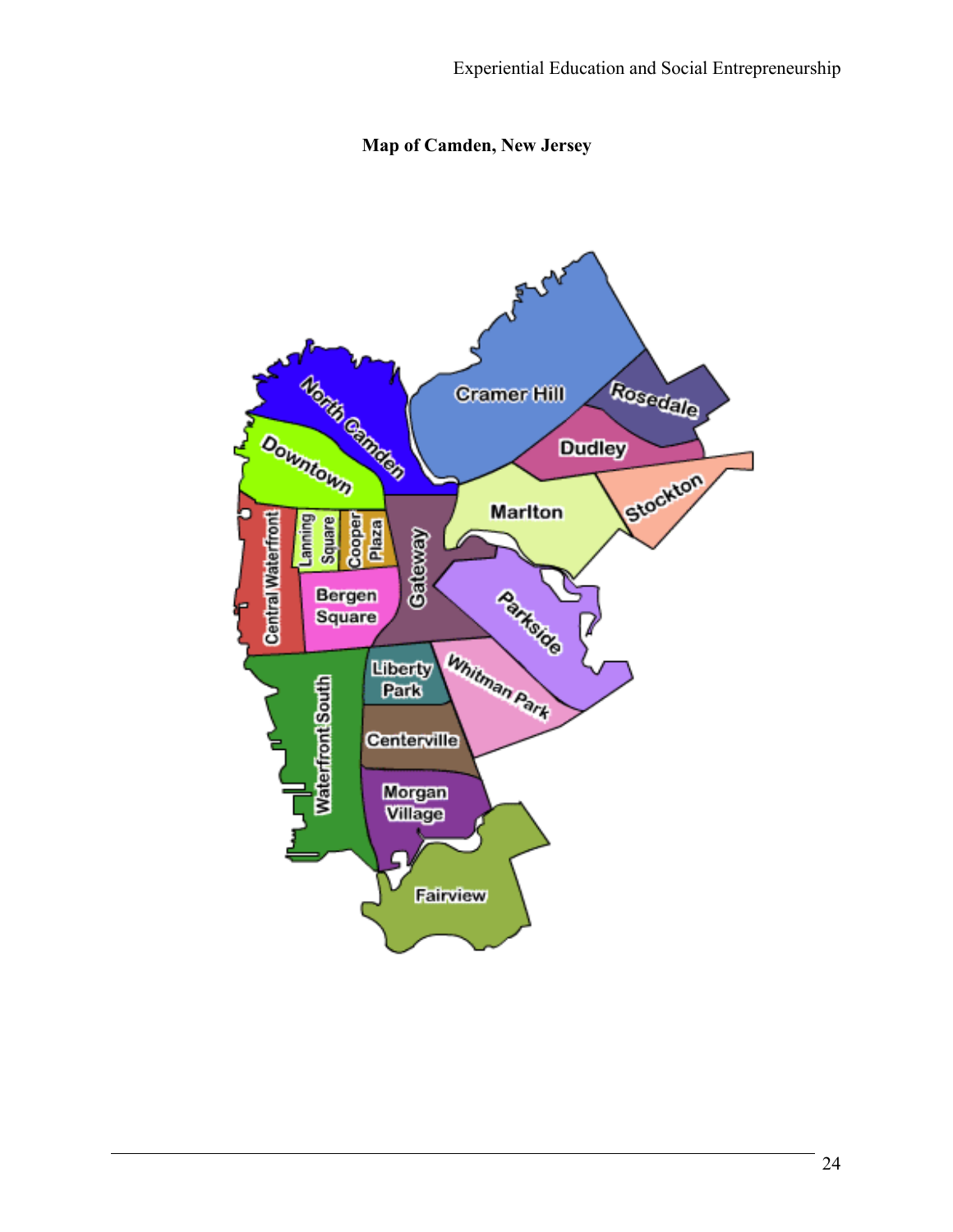# **Map of Camden, New Jersey**

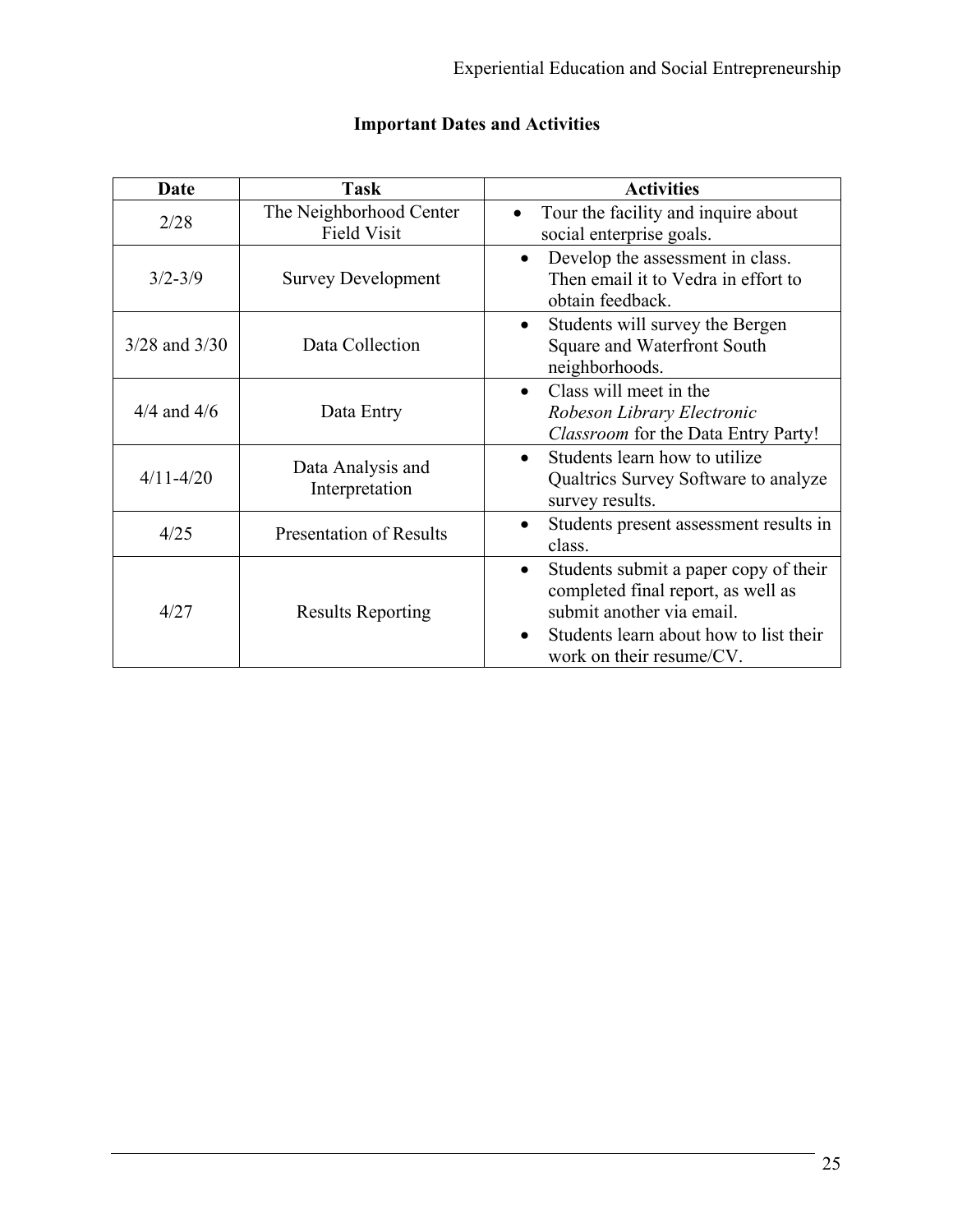| <b>Date</b>       | <b>Task</b>                                   | <b>Activities</b>                                                                                                                                                                   |  |
|-------------------|-----------------------------------------------|-------------------------------------------------------------------------------------------------------------------------------------------------------------------------------------|--|
| 2/28              | The Neighborhood Center<br><b>Field Visit</b> | Tour the facility and inquire about<br>$\bullet$<br>social enterprise goals.                                                                                                        |  |
| $3/2 - 3/9$       | <b>Survey Development</b>                     | Develop the assessment in class.<br>$\bullet$<br>Then email it to Vedra in effort to<br>obtain feedback.                                                                            |  |
| $3/28$ and $3/30$ | Data Collection                               | Students will survey the Bergen<br>$\bullet$<br>Square and Waterfront South<br>neighborhoods.                                                                                       |  |
| $4/4$ and $4/6$   | Data Entry                                    | Class will meet in the<br>Robeson Library Electronic<br>Classroom for the Data Entry Party!                                                                                         |  |
| $4/11 - 4/20$     | Data Analysis and<br>Interpretation           | Students learn how to utilize<br>Qualtrics Survey Software to analyze<br>survey results.                                                                                            |  |
| 4/25              | <b>Presentation of Results</b>                | Students present assessment results in<br>class.                                                                                                                                    |  |
| 4/27              | <b>Results Reporting</b>                      | Students submit a paper copy of their<br>٠<br>completed final report, as well as<br>submit another via email.<br>Students learn about how to list their<br>work on their resume/CV. |  |

# **Important Dates and Activities**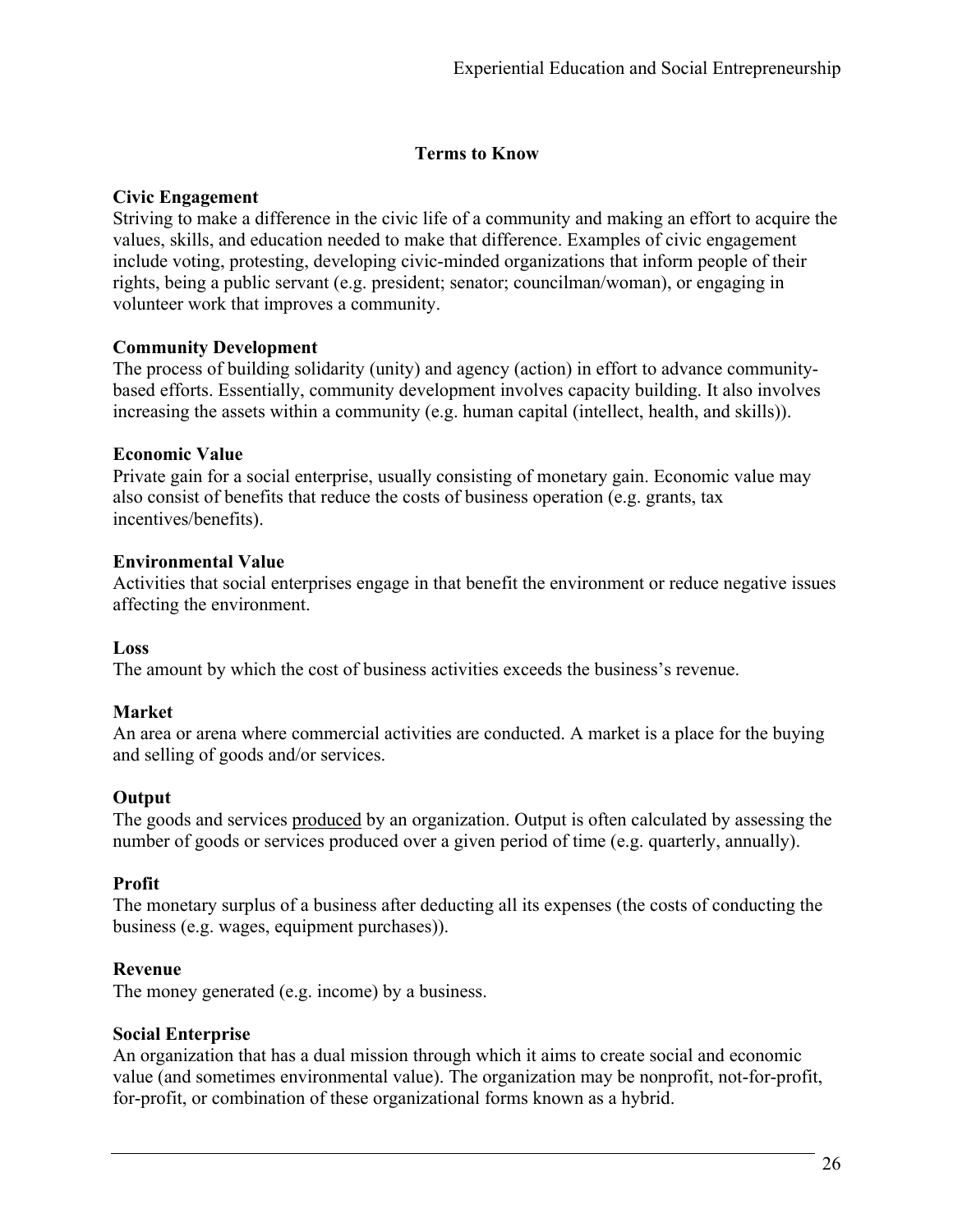# **Terms to Know**

# **Civic Engagement**

Striving to make a difference in the civic life of a community and making an effort to acquire the values, skills, and education needed to make that difference. Examples of civic engagement include voting, protesting, developing civic-minded organizations that inform people of their rights, being a public servant (e.g. president; senator; councilman/woman), or engaging in volunteer work that improves a community.

# **Community Development**

The process of building solidarity (unity) and agency (action) in effort to advance communitybased efforts. Essentially, community development involves capacity building. It also involves increasing the assets within a community (e.g. human capital (intellect, health, and skills)).

# **Economic Value**

Private gain for a social enterprise, usually consisting of monetary gain. Economic value may also consist of benefits that reduce the costs of business operation (e.g. grants, tax incentives/benefits).

# **Environmental Value**

Activities that social enterprises engage in that benefit the environment or reduce negative issues affecting the environment.

### **Loss**

The amount by which the cost of business activities exceeds the business's revenue.

# **Market**

An area or arena where commercial activities are conducted. A market is a place for the buying and selling of goods and/or services.

# **Output**

The goods and services produced by an organization. Output is often calculated by assessing the number of goods or services produced over a given period of time (e.g. quarterly, annually).

# **Profit**

The monetary surplus of a business after deducting all its expenses (the costs of conducting the business (e.g. wages, equipment purchases)).

# **Revenue**

The money generated (e.g. income) by a business.

### **Social Enterprise**

An organization that has a dual mission through which it aims to create social and economic value (and sometimes environmental value). The organization may be nonprofit, not-for-profit, for-profit, or combination of these organizational forms known as a hybrid.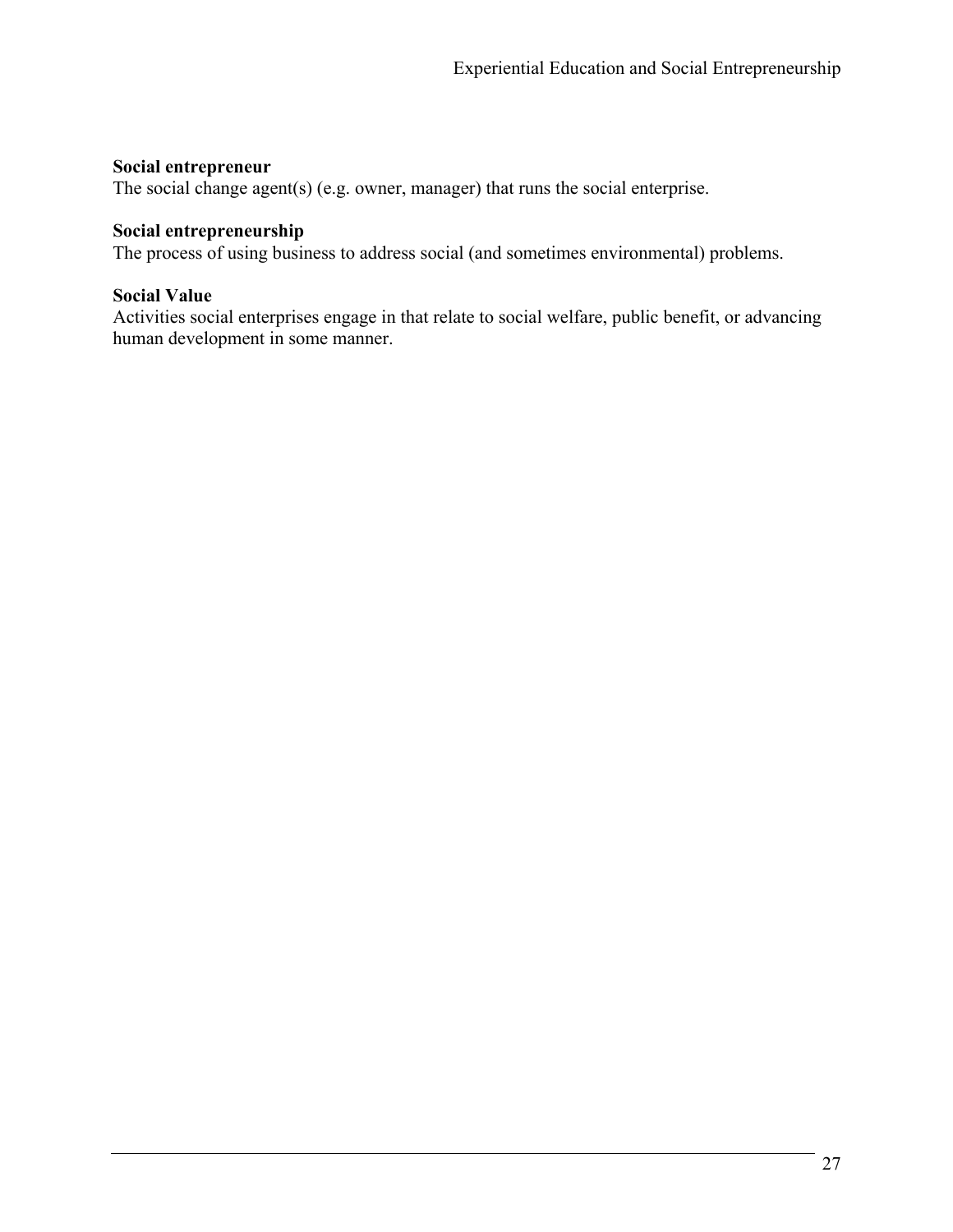#### **Social entrepreneur**

The social change agent(s) (e.g. owner, manager) that runs the social enterprise.

#### **Social entrepreneurship**

The process of using business to address social (and sometimes environmental) problems.

#### **Social Value**

Activities social enterprises engage in that relate to social welfare, public benefit, or advancing human development in some manner.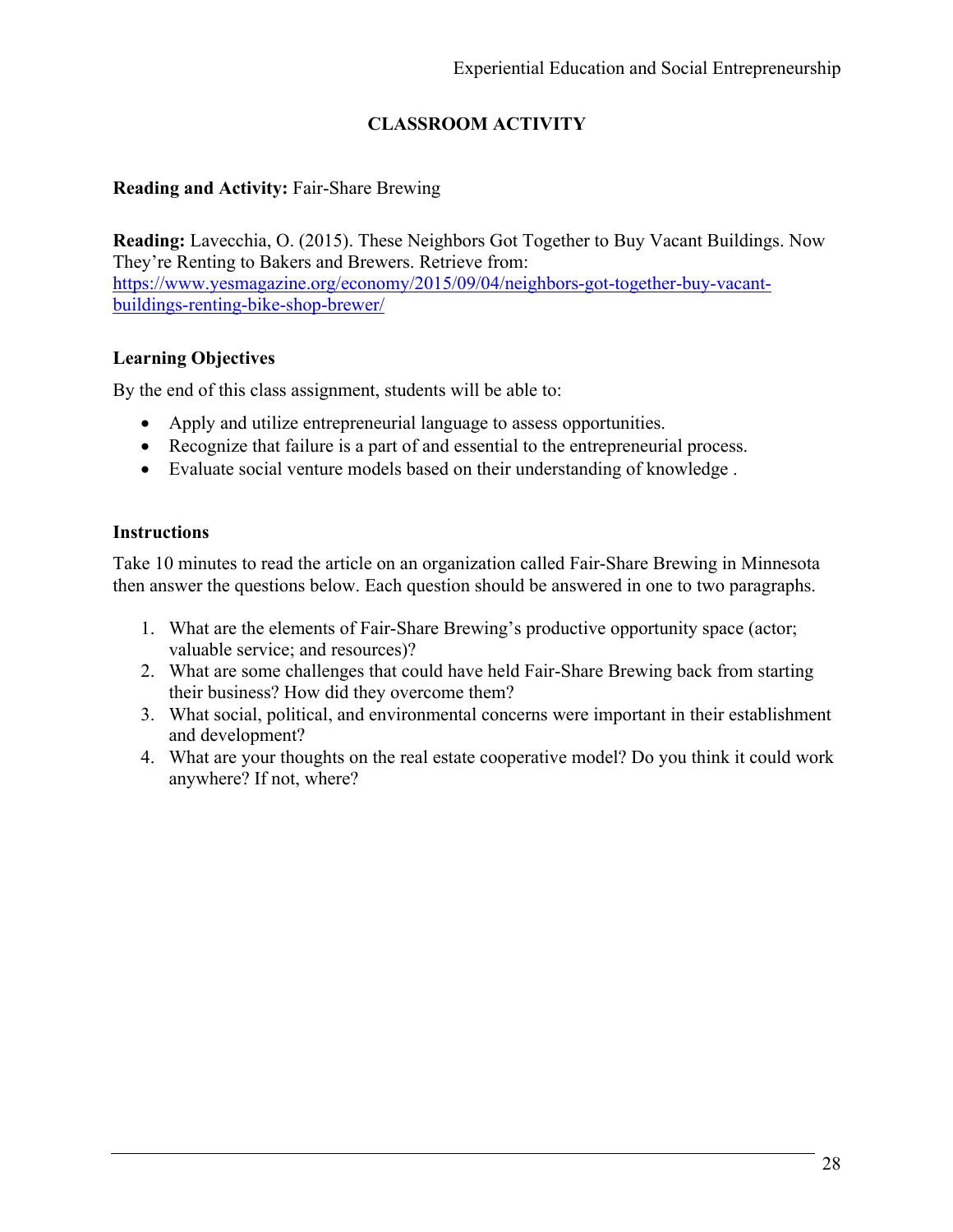# **CLASSROOM ACTIVITY**

#### **Reading and Activity:** Fair-Share Brewing

**Reading:** Lavecchia, O. (2015). These Neighbors Got Together to Buy Vacant Buildings. Now They're Renting to Bakers and Brewers. Retrieve from: https://www.yesmagazine.org/economy/2015/09/04/neighbors-got-together-buy-vacantbuildings-renting-bike-shop-brewer/

### **Learning Objectives**

By the end of this class assignment, students will be able to:

- Apply and utilize entrepreneurial language to assess opportunities.
- Recognize that failure is a part of and essential to the entrepreneurial process.
- Evaluate social venture models based on their understanding of knowledge .

#### **Instructions**

Take 10 minutes to read the article on an organization called Fair-Share Brewing in Minnesota then answer the questions below. Each question should be answered in one to two paragraphs.

- 1. What are the elements of Fair-Share Brewing's productive opportunity space (actor; valuable service; and resources)?
- 2. What are some challenges that could have held Fair-Share Brewing back from starting their business? How did they overcome them?
- 3. What social, political, and environmental concerns were important in their establishment and development?
- 4. What are your thoughts on the real estate cooperative model? Do you think it could work anywhere? If not, where?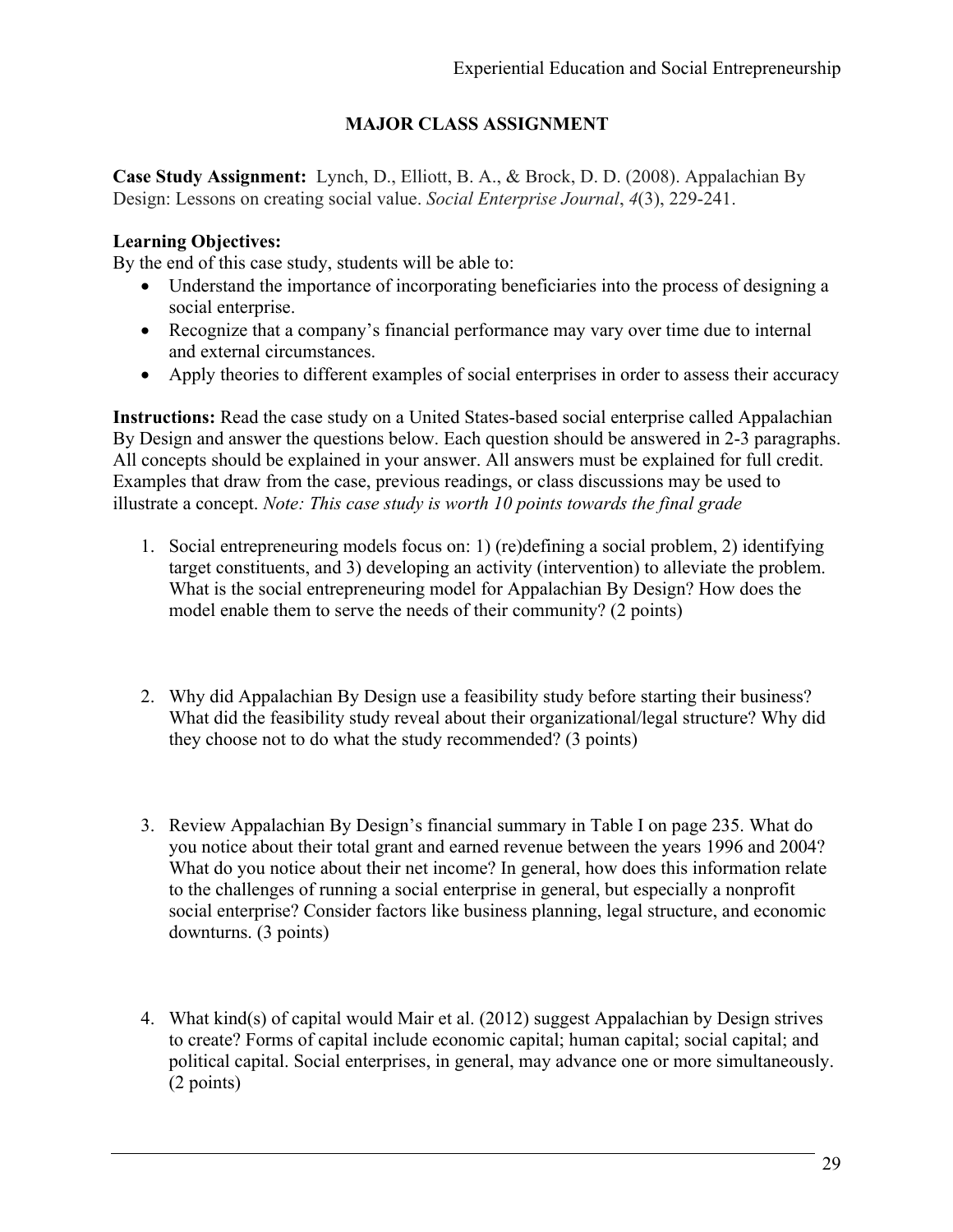# **MAJOR CLASS ASSIGNMENT**

**Case Study Assignment:** Lynch, D., Elliott, B. A., & Brock, D. D. (2008). Appalachian By Design: Lessons on creating social value. *Social Enterprise Journal*, *4*(3), 229-241.

#### **Learning Objectives:**

By the end of this case study, students will be able to:

- Understand the importance of incorporating beneficiaries into the process of designing a social enterprise.
- Recognize that a company's financial performance may vary over time due to internal and external circumstances.
- Apply theories to different examples of social enterprises in order to assess their accuracy

**Instructions:** Read the case study on a United States-based social enterprise called Appalachian By Design and answer the questions below. Each question should be answered in 2-3 paragraphs. All concepts should be explained in your answer. All answers must be explained for full credit. Examples that draw from the case, previous readings, or class discussions may be used to illustrate a concept. *Note: This case study is worth 10 points towards the final grade*

- 1. Social entrepreneuring models focus on: 1) (re)defining a social problem, 2) identifying target constituents, and 3) developing an activity (intervention) to alleviate the problem. What is the social entrepreneuring model for Appalachian By Design? How does the model enable them to serve the needs of their community? (2 points)
- 2. Why did Appalachian By Design use a feasibility study before starting their business? What did the feasibility study reveal about their organizational/legal structure? Why did they choose not to do what the study recommended? (3 points)
- 3. Review Appalachian By Design's financial summary in Table I on page 235. What do you notice about their total grant and earned revenue between the years 1996 and 2004? What do you notice about their net income? In general, how does this information relate to the challenges of running a social enterprise in general, but especially a nonprofit social enterprise? Consider factors like business planning, legal structure, and economic downturns. (3 points)
- 4. What kind(s) of capital would Mair et al. (2012) suggest Appalachian by Design strives to create? Forms of capital include economic capital; human capital; social capital; and political capital. Social enterprises, in general, may advance one or more simultaneously. (2 points)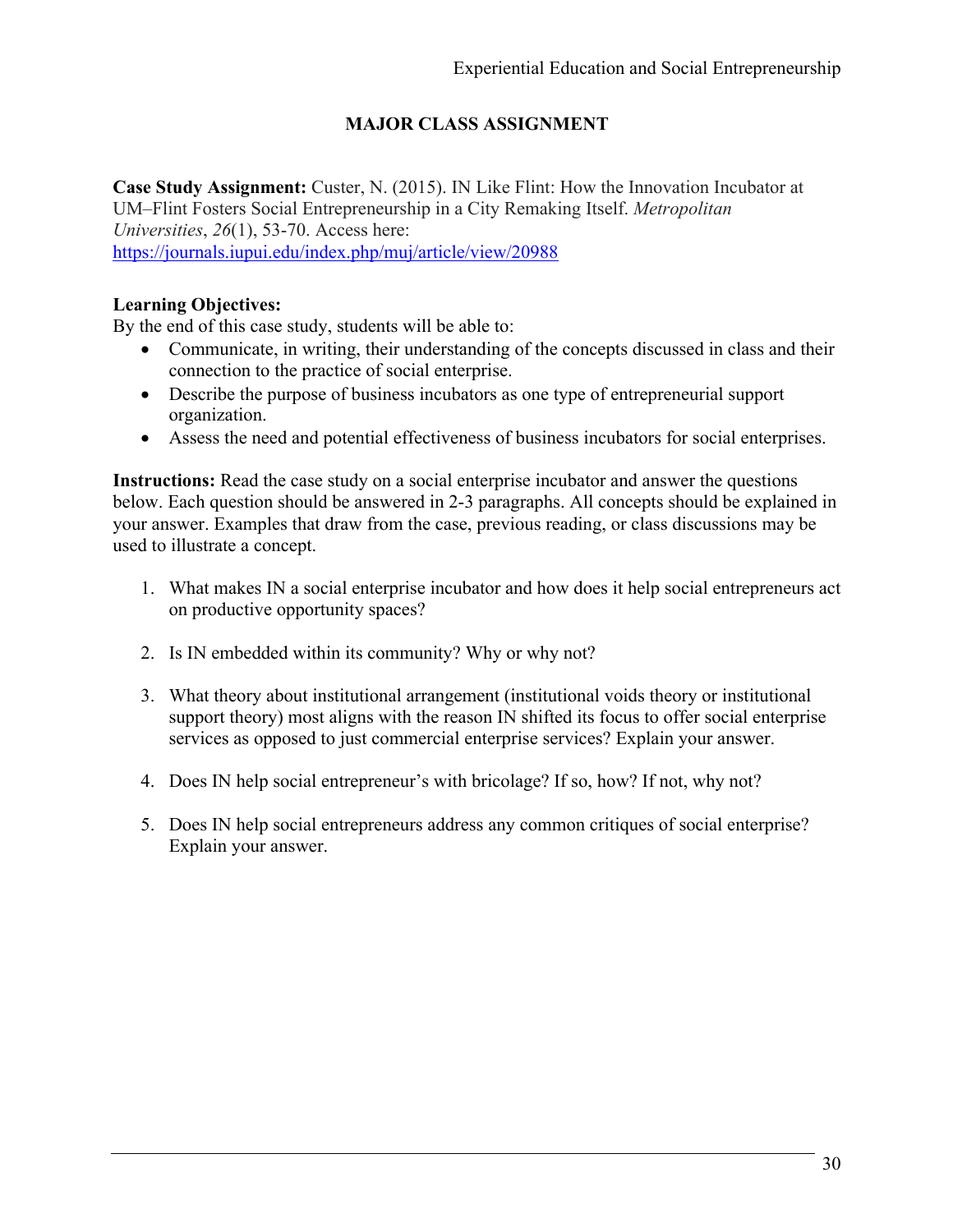# **MAJOR CLASS ASSIGNMENT**

**Case Study Assignment:** Custer, N. (2015). IN Like Flint: How the Innovation Incubator at UM–Flint Fosters Social Entrepreneurship in a City Remaking Itself. *Metropolitan Universities*, *26*(1), 53-70. Access here: https://journals.iupui.edu/index.php/muj/article/view/20988

### **Learning Objectives:**

By the end of this case study, students will be able to:

- Communicate, in writing, their understanding of the concepts discussed in class and their connection to the practice of social enterprise.
- Describe the purpose of business incubators as one type of entrepreneurial support organization.
- Assess the need and potential effectiveness of business incubators for social enterprises.

**Instructions:** Read the case study on a social enterprise incubator and answer the questions below. Each question should be answered in 2-3 paragraphs. All concepts should be explained in your answer. Examples that draw from the case, previous reading, or class discussions may be used to illustrate a concept.

- 1. What makes IN a social enterprise incubator and how does it help social entrepreneurs act on productive opportunity spaces?
- 2. Is IN embedded within its community? Why or why not?
- 3. What theory about institutional arrangement (institutional voids theory or institutional support theory) most aligns with the reason IN shifted its focus to offer social enterprise services as opposed to just commercial enterprise services? Explain your answer.
- 4. Does IN help social entrepreneur's with bricolage? If so, how? If not, why not?
- 5. Does IN help social entrepreneurs address any common critiques of social enterprise? Explain your answer.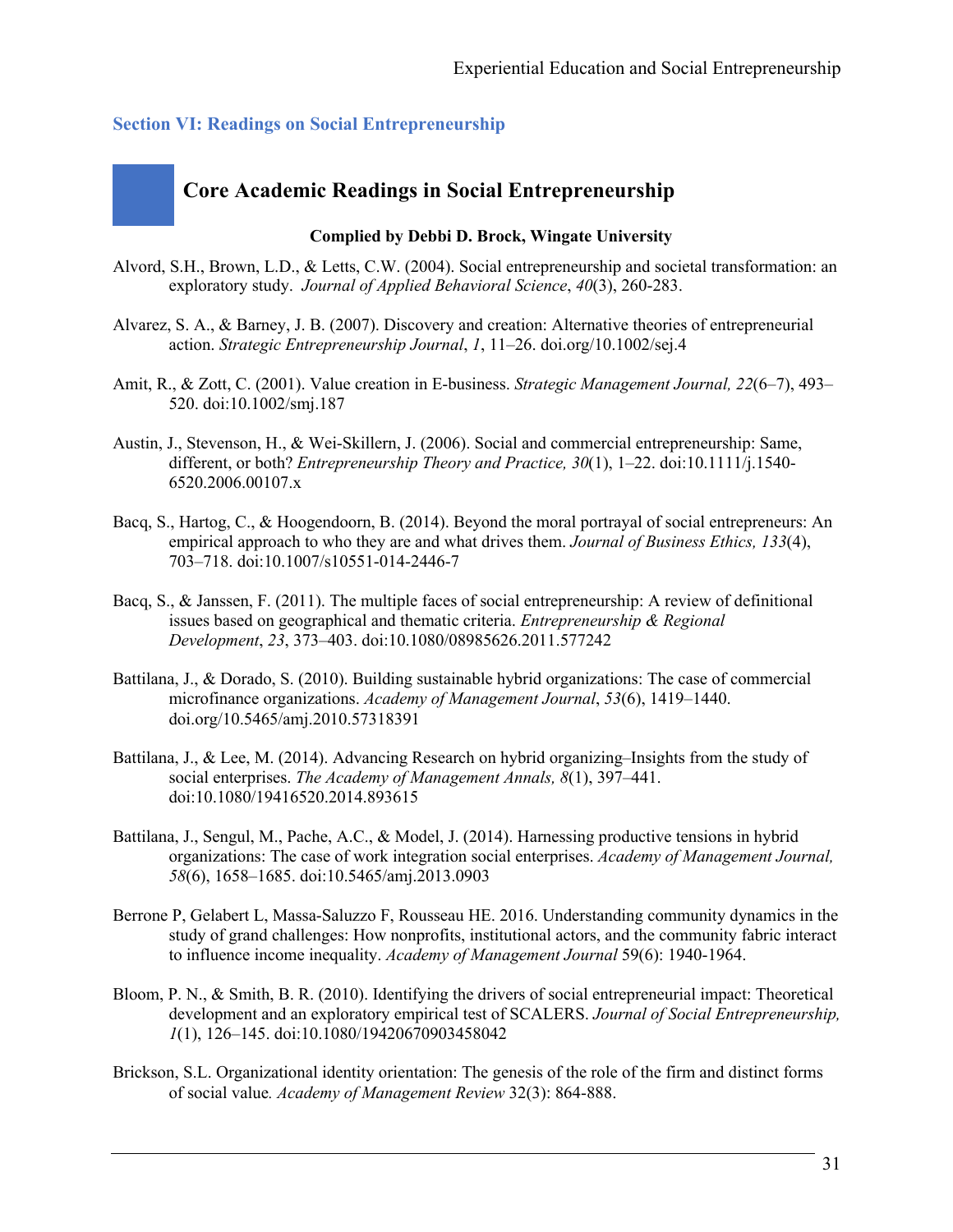#### **Section VI: Readings on Social Entrepreneurship**

# **Core Academic Readings in Social Entrepreneurship**

#### **Complied by Debbi D. Brock, Wingate University**

- Alvord, S.H., Brown, L.D., & Letts, C.W. (2004). Social entrepreneurship and societal transformation: an exploratory study. *Journal of Applied Behavioral Science*, *40*(3), 260-283.
- Alvarez, S. A., & Barney, J. B. (2007). Discovery and creation: Alternative theories of entrepreneurial action. *Strategic Entrepreneurship Journal*, *1*, 11–26. doi.org/10.1002/sej.4
- Amit, R., & Zott, C. (2001). Value creation in E-business. *Strategic Management Journal, 22*(6–7), 493– 520. doi:10.1002/smj.187
- Austin, J., Stevenson, H., & Wei-Skillern, J. (2006). Social and commercial entrepreneurship: Same, different, or both? *Entrepreneurship Theory and Practice, 30*(1), 1–22. doi:10.1111/j.1540- 6520.2006.00107.x
- Bacq, S., Hartog, C., & Hoogendoorn, B. (2014). Beyond the moral portrayal of social entrepreneurs: An empirical approach to who they are and what drives them. *Journal of Business Ethics, 133*(4), 703–718. doi:10.1007/s10551-014-2446-7
- Bacq, S., & Janssen, F. (2011). The multiple faces of social entrepreneurship: A review of definitional issues based on geographical and thematic criteria. *Entrepreneurship & Regional Development*, *23*, 373–403. doi:10.1080/08985626.2011.577242
- Battilana, J., & Dorado, S. (2010). Building sustainable hybrid organizations: The case of commercial microfinance organizations. *Academy of Management Journal*, *53*(6), 1419–1440. doi.org/10.5465/amj.2010.57318391
- Battilana, J., & Lee, M. (2014). Advancing Research on hybrid organizing–Insights from the study of social enterprises. *The Academy of Management Annals, 8*(1), 397–441. doi:10.1080/19416520.2014.893615
- Battilana, J., Sengul, M., Pache, A.C., & Model, J. (2014). Harnessing productive tensions in hybrid organizations: The case of work integration social enterprises. *Academy of Management Journal, 58*(6), 1658–1685. doi:10.5465/amj.2013.0903
- Berrone P, Gelabert L, Massa-Saluzzo F, Rousseau HE. 2016. Understanding community dynamics in the study of grand challenges: How nonprofits, institutional actors, and the community fabric interact to influence income inequality. *Academy of Management Journal* 59(6): 1940-1964.
- Bloom, P. N., & Smith, B. R. (2010). Identifying the drivers of social entrepreneurial impact: Theoretical development and an exploratory empirical test of SCALERS. *Journal of Social Entrepreneurship, 1*(1), 126–145. doi:10.1080/19420670903458042
- Brickson, S.L. Organizational identity orientation: The genesis of the role of the firm and distinct forms of social value*. Academy of Management Review* 32(3): 864-888.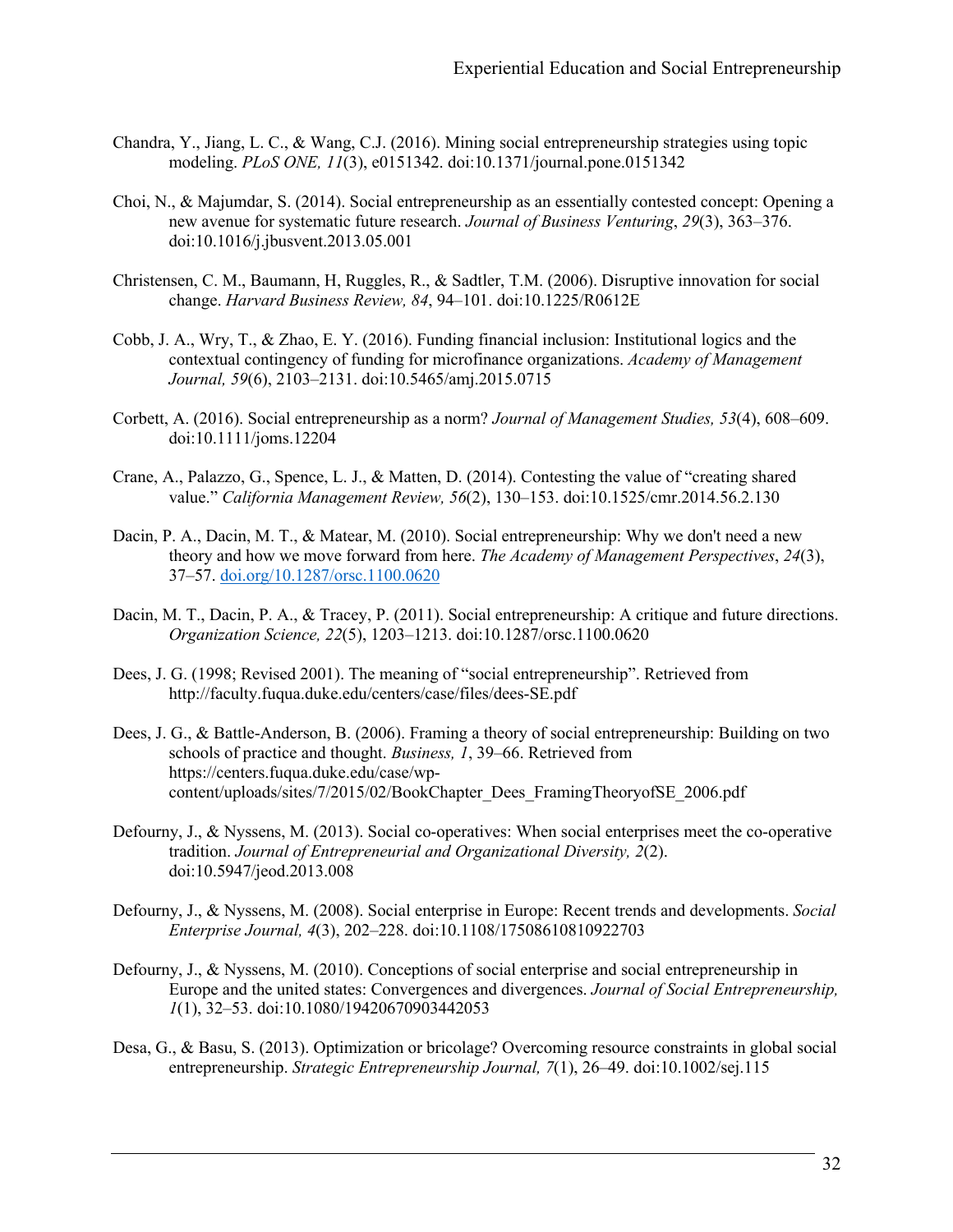- Chandra, Y., Jiang, L. C., & Wang, C.J. (2016). Mining social entrepreneurship strategies using topic modeling. *PLoS ONE, 11*(3), e0151342. doi:10.1371/journal.pone.0151342
- Choi, N., & Majumdar, S. (2014). Social entrepreneurship as an essentially contested concept: Opening a new avenue for systematic future research. *Journal of Business Venturing*, *29*(3), 363–376. doi:10.1016/j.jbusvent.2013.05.001
- Christensen, C. M., Baumann, H, Ruggles, R., & Sadtler, T.M. (2006). Disruptive innovation for social change. *Harvard Business Review, 84*, 94–101. doi:10.1225/R0612E
- Cobb, J. A., Wry, T., & Zhao, E. Y. (2016). Funding financial inclusion: Institutional logics and the contextual contingency of funding for microfinance organizations. *Academy of Management Journal, 59*(6), 2103–2131. doi:10.5465/amj.2015.0715
- Corbett, A. (2016). Social entrepreneurship as a norm? *Journal of Management Studies, 53*(4), 608–609. doi:10.1111/joms.12204
- Crane, A., Palazzo, G., Spence, L. J., & Matten, D. (2014). Contesting the value of "creating shared value." *California Management Review, 56*(2), 130–153. doi:10.1525/cmr.2014.56.2.130
- Dacin, P. A., Dacin, M. T., & Matear, M. (2010). Social entrepreneurship: Why we don't need a new theory and how we move forward from here. *The Academy of Management Perspectives*, *24*(3), 37–57. doi.org/10.1287/orsc.1100.0620
- Dacin, M. T., Dacin, P. A., & Tracey, P. (2011). Social entrepreneurship: A critique and future directions. *Organization Science, 22*(5), 1203–1213. doi:10.1287/orsc.1100.0620
- Dees, J. G. (1998; Revised 2001). The meaning of "social entrepreneurship". Retrieved from http://faculty.fuqua.duke.edu/centers/case/files/dees-SE.pdf
- Dees, J. G., & Battle-Anderson, B. (2006). Framing a theory of social entrepreneurship: Building on two schools of practice and thought. *Business, 1*, 39–66. Retrieved from https://centers.fuqua.duke.edu/case/wpcontent/uploads/sites/7/2015/02/BookChapter\_Dees\_FramingTheoryofSE\_2006.pdf
- Defourny, J., & Nyssens, M. (2013). Social co-operatives: When social enterprises meet the co-operative tradition. *Journal of Entrepreneurial and Organizational Diversity, 2*(2). doi:10.5947/jeod.2013.008
- Defourny, J., & Nyssens, M. (2008). Social enterprise in Europe: Recent trends and developments. *Social Enterprise Journal, 4*(3), 202–228. doi:10.1108/17508610810922703
- Defourny, J., & Nyssens, M. (2010). Conceptions of social enterprise and social entrepreneurship in Europe and the united states: Convergences and divergences. *Journal of Social Entrepreneurship, 1*(1), 32–53. doi:10.1080/19420670903442053
- Desa, G., & Basu, S. (2013). Optimization or bricolage? Overcoming resource constraints in global social entrepreneurship. *Strategic Entrepreneurship Journal, 7*(1), 26–49. doi:10.1002/sej.115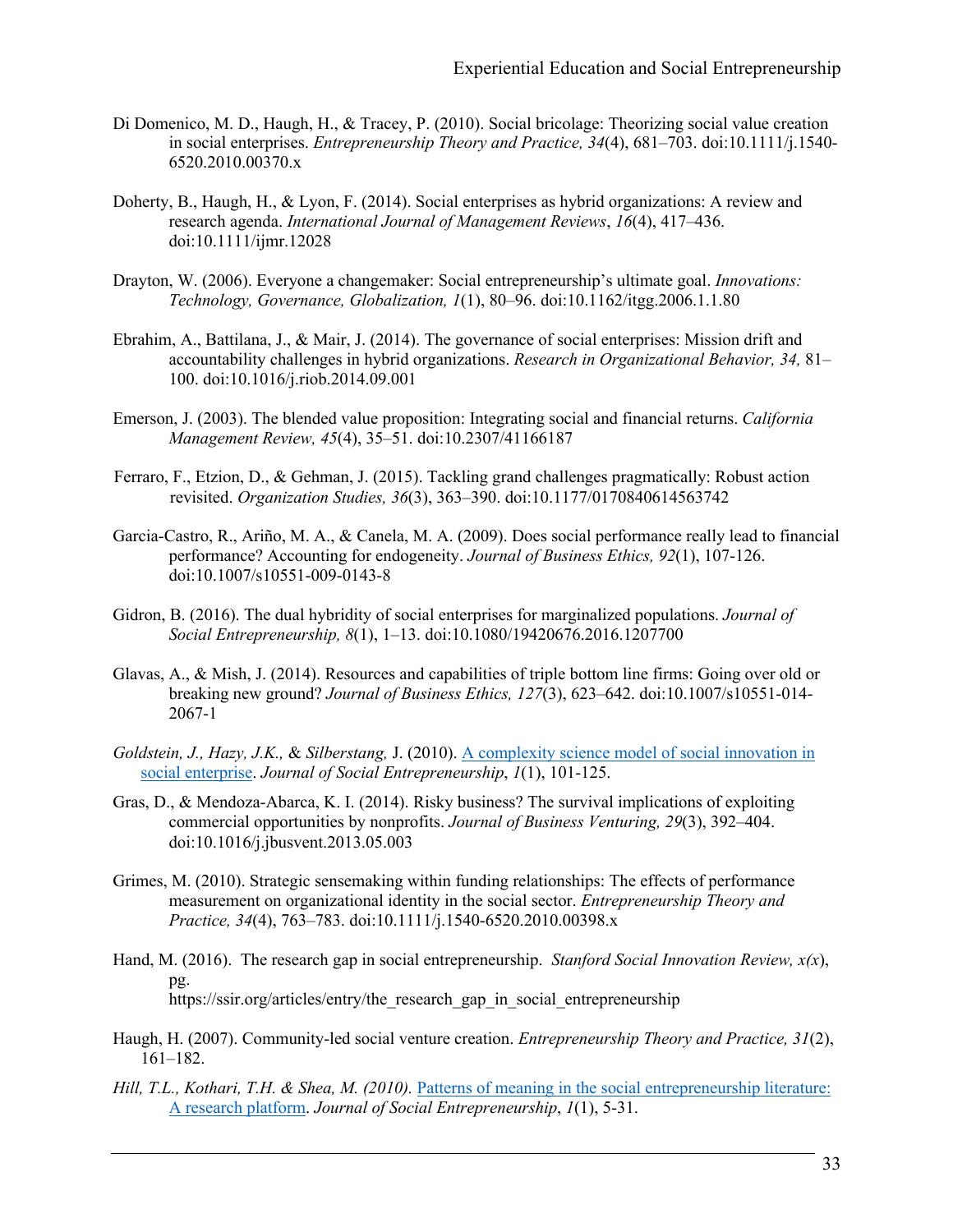- Di Domenico, M. D., Haugh, H., & Tracey, P. (2010). Social bricolage: Theorizing social value creation in social enterprises. *Entrepreneurship Theory and Practice, 34*(4), 681–703. doi:10.1111/j.1540- 6520.2010.00370.x
- Doherty, B., Haugh, H., & Lyon, F. (2014). Social enterprises as hybrid organizations: A review and research agenda. *International Journal of Management Reviews*, *16*(4), 417–436. doi:10.1111/ijmr.12028
- Drayton, W. (2006). Everyone a changemaker: Social entrepreneurship's ultimate goal. *Innovations: Technology, Governance, Globalization, 1*(1), 80–96. doi:10.1162/itgg.2006.1.1.80
- Ebrahim, A., Battilana, J., & Mair, J. (2014). The governance of social enterprises: Mission drift and accountability challenges in hybrid organizations. *Research in Organizational Behavior, 34,* 81– 100. doi:10.1016/j.riob.2014.09.001
- Emerson, J. (2003). The blended value proposition: Integrating social and financial returns. *California Management Review, 45*(4), 35–51. doi:10.2307/41166187
- Ferraro, F., Etzion, D., & Gehman, J. (2015). Tackling grand challenges pragmatically: Robust action revisited. *Organization Studies, 36*(3), 363–390. doi:10.1177/0170840614563742
- Garcia-Castro, R., Ariño, M. A., & Canela, M. A. (2009). Does social performance really lead to financial performance? Accounting for endogeneity. *Journal of Business Ethics, 92*(1), 107-126. doi:10.1007/s10551-009-0143-8
- Gidron, B. (2016). The dual hybridity of social enterprises for marginalized populations. *Journal of Social Entrepreneurship, 8*(1), 1–13. doi:10.1080/19420676.2016.1207700
- Glavas, A., & Mish, J. (2014). Resources and capabilities of triple bottom line firms: Going over old or breaking new ground? *Journal of Business Ethics, 127*(3), 623–642. doi:10.1007/s10551-014- 2067-1
- *Goldstein, J., Hazy, J.K.,* & *Silberstang,* J. (2010). A complexity science model of social innovation in social enterprise. *Journal of Social Entrepreneurship*, *1*(1), 101-125.
- Gras, D., & Mendoza-Abarca, K. I. (2014). Risky business? The survival implications of exploiting commercial opportunities by nonprofits. *Journal of Business Venturing, 29*(3), 392–404. doi:10.1016/j.jbusvent.2013.05.003
- Grimes, M. (2010). Strategic sensemaking within funding relationships: The effects of performance measurement on organizational identity in the social sector. *Entrepreneurship Theory and Practice, 34*(4), 763–783. doi:10.1111/j.1540-6520.2010.00398.x
- Hand, M. (2016). The research gap in social entrepreneurship. *Stanford Social Innovation Review, x(x*), pg. https://ssir.org/articles/entry/the\_research\_gap\_in\_social\_entrepreneurship
- Haugh, H. (2007). Community-led social venture creation. *Entrepreneurship Theory and Practice, 31*(2), 161–182.
- *Hill, T.L., Kothari, T.H. & Shea, M. (2010).* Patterns of meaning in the social entrepreneurship literature: A research platform. *Journal of Social Entrepreneurship*, *1*(1), 5-31.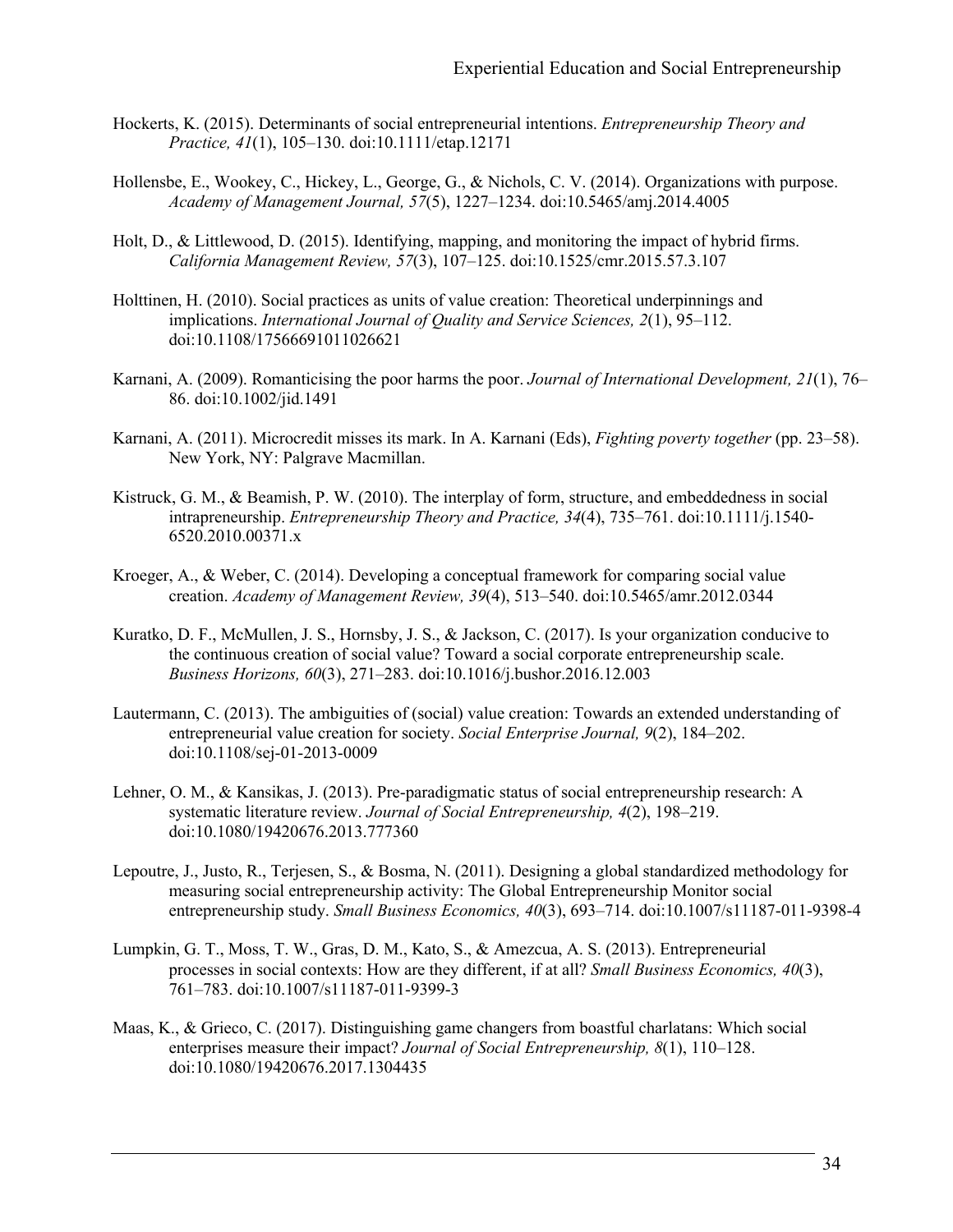- Hockerts, K. (2015). Determinants of social entrepreneurial intentions. *Entrepreneurship Theory and Practice, 41*(1), 105–130. doi:10.1111/etap.12171
- Hollensbe, E., Wookey, C., Hickey, L., George, G., & Nichols, C. V. (2014). Organizations with purpose. *Academy of Management Journal, 57*(5), 1227–1234. doi:10.5465/amj.2014.4005
- Holt, D., & Littlewood, D. (2015). Identifying, mapping, and monitoring the impact of hybrid firms. *California Management Review, 57*(3), 107–125. doi:10.1525/cmr.2015.57.3.107
- Holttinen, H. (2010). Social practices as units of value creation: Theoretical underpinnings and implications. *International Journal of Quality and Service Sciences, 2*(1), 95–112. doi:10.1108/17566691011026621
- Karnani, A. (2009). Romanticising the poor harms the poor. *Journal of International Development, 21*(1), 76– 86. doi:10.1002/jid.1491
- Karnani, A. (2011). Microcredit misses its mark. In A. Karnani (Eds), *Fighting poverty together* (pp. 23–58). New York, NY: Palgrave Macmillan.
- Kistruck, G. M., & Beamish, P. W. (2010). The interplay of form, structure, and embeddedness in social intrapreneurship. *Entrepreneurship Theory and Practice, 34*(4), 735–761. doi:10.1111/j.1540- 6520.2010.00371.x
- Kroeger, A., & Weber, C. (2014). Developing a conceptual framework for comparing social value creation. *Academy of Management Review, 39*(4), 513–540. doi:10.5465/amr.2012.0344
- Kuratko, D. F., McMullen, J. S., Hornsby, J. S., & Jackson, C. (2017). Is your organization conducive to the continuous creation of social value? Toward a social corporate entrepreneurship scale. *Business Horizons, 60*(3), 271–283. doi:10.1016/j.bushor.2016.12.003
- Lautermann, C. (2013). The ambiguities of (social) value creation: Towards an extended understanding of entrepreneurial value creation for society. *Social Enterprise Journal, 9*(2), 184–202. doi:10.1108/sej-01-2013-0009
- Lehner, O. M., & Kansikas, J. (2013). Pre-paradigmatic status of social entrepreneurship research: A systematic literature review. *Journal of Social Entrepreneurship, 4*(2), 198–219. doi:10.1080/19420676.2013.777360
- Lepoutre, J., Justo, R., Terjesen, S., & Bosma, N. (2011). Designing a global standardized methodology for measuring social entrepreneurship activity: The Global Entrepreneurship Monitor social entrepreneurship study. *Small Business Economics, 40*(3), 693–714. doi:10.1007/s11187-011-9398-4
- Lumpkin, G. T., Moss, T. W., Gras, D. M., Kato, S., & Amezcua, A. S. (2013). Entrepreneurial processes in social contexts: How are they different, if at all? *Small Business Economics, 40*(3), 761–783. doi:10.1007/s11187-011-9399-3
- Maas, K., & Grieco, C. (2017). Distinguishing game changers from boastful charlatans: Which social enterprises measure their impact? *Journal of Social Entrepreneurship, 8*(1), 110–128. doi:10.1080/19420676.2017.1304435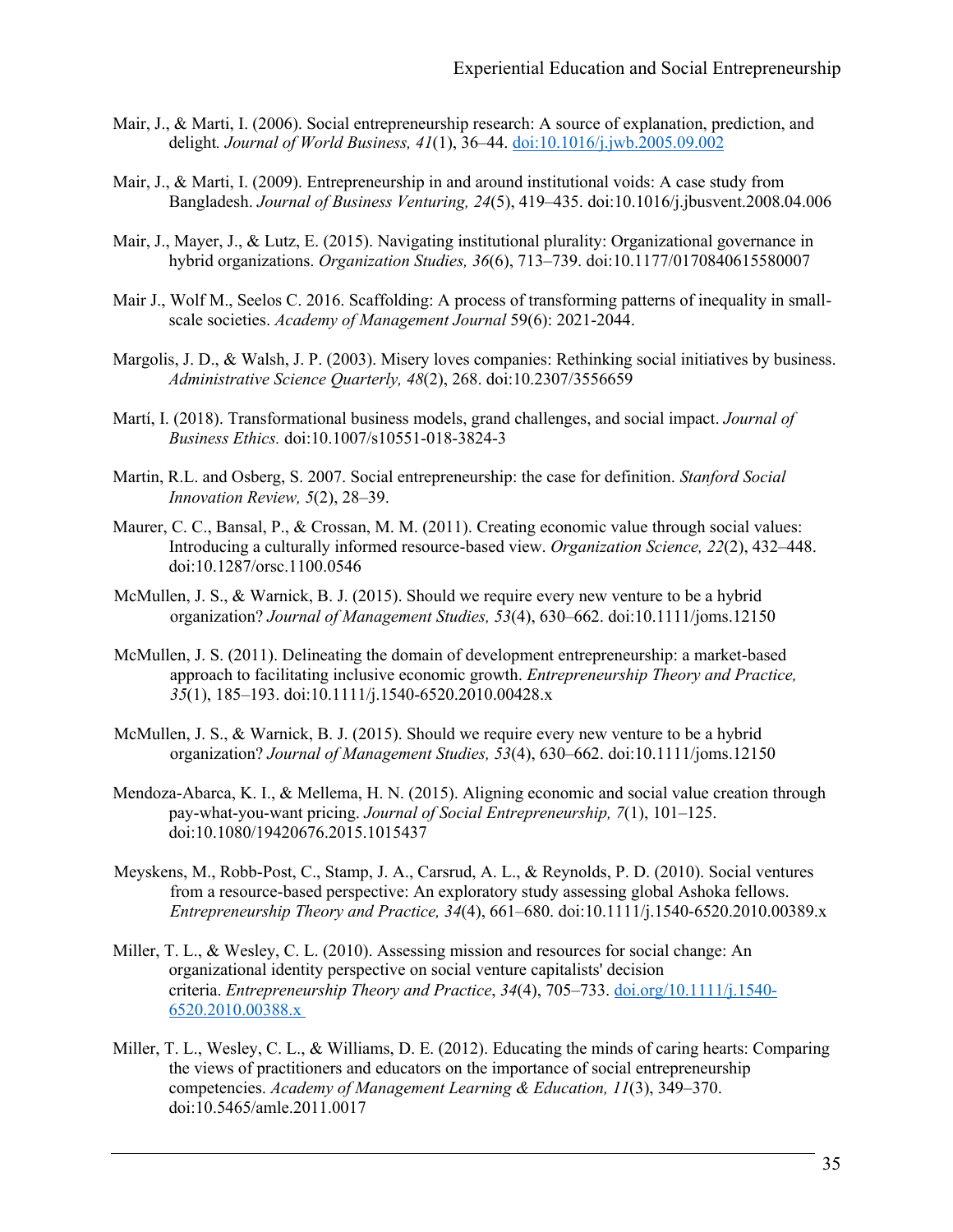- Mair, J., & Marti, I. (2006). Social entrepreneurship research: A source of explanation, prediction, and delight*. Journal of World Business, 41*(1), 36–44. doi:10.1016/j.jwb.2005.09.002
- Mair, J., & Marti, I. (2009). Entrepreneurship in and around institutional voids: A case study from Bangladesh. *Journal of Business Venturing, 24*(5), 419–435. doi:10.1016/j.jbusvent.2008.04.006
- Mair, J., Mayer, J., & Lutz, E. (2015). Navigating institutional plurality: Organizational governance in hybrid organizations. *Organization Studies, 36*(6), 713–739. doi:10.1177/0170840615580007
- Mair J., Wolf M., Seelos C. 2016. Scaffolding: A process of transforming patterns of inequality in smallscale societies. *Academy of Management Journal* 59(6): 2021-2044.
- Margolis, J. D., & Walsh, J. P. (2003). Misery loves companies: Rethinking social initiatives by business. *Administrative Science Quarterly, 48*(2), 268. doi:10.2307/3556659
- Martí, I. (2018). Transformational business models, grand challenges, and social impact. *Journal of Business Ethics.* doi:10.1007/s10551-018-3824-3
- Martin, R.L. and Osberg, S. 2007. Social entrepreneurship: the case for definition. *Stanford Social Innovation Review, 5*(2), 28–39.
- Maurer, C. C., Bansal, P., & Crossan, M. M. (2011). Creating economic value through social values: Introducing a culturally informed resource-based view. *Organization Science, 22*(2), 432–448. doi:10.1287/orsc.1100.0546
- McMullen, J. S., & Warnick, B. J. (2015). Should we require every new venture to be a hybrid organization? *Journal of Management Studies, 53*(4), 630–662. doi:10.1111/joms.12150
- McMullen, J. S. (2011). Delineating the domain of development entrepreneurship: a market-based approach to facilitating inclusive economic growth. *Entrepreneurship Theory and Practice, 35*(1), 185–193. doi:10.1111/j.1540-6520.2010.00428.x
- McMullen, J. S., & Warnick, B. J. (2015). Should we require every new venture to be a hybrid organization? *Journal of Management Studies, 53*(4), 630–662. doi:10.1111/joms.12150
- Mendoza-Abarca, K. I., & Mellema, H. N. (2015). Aligning economic and social value creation through pay-what-you-want pricing. *Journal of Social Entrepreneurship, 7*(1), 101–125. doi:10.1080/19420676.2015.1015437
- Meyskens, M., Robb-Post, C., Stamp, J. A., Carsrud, A. L., & Reynolds, P. D. (2010). Social ventures from a resource-based perspective: An exploratory study assessing global Ashoka fellows. *Entrepreneurship Theory and Practice, 34*(4), 661–680. doi:10.1111/j.1540-6520.2010.00389.x
- Miller, T. L., & Wesley, C. L. (2010). Assessing mission and resources for social change: An organizational identity perspective on social venture capitalists' decision criteria. *Entrepreneurship Theory and Practice*, *34*(4), 705–733. doi.org/10.1111/j.1540- 6520.2010.00388.x
- Miller, T. L., Wesley, C. L., & Williams, D. E. (2012). Educating the minds of caring hearts: Comparing the views of practitioners and educators on the importance of social entrepreneurship competencies. *Academy of Management Learning & Education, 11*(3), 349–370. doi:10.5465/amle.2011.0017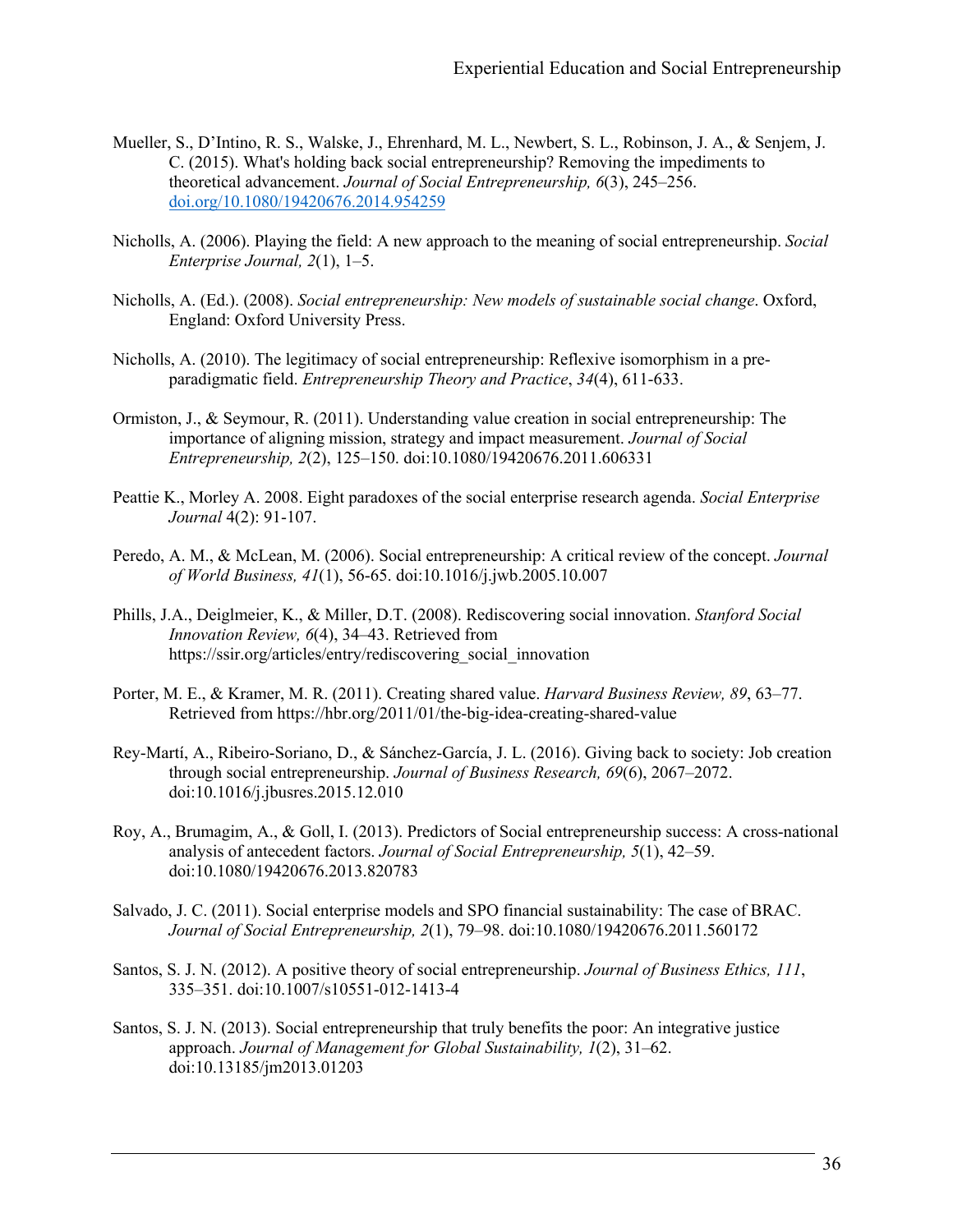- Mueller, S., D'Intino, R. S., Walske, J., Ehrenhard, M. L., Newbert, S. L., Robinson, J. A., & Senjem, J. C. (2015). What's holding back social entrepreneurship? Removing the impediments to theoretical advancement. *Journal of Social Entrepreneurship, 6*(3), 245–256. doi.org/10.1080/19420676.2014.954259
- Nicholls, A. (2006). Playing the field: A new approach to the meaning of social entrepreneurship. *Social Enterprise Journal, 2*(1), 1–5.
- Nicholls, A. (Ed.). (2008). *Social entrepreneurship: New models of sustainable social change*. Oxford, England: Oxford University Press.
- Nicholls, A. (2010). The legitimacy of social entrepreneurship: Reflexive isomorphism in a pre‐ paradigmatic field. *Entrepreneurship Theory and Practice*, *34*(4), 611-633.
- Ormiston, J., & Seymour, R. (2011). Understanding value creation in social entrepreneurship: The importance of aligning mission, strategy and impact measurement. *Journal of Social Entrepreneurship, 2*(2), 125–150. doi:10.1080/19420676.2011.606331
- Peattie K., Morley A. 2008. Eight paradoxes of the social enterprise research agenda. *Social Enterprise Journal* 4(2): 91-107.
- Peredo, A. M., & McLean, M. (2006). Social entrepreneurship: A critical review of the concept. *Journal of World Business, 41*(1), 56-65. doi:10.1016/j.jwb.2005.10.007
- Phills, J.A., Deiglmeier, K., & Miller, D.T. (2008). Rediscovering social innovation. *Stanford Social Innovation Review, 6*(4), 34–43. Retrieved from https://ssir.org/articles/entry/rediscovering\_social\_innovation
- Porter, M. E., & Kramer, M. R. (2011). Creating shared value. *Harvard Business Review, 89*, 63–77. Retrieved from https://hbr.org/2011/01/the-big-idea-creating-shared-value
- Rey-Martí, A., Ribeiro-Soriano, D., & Sánchez-García, J. L. (2016). Giving back to society: Job creation through social entrepreneurship. *Journal of Business Research, 69*(6), 2067–2072. doi:10.1016/j.jbusres.2015.12.010
- Roy, A., Brumagim, A., & Goll, I. (2013). Predictors of Social entrepreneurship success: A cross-national analysis of antecedent factors. *Journal of Social Entrepreneurship, 5*(1), 42–59. doi:10.1080/19420676.2013.820783
- Salvado, J. C. (2011). Social enterprise models and SPO financial sustainability: The case of BRAC. *Journal of Social Entrepreneurship, 2*(1), 79–98. doi:10.1080/19420676.2011.560172
- Santos, S. J. N. (2012). A positive theory of social entrepreneurship. *Journal of Business Ethics, 111*, 335–351. doi:10.1007/s10551-012-1413-4
- Santos, S. J. N. (2013). Social entrepreneurship that truly benefits the poor: An integrative justice approach. *Journal of Management for Global Sustainability, 1*(2), 31–62. doi:10.13185/jm2013.01203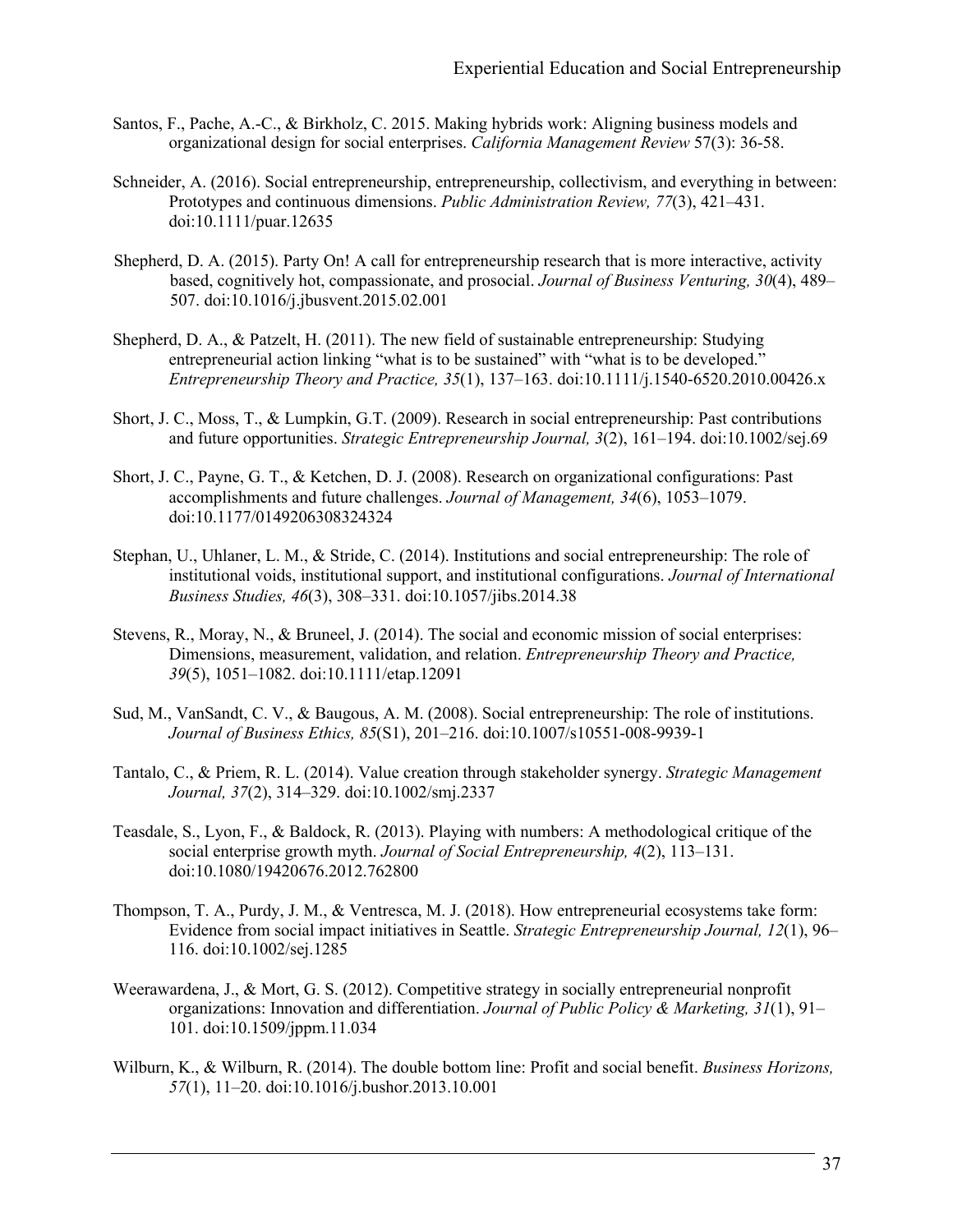- Santos, F., Pache, A.-C., & Birkholz, C. 2015. Making hybrids work: Aligning business models and organizational design for social enterprises. *California Management Review* 57(3): 36-58.
- Schneider, A. (2016). Social entrepreneurship, entrepreneurship, collectivism, and everything in between: Prototypes and continuous dimensions. *Public Administration Review, 77*(3), 421–431. doi:10.1111/puar.12635
- Shepherd, D. A. (2015). Party On! A call for entrepreneurship research that is more interactive, activity based, cognitively hot, compassionate, and prosocial. *Journal of Business Venturing, 30*(4), 489– 507. doi:10.1016/j.jbusvent.2015.02.001
- Shepherd, D. A., & Patzelt, H. (2011). The new field of sustainable entrepreneurship: Studying entrepreneurial action linking "what is to be sustained" with "what is to be developed." *Entrepreneurship Theory and Practice, 35*(1), 137–163. doi:10.1111/j.1540-6520.2010.00426.x
- Short, J. C., Moss, T., & Lumpkin, G.T. (2009). Research in social entrepreneurship: Past contributions and future opportunities. *Strategic Entrepreneurship Journal, 3*(2), 161–194. doi:10.1002/sej.69
- Short, J. C., Payne, G. T., & Ketchen, D. J. (2008). Research on organizational configurations: Past accomplishments and future challenges. *Journal of Management, 34*(6), 1053–1079. doi:10.1177/0149206308324324
- Stephan, U., Uhlaner, L. M., & Stride, C. (2014). Institutions and social entrepreneurship: The role of institutional voids, institutional support, and institutional configurations. *Journal of International Business Studies, 46*(3), 308–331. doi:10.1057/jibs.2014.38
- Stevens, R., Moray, N., & Bruneel, J. (2014). The social and economic mission of social enterprises: Dimensions, measurement, validation, and relation. *Entrepreneurship Theory and Practice, 39*(5), 1051–1082. doi:10.1111/etap.12091
- Sud, M., VanSandt, C. V., & Baugous, A. M. (2008). Social entrepreneurship: The role of institutions. *Journal of Business Ethics, 85*(S1), 201–216. doi:10.1007/s10551-008-9939-1
- Tantalo, C., & Priem, R. L. (2014). Value creation through stakeholder synergy. *Strategic Management Journal, 37*(2), 314–329. doi:10.1002/smj.2337
- Teasdale, S., Lyon, F., & Baldock, R. (2013). Playing with numbers: A methodological critique of the social enterprise growth myth. *Journal of Social Entrepreneurship, 4*(2), 113–131. doi:10.1080/19420676.2012.762800
- Thompson, T. A., Purdy, J. M., & Ventresca, M. J. (2018). How entrepreneurial ecosystems take form: Evidence from social impact initiatives in Seattle. *Strategic Entrepreneurship Journal, 12*(1), 96– 116. doi:10.1002/sej.1285
- Weerawardena, J., & Mort, G. S. (2012). Competitive strategy in socially entrepreneurial nonprofit organizations: Innovation and differentiation. *Journal of Public Policy & Marketing, 31*(1), 91– 101. doi:10.1509/jppm.11.034
- Wilburn, K., & Wilburn, R. (2014). The double bottom line: Profit and social benefit. *Business Horizons, 57*(1), 11–20. doi:10.1016/j.bushor.2013.10.001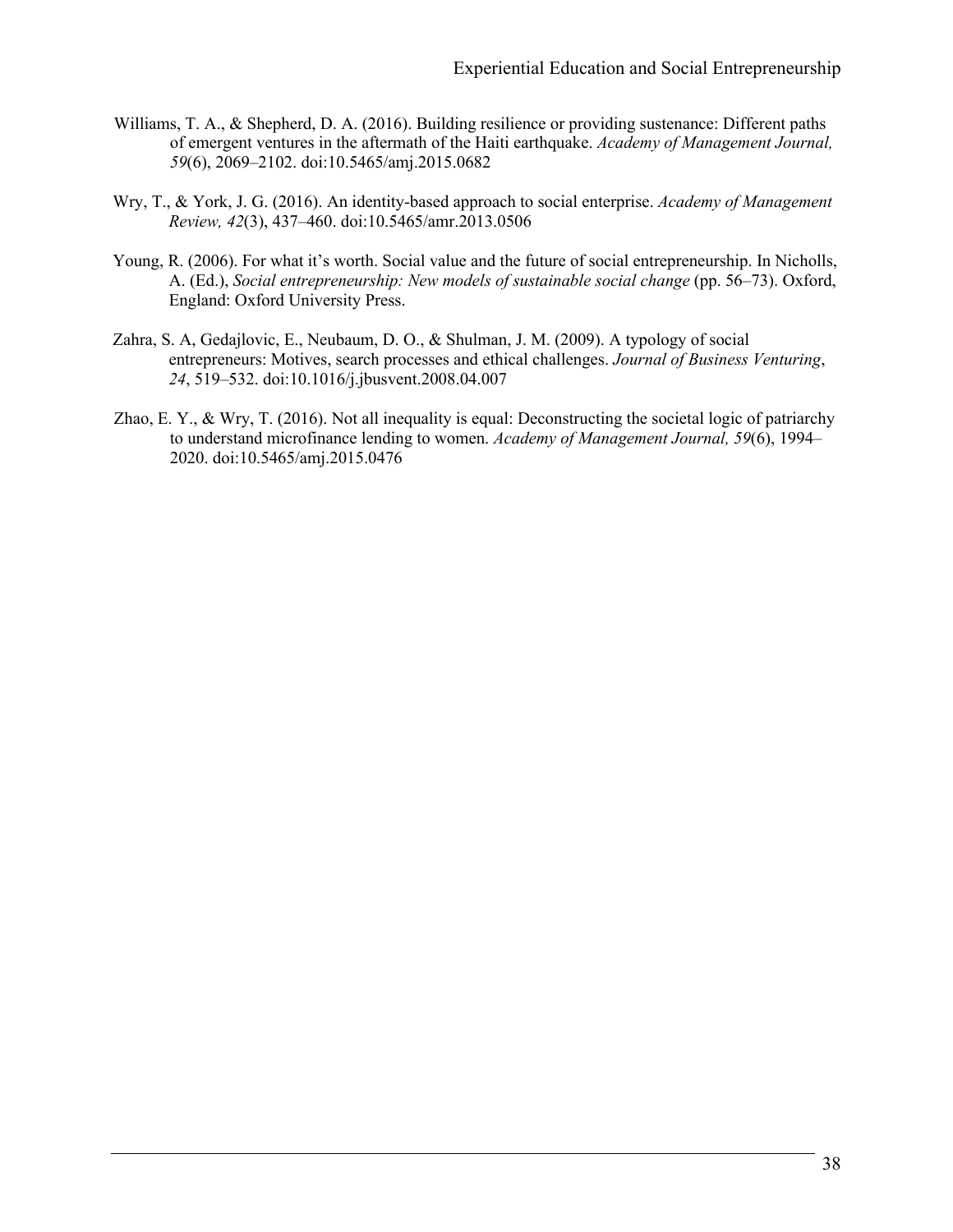- Williams, T. A., & Shepherd, D. A. (2016). Building resilience or providing sustenance: Different paths of emergent ventures in the aftermath of the Haiti earthquake. *Academy of Management Journal, 59*(6), 2069–2102. doi:10.5465/amj.2015.0682
- Wry, T., & York, J. G. (2016). An identity-based approach to social enterprise. *Academy of Management Review, 42*(3), 437–460. doi:10.5465/amr.2013.0506
- Young, R. (2006). For what it's worth. Social value and the future of social entrepreneurship. In Nicholls, A. (Ed.), *Social entrepreneurship: New models of sustainable social change* (pp. 56–73). Oxford, England: Oxford University Press.
- Zahra, S. A, Gedajlovic, E., Neubaum, D. O., & Shulman, J. M. (2009). A typology of social entrepreneurs: Motives, search processes and ethical challenges. *Journal of Business Venturing*, *24*, 519–532. doi:10.1016/j.jbusvent.2008.04.007
- Zhao, E. Y., & Wry, T. (2016). Not all inequality is equal: Deconstructing the societal logic of patriarchy to understand microfinance lending to women. *Academy of Management Journal, 59*(6), 1994– 2020. doi:10.5465/amj.2015.0476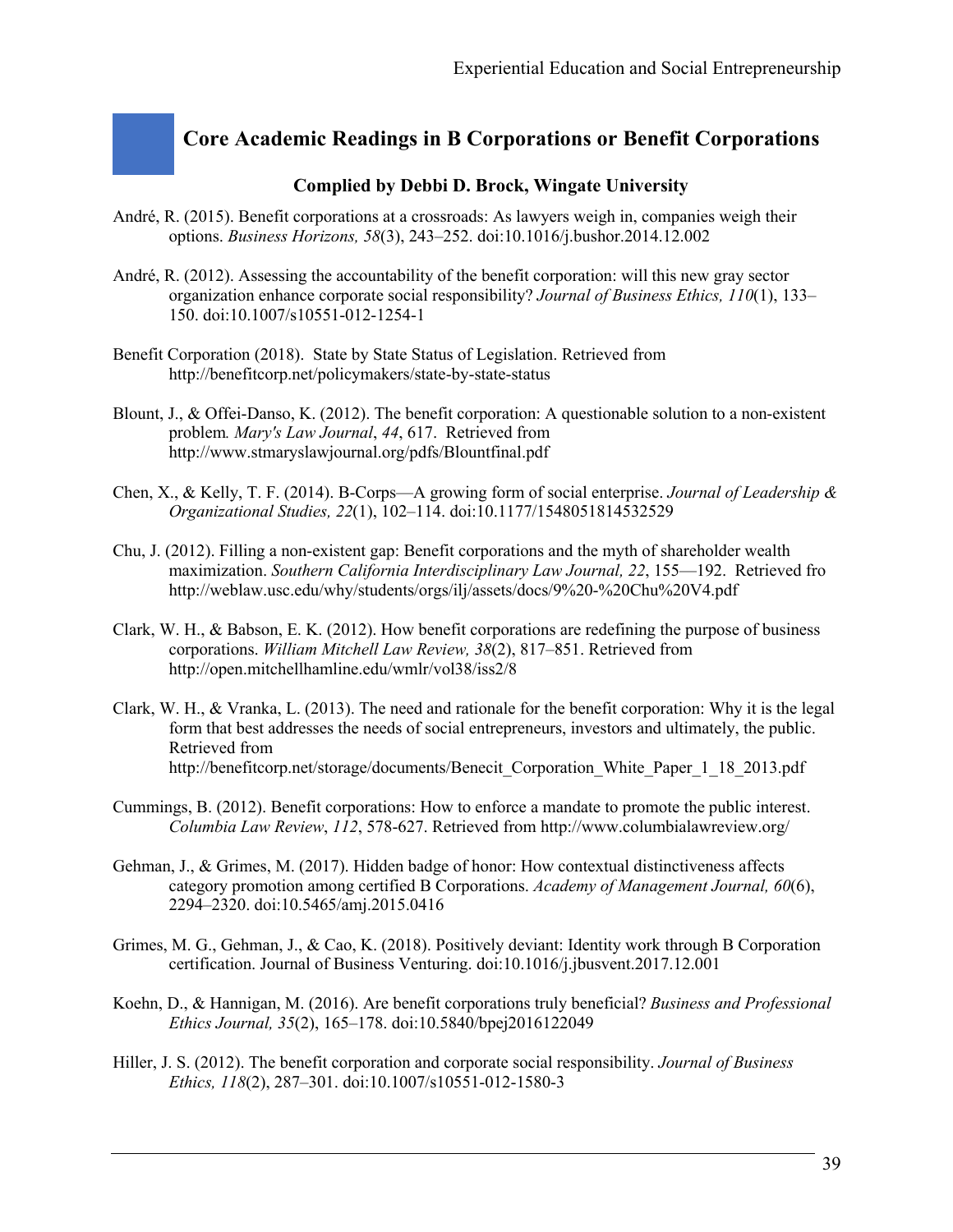# **Core Academic Readings in B Corporations or Benefit Corporations**

#### **Complied by Debbi D. Brock, Wingate University**

- André, R. (2015). Benefit corporations at a crossroads: As lawyers weigh in, companies weigh their options. *Business Horizons, 58*(3), 243–252. doi:10.1016/j.bushor.2014.12.002
- André, R. (2012). Assessing the accountability of the benefit corporation: will this new gray sector organization enhance corporate social responsibility? *Journal of Business Ethics, 110*(1), 133– 150. doi:10.1007/s10551-012-1254-1
- Benefit Corporation (2018). State by State Status of Legislation. Retrieved from http://benefitcorp.net/policymakers/state-by-state-status
- Blount, J., & Offei-Danso, K. (2012). The benefit corporation: A questionable solution to a non-existent problem*. Mary's Law Journal*, *44*, 617. Retrieved from http://www.stmaryslawjournal.org/pdfs/Blountfinal.pdf
- Chen, X., & Kelly, T. F. (2014). B-Corps—A growing form of social enterprise. *Journal of Leadership & Organizational Studies, 22*(1), 102–114. doi:10.1177/1548051814532529
- Chu, J. (2012). Filling a non-existent gap: Benefit corporations and the myth of shareholder wealth maximization. *Southern California Interdisciplinary Law Journal, 22*, 155—192. Retrieved fro http://weblaw.usc.edu/why/students/orgs/ilj/assets/docs/9%20-%20Chu%20V4.pdf
- Clark, W. H., & Babson, E. K. (2012). How benefit corporations are redefining the purpose of business corporations. *William Mitchell Law Review, 38*(2), 817–851. Retrieved from http://open.mitchellhamline.edu/wmlr/vol38/iss2/8
- Clark, W. H., & Vranka, L. (2013). The need and rationale for the benefit corporation: Why it is the legal form that best addresses the needs of social entrepreneurs, investors and ultimately, the public. Retrieved from http://benefitcorp.net/storage/documents/Benecit\_Corporation\_White\_Paper\_1\_18\_2013.pdf
- Cummings, B. (2012). Benefit corporations: How to enforce a mandate to promote the public interest. *Columbia Law Review*, *112*, 578-627. Retrieved from http://www.columbialawreview.org/
- Gehman, J., & Grimes, M. (2017). Hidden badge of honor: How contextual distinctiveness affects category promotion among certified B Corporations. *Academy of Management Journal, 60*(6), 2294–2320. doi:10.5465/amj.2015.0416
- Grimes, M. G., Gehman, J., & Cao, K. (2018). Positively deviant: Identity work through B Corporation certification. Journal of Business Venturing. doi:10.1016/j.jbusvent.2017.12.001
- Koehn, D., & Hannigan, M. (2016). Are benefit corporations truly beneficial? *Business and Professional Ethics Journal, 35*(2), 165–178. doi:10.5840/bpej2016122049
- Hiller, J. S. (2012). The benefit corporation and corporate social responsibility. *Journal of Business Ethics, 118*(2), 287–301. doi:10.1007/s10551-012-1580-3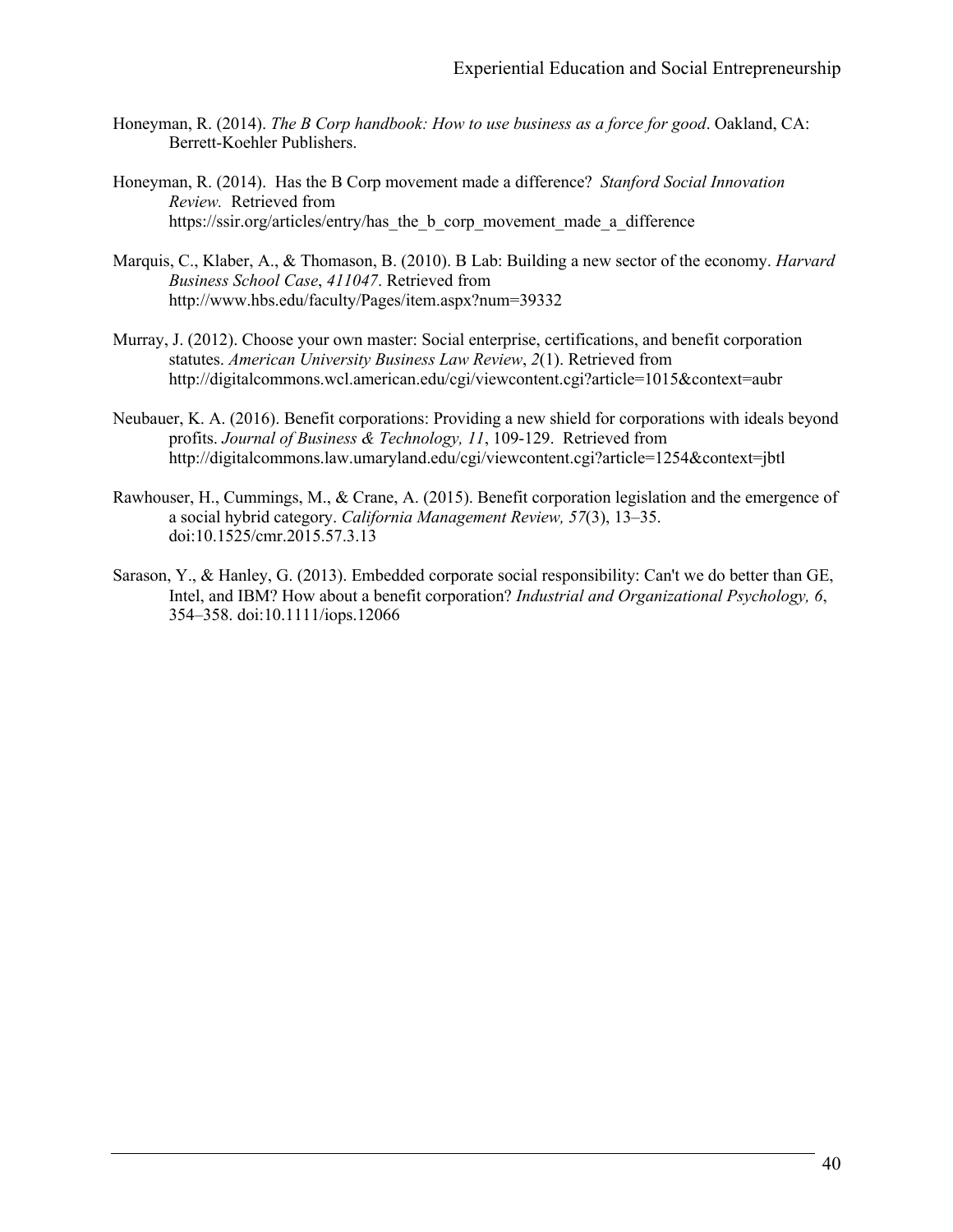- Honeyman, R. (2014). *The B Corp handbook: How to use business as a force for good*. Oakland, CA: Berrett-Koehler Publishers.
- Honeyman, R. (2014). Has the B Corp movement made a difference? *Stanford Social Innovation Review.* Retrieved from https://ssir.org/articles/entry/has the b\_corp\_movement\_made\_a\_difference
- Marquis, C., Klaber, A., & Thomason, B. (2010). B Lab: Building a new sector of the economy. *Harvard Business School Case*, *411047*. Retrieved from http://www.hbs.edu/faculty/Pages/item.aspx?num=39332
- Murray, J. (2012). Choose your own master: Social enterprise, certifications, and benefit corporation statutes. *American University Business Law Review*, *2*(1). Retrieved from http://digitalcommons.wcl.american.edu/cgi/viewcontent.cgi?article=1015&context=aubr
- Neubauer, K. A. (2016). Benefit corporations: Providing a new shield for corporations with ideals beyond profits. *Journal of Business & Technology, 11*, 109-129. Retrieved from http://digitalcommons.law.umaryland.edu/cgi/viewcontent.cgi?article=1254&context=jbtl
- Rawhouser, H., Cummings, M., & Crane, A. (2015). Benefit corporation legislation and the emergence of a social hybrid category. *California Management Review, 57*(3), 13–35. doi:10.1525/cmr.2015.57.3.13
- Sarason, Y., & Hanley, G. (2013). Embedded corporate social responsibility: Can't we do better than GE, Intel, and IBM? How about a benefit corporation? *Industrial and Organizational Psychology, 6*, 354–358. doi:10.1111/iops.12066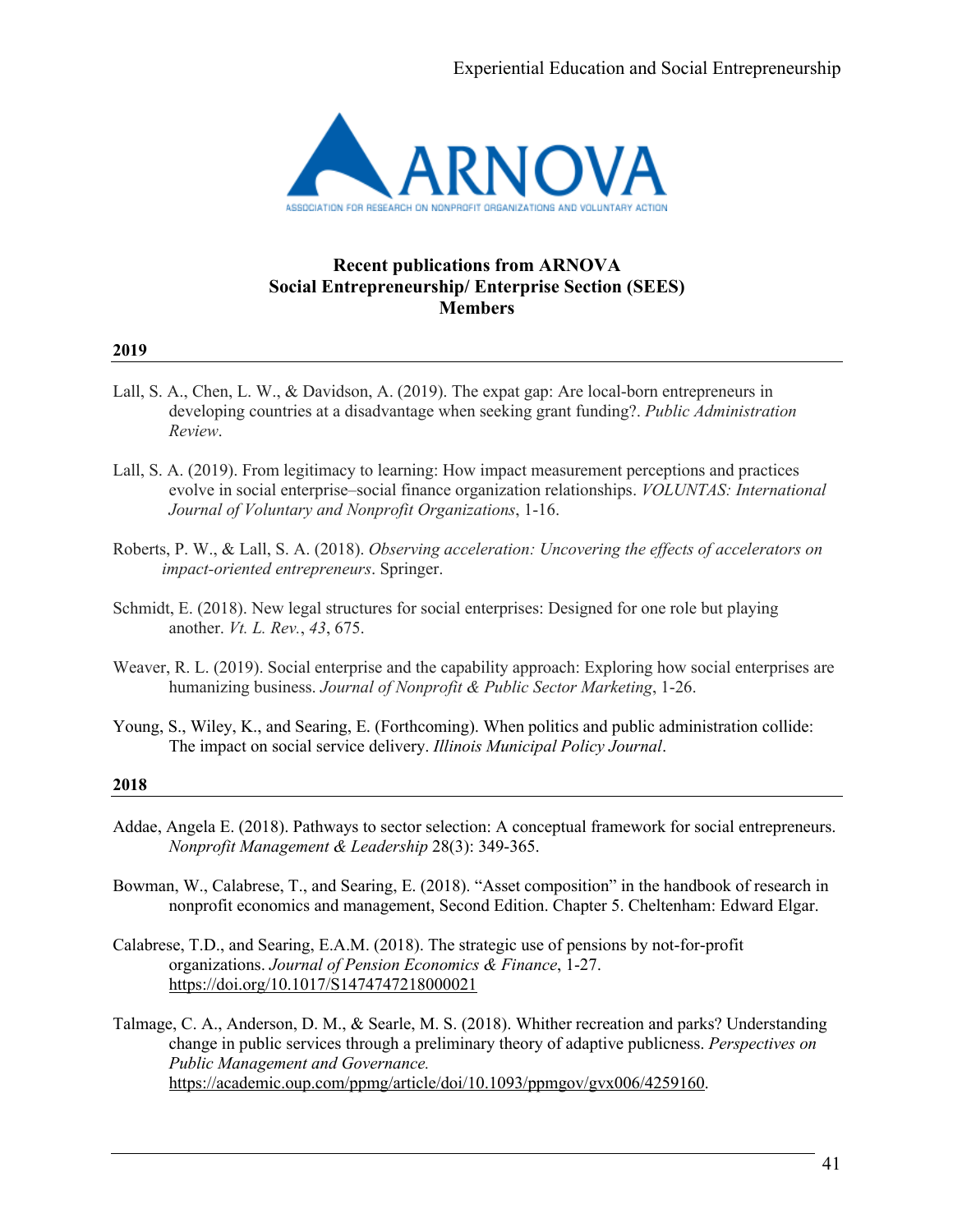

### **Recent publications from ARNOVA Social Entrepreneurship/ Enterprise Section (SEES) Members**

#### **2019**

- Lall, S. A., Chen, L. W., & Davidson, A. (2019). The expat gap: Are local-born entrepreneurs in developing countries at a disadvantage when seeking grant funding?. *Public Administration Review*.
- Lall, S. A. (2019). From legitimacy to learning: How impact measurement perceptions and practices evolve in social enterprise–social finance organization relationships. *VOLUNTAS: International Journal of Voluntary and Nonprofit Organizations*, 1-16.
- Roberts, P. W., & Lall, S. A. (2018). *Observing acceleration: Uncovering the effects of accelerators on impact-oriented entrepreneurs*. Springer.
- Schmidt, E. (2018). New legal structures for social enterprises: Designed for one role but playing another. *Vt. L. Rev.*, *43*, 675.
- Weaver, R. L. (2019). Social enterprise and the capability approach: Exploring how social enterprises are humanizing business. *Journal of Nonprofit & Public Sector Marketing*, 1-26.
- Young, S., Wiley, K., and Searing, E. (Forthcoming). When politics and public administration collide: The impact on social service delivery. *Illinois Municipal Policy Journal*.

#### **2018**

- Addae, Angela E. (2018). Pathways to sector selection: A conceptual framework for social entrepreneurs. *Nonprofit Management & Leadership* 28(3): 349-365.
- Bowman, W., Calabrese, T., and Searing, E. (2018). "Asset composition" in the handbook of research in nonprofit economics and management, Second Edition. Chapter 5. Cheltenham: Edward Elgar.
- Calabrese, T.D., and Searing, E.A.M. (2018). The strategic use of pensions by not-for-profit organizations. *Journal of Pension Economics & Finance*, 1-27. https://doi.org/10.1017/S1474747218000021
- Talmage, C. A., Anderson, D. M., & Searle, M. S. (2018). Whither recreation and parks? Understanding change in public services through a preliminary theory of adaptive publicness. *Perspectives on Public Management and Governance.* https://academic.oup.com/ppmg/article/doi/10.1093/ppmgov/gvx006/4259160.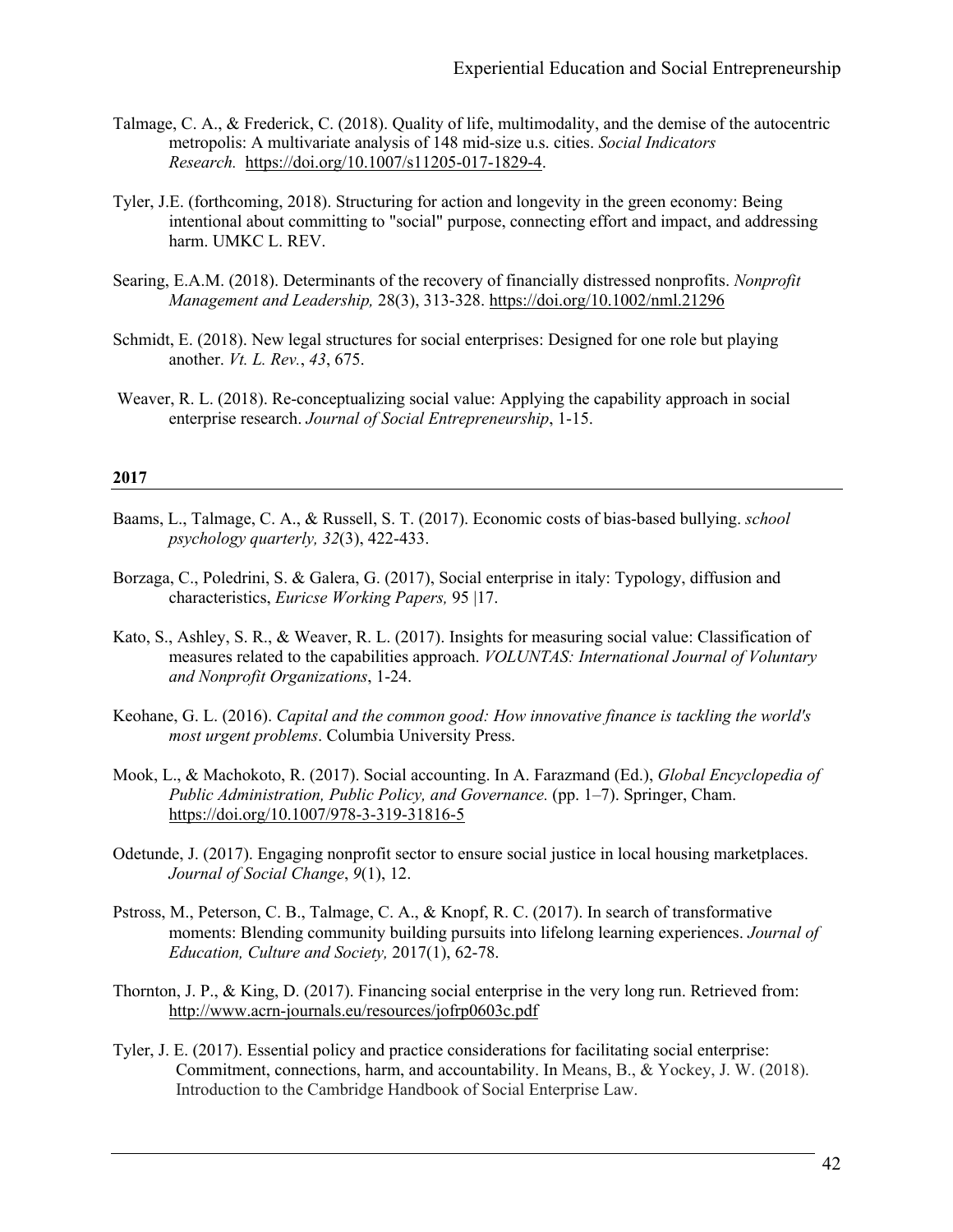- Talmage, C. A., & Frederick, C. (2018). Quality of life, multimodality, and the demise of the autocentric metropolis: A multivariate analysis of 148 mid-size u.s. cities. *Social Indicators Research.* https://doi.org/10.1007/s11205-017-1829-4.
- Tyler, J.E. (forthcoming, 2018). Structuring for action and longevity in the green economy: Being intentional about committing to "social" purpose, connecting effort and impact, and addressing harm. UMKC L. REV.
- Searing, E.A.M. (2018). Determinants of the recovery of financially distressed nonprofits. *Nonprofit Management and Leadership,* 28(3), 313-328. https://doi.org/10.1002/nml.21296
- Schmidt, E. (2018). New legal structures for social enterprises: Designed for one role but playing another. *Vt. L. Rev.*, *43*, 675.
- Weaver, R. L. (2018). Re-conceptualizing social value: Applying the capability approach in social enterprise research. *Journal of Social Entrepreneurship*, 1-15.

#### **2017**

- Baams, L., Talmage, C. A., & Russell, S. T. (2017). Economic costs of bias-based bullying. *school psychology quarterly, 32*(3), 422-433.
- Borzaga, C., Poledrini, S. & Galera, G. (2017), Social enterprise in italy: Typology, diffusion and characteristics, *Euricse Working Papers,* 95 |17.
- Kato, S., Ashley, S. R., & Weaver, R. L. (2017). Insights for measuring social value: Classification of measures related to the capabilities approach. *VOLUNTAS: International Journal of Voluntary and Nonprofit Organizations*, 1-24.
- Keohane, G. L. (2016). *Capital and the common good: How innovative finance is tackling the world's most urgent problems*. Columbia University Press.
- Mook, L., & Machokoto, R. (2017). Social accounting. In A. Farazmand (Ed.), *Global Encyclopedia of Public Administration, Public Policy, and Governance.* (pp. 1–7). Springer, Cham. https://doi.org/10.1007/978-3-319-31816-5
- Odetunde, J. (2017). Engaging nonprofit sector to ensure social justice in local housing marketplaces. *Journal of Social Change*, *9*(1), 12.
- Pstross, M., Peterson, C. B., Talmage, C. A., & Knopf, R. C. (2017). In search of transformative moments: Blending community building pursuits into lifelong learning experiences. *Journal of Education, Culture and Society,* 2017(1), 62-78.
- Thornton, J. P., & King, D. (2017). Financing social enterprise in the very long run. Retrieved from: http://www.acrn-journals.eu/resources/jofrp0603c.pdf
- Tyler, J. E. (2017). Essential policy and practice considerations for facilitating social enterprise: Commitment, connections, harm, and accountability. In Means, B., & Yockey, J. W. (2018). Introduction to the Cambridge Handbook of Social Enterprise Law.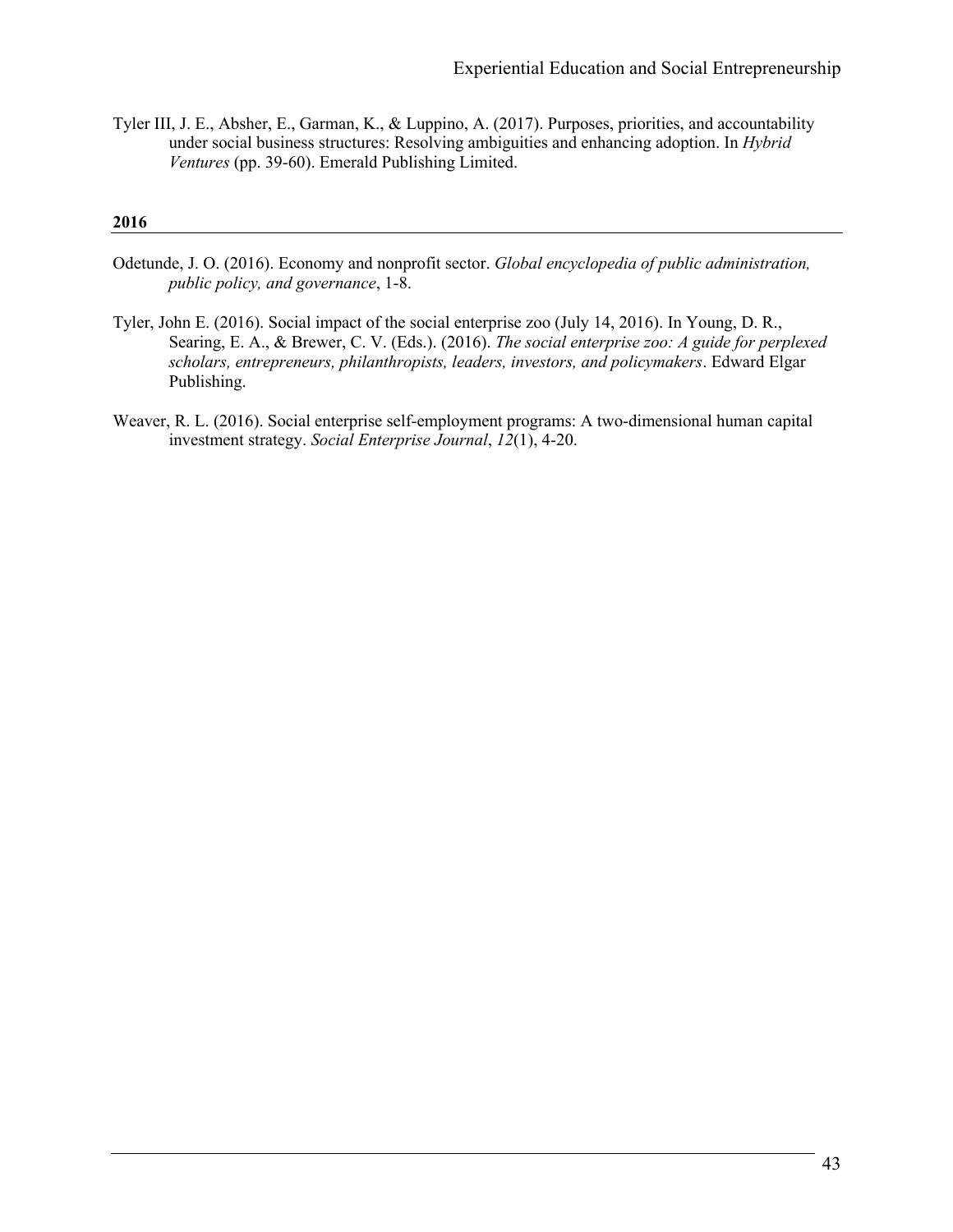Tyler III, J. E., Absher, E., Garman, K., & Luppino, A. (2017). Purposes, priorities, and accountability under social business structures: Resolving ambiguities and enhancing adoption. In *Hybrid Ventures* (pp. 39-60). Emerald Publishing Limited.

#### **2016**

- Odetunde, J. O. (2016). Economy and nonprofit sector. *Global encyclopedia of public administration, public policy, and governance*, 1-8.
- Tyler, John E. (2016). Social impact of the social enterprise zoo (July 14, 2016). In Young, D. R., Searing, E. A., & Brewer, C. V. (Eds.). (2016). *The social enterprise zoo: A guide for perplexed scholars, entrepreneurs, philanthropists, leaders, investors, and policymakers*. Edward Elgar Publishing.
- Weaver, R. L. (2016). Social enterprise self-employment programs: A two-dimensional human capital investment strategy. *Social Enterprise Journal*, *12*(1), 4-20.